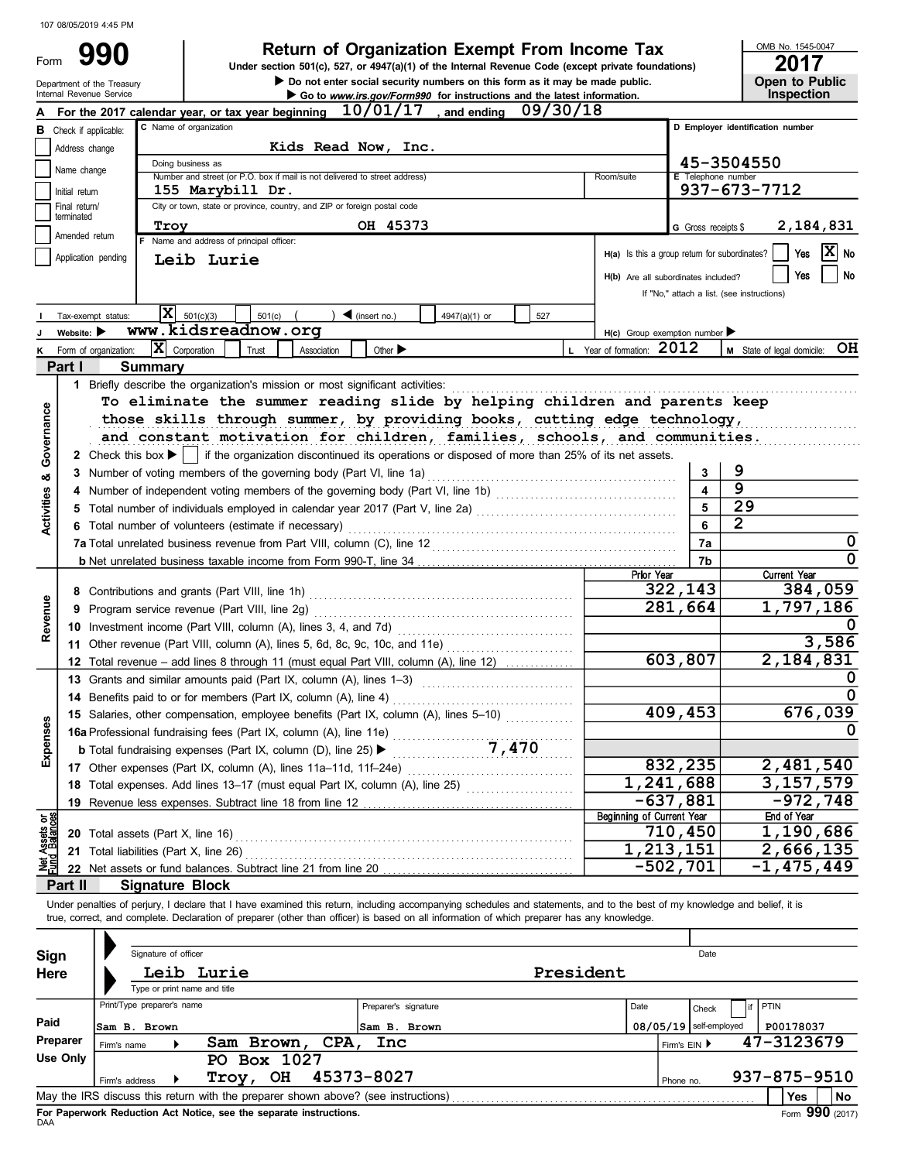| Form | 990                        |
|------|----------------------------|
|      | Department of the Treasury |

Do not enter social security numbers on this form as it may be made public. Open to Public **990** Return of Organization Exempt From Income Tax DRE No. 1545-00<br>Under section 501(c), 527, or 4947(a)(1) of the Internal Revenue Code (except private foundations)

OMB No. 1545-0047

|                       | Internal Revenue Service       |                                                                                                                                                                            |             |                     |                             |  | Go to www.irs.gov/Form990 for instructions and the latest information. |          |           |                                                     |                          | Inspection                                                   |           |
|-----------------------|--------------------------------|----------------------------------------------------------------------------------------------------------------------------------------------------------------------------|-------------|---------------------|-----------------------------|--|------------------------------------------------------------------------|----------|-----------|-----------------------------------------------------|--------------------------|--------------------------------------------------------------|-----------|
|                       |                                | For the 2017 calendar year, or tax year beginning                                                                                                                          |             |                     | 10/01/17                    |  | . and ending                                                           | 09/30/18 |           |                                                     |                          |                                                              |           |
|                       | <b>B</b> Check if applicable:  | C Name of organization                                                                                                                                                     |             |                     |                             |  |                                                                        |          |           |                                                     |                          | D Employer identification number                             |           |
|                       | Address change                 |                                                                                                                                                                            |             | Kids Read Now, Inc. |                             |  |                                                                        |          |           |                                                     |                          |                                                              |           |
|                       |                                | Doing business as                                                                                                                                                          |             |                     |                             |  |                                                                        |          |           |                                                     |                          | 45-3504550                                                   |           |
|                       | Name change                    | Number and street (or P.O. box if mail is not delivered to street address)                                                                                                 |             |                     |                             |  |                                                                        |          |           | Room/suite                                          |                          | E Telephone number                                           |           |
|                       | Initial return                 | 155 Marybill Dr.                                                                                                                                                           |             |                     |                             |  |                                                                        |          |           |                                                     |                          | 937-673-7712                                                 |           |
|                       | Final return/                  | City or town, state or province, country, and ZIP or foreign postal code                                                                                                   |             |                     |                             |  |                                                                        |          |           |                                                     |                          |                                                              |           |
|                       | terminated                     | Troy                                                                                                                                                                       |             |                     | OH 45373                    |  |                                                                        |          |           |                                                     | G Gross receipts \$      | 2,184,831                                                    |           |
|                       | Amended return                 | F Name and address of principal officer:                                                                                                                                   |             |                     |                             |  |                                                                        |          |           |                                                     |                          |                                                              |           |
|                       | Application pending            | Leib Lurie                                                                                                                                                                 |             |                     |                             |  |                                                                        |          |           |                                                     |                          | X <br>Yes<br>$H(a)$ Is this a group return for subordinates? | No        |
|                       |                                |                                                                                                                                                                            |             |                     |                             |  |                                                                        |          |           | H(b) Are all subordinates included?                 |                          | Yes                                                          | No        |
|                       |                                |                                                                                                                                                                            |             |                     |                             |  |                                                                        |          |           |                                                     |                          | If "No," attach a list. (see instructions)                   |           |
|                       |                                |                                                                                                                                                                            |             |                     |                             |  |                                                                        |          |           |                                                     |                          |                                                              |           |
|                       | Tax-exempt status:             | IхI<br>501(c)(3)                                                                                                                                                           | 501(c)      |                     | $\big)$ (insert no.)        |  | 4947(a)(1) or                                                          | 527      |           |                                                     |                          |                                                              |           |
|                       | Website: $\blacktriangleright$ | www.kidsreadnow.org                                                                                                                                                        |             |                     |                             |  |                                                                        |          |           | $H(c)$ Group exemption number $\blacktriangleright$ |                          |                                                              |           |
|                       | K Form of organization:        | $ \mathbf{X} $ Corporation                                                                                                                                                 | Trust       | Association         | Other $\blacktriangleright$ |  |                                                                        |          |           | L Year of formation: 2012                           |                          | M State of legal domicile: OH                                |           |
|                       | Part I                         | <b>Summary</b>                                                                                                                                                             |             |                     |                             |  |                                                                        |          |           |                                                     |                          |                                                              |           |
|                       |                                | 1 Briefly describe the organization's mission or most significant activities:                                                                                              |             |                     |                             |  |                                                                        |          |           |                                                     |                          |                                                              |           |
|                       |                                | To eliminate the summer reading slide by helping children and parents keep                                                                                                 |             |                     |                             |  |                                                                        |          |           |                                                     |                          |                                                              |           |
|                       |                                | those skills through summer, by providing books, cutting edge technology,                                                                                                  |             |                     |                             |  |                                                                        |          |           |                                                     |                          |                                                              |           |
|                       |                                | and constant motivation for children, families, schools, and communities.                                                                                                  |             |                     |                             |  |                                                                        |          |           |                                                     |                          |                                                              |           |
| Governance            |                                |                                                                                                                                                                            |             |                     |                             |  |                                                                        |          |           |                                                     |                          |                                                              |           |
|                       |                                | 2 Check this box ▶     if the organization discontinued its operations or disposed of more than 25% of its net assets.                                                     |             |                     |                             |  |                                                                        |          |           |                                                     |                          |                                                              |           |
| න්                    |                                | 3 Number of voting members of the governing body (Part VI, line 1a)                                                                                                        |             |                     |                             |  |                                                                        |          |           |                                                     | 3                        | 9                                                            |           |
|                       |                                |                                                                                                                                                                            |             |                     |                             |  |                                                                        |          |           |                                                     |                          | 9                                                            |           |
| Activities            |                                | 5 Total number of individuals employed in calendar year 2017 (Part V, line 2a) [11] [20] [11] [20] [11] [20] [                                                             |             |                     |                             |  |                                                                        |          |           |                                                     | 5                        | 29                                                           |           |
|                       |                                | 6 Total number of volunteers (estimate if necessary)                                                                                                                       |             |                     |                             |  |                                                                        |          |           |                                                     | 6                        | $\overline{2}$                                               |           |
|                       |                                |                                                                                                                                                                            |             |                     |                             |  |                                                                        |          |           |                                                     | 7a                       |                                                              | 0         |
|                       |                                |                                                                                                                                                                            |             |                     |                             |  |                                                                        |          |           |                                                     | 7b                       |                                                              | 0         |
|                       |                                |                                                                                                                                                                            | Prior Year  |                     | <b>Current Year</b>         |  |                                                                        |          |           |                                                     |                          |                                                              |           |
|                       |                                |                                                                                                                                                                            |             |                     |                             |  |                                                                        |          |           |                                                     | 322,143                  | 384,059                                                      |           |
| Revenue               |                                |                                                                                                                                                                            |             |                     |                             |  |                                                                        |          |           |                                                     | 281,664                  | 1,797,186                                                    |           |
|                       |                                |                                                                                                                                                                            |             |                     |                             |  |                                                                        |          |           |                                                     |                          |                                                              |           |
|                       |                                | 11 Other revenue (Part VIII, column (A), lines 5, 6d, 8c, 9c, 10c, and 11e)                                                                                                |             |                     |                             |  |                                                                        |          |           |                                                     |                          | 3,586                                                        |           |
|                       |                                |                                                                                                                                                                            |             |                     |                             |  |                                                                        |          |           |                                                     | 603,807                  | $\overline{2,184,831}$                                       |           |
|                       |                                | 12 Total revenue - add lines 8 through 11 (must equal Part VIII, column (A), line 12)                                                                                      |             |                     |                             |  |                                                                        |          |           |                                                     |                          |                                                              |           |
|                       |                                | 13 Grants and similar amounts paid (Part IX, column (A), lines 1-3)                                                                                                        |             |                     |                             |  |                                                                        |          |           |                                                     |                          |                                                              |           |
|                       |                                | 14 Benefits paid to or for members (Part IX, column (A), line 4)                                                                                                           |             |                     |                             |  |                                                                        |          |           |                                                     |                          |                                                              |           |
|                       |                                | 15 Salaries, other compensation, employee benefits (Part IX, column (A), lines 5-10)                                                                                       |             |                     |                             |  |                                                                        |          |           |                                                     | 409,453                  | 676,039                                                      |           |
| Expenses              |                                | <b>16</b> Brofessional fundraising fees (Part IX, column (A), line 11e)<br><b>16a</b> Professional fundraising fees (Part IX, column (D), line 25)                         |             |                     |                             |  |                                                                        |          |           |                                                     |                          |                                                              |           |
|                       |                                |                                                                                                                                                                            |             |                     |                             |  |                                                                        |          |           |                                                     |                          |                                                              |           |
|                       |                                | 17 Other expenses (Part IX, column (A), lines 11a-11d, 11f-24e)                                                                                                            |             |                     |                             |  |                                                                        |          |           |                                                     | 832,235                  | 2,481,540                                                    |           |
|                       |                                | 18 Total expenses. Add lines 13-17 (must equal Part IX, column (A), line 25)                                                                                               |             |                     |                             |  |                                                                        |          |           | $\overline{1,241,688}$                              |                          | $\overline{3}$ , 157, 579                                    |           |
|                       |                                | 19 Revenue less expenses. Subtract line 18 from line 12                                                                                                                    |             |                     |                             |  |                                                                        |          |           |                                                     | $-637,881$               | $-972,748$                                                   |           |
|                       |                                |                                                                                                                                                                            |             |                     |                             |  |                                                                        |          |           | Beginning of Current Year                           |                          | End of Year                                                  |           |
| Assets or<br>Balances |                                | 20 Total assets (Part X, line 16)                                                                                                                                          |             |                     |                             |  |                                                                        |          |           |                                                     | 710,450                  | 1,190,686                                                    |           |
|                       |                                | 21 Total liabilities (Part X, line 26)                                                                                                                                     |             |                     |                             |  |                                                                        |          |           | 1,213,151                                           |                          | 2,666,135                                                    |           |
|                       |                                |                                                                                                                                                                            |             |                     |                             |  |                                                                        |          |           |                                                     | $-502,701$               | $-1,475,449$                                                 |           |
|                       | Part II                        | <b>Signature Block</b>                                                                                                                                                     |             |                     |                             |  |                                                                        |          |           |                                                     |                          |                                                              |           |
|                       |                                | Under penalties of perjury, I declare that I have examined this return, including accompanying schedules and statements, and to the best of my knowledge and belief, it is |             |                     |                             |  |                                                                        |          |           |                                                     |                          |                                                              |           |
|                       |                                | true, correct, and complete. Declaration of preparer (other than officer) is based on all information of which preparer has any knowledge.                                 |             |                     |                             |  |                                                                        |          |           |                                                     |                          |                                                              |           |
|                       |                                |                                                                                                                                                                            |             |                     |                             |  |                                                                        |          |           |                                                     |                          |                                                              |           |
|                       |                                |                                                                                                                                                                            |             |                     |                             |  |                                                                        |          |           |                                                     |                          |                                                              |           |
| Sign                  |                                | Signature of officer                                                                                                                                                       |             |                     |                             |  |                                                                        |          |           |                                                     | Date                     |                                                              |           |
| Here                  |                                | Leib Lurie                                                                                                                                                                 |             |                     |                             |  |                                                                        |          | President |                                                     |                          |                                                              |           |
|                       |                                | Type or print name and title                                                                                                                                               |             |                     |                             |  |                                                                        |          |           |                                                     |                          |                                                              |           |
|                       |                                | Print/Type preparer's name                                                                                                                                                 |             |                     | Preparer's signature        |  |                                                                        |          |           | Date                                                | Check                    | PTIN                                                         |           |
| Paid                  |                                | Sam B. Brown                                                                                                                                                               |             |                     | Sam B. Brown                |  |                                                                        |          |           |                                                     | $08/05/19$ self-employed | P00178037                                                    |           |
|                       | <b>Preparer</b>                |                                                                                                                                                                            | Sam Brown,  | CPA,                | Inc                         |  |                                                                        |          |           |                                                     | Firm's EIN ▶             | 47-3123679                                                   |           |
|                       | Firm's name<br><b>Use Only</b> |                                                                                                                                                                            | PO Box 1027 |                     |                             |  |                                                                        |          |           |                                                     |                          |                                                              |           |
|                       |                                |                                                                                                                                                                            | Troy, OH    |                     | 45373-8027                  |  |                                                                        |          |           |                                                     |                          | 937-875-9510                                                 |           |
|                       | Firm's address                 |                                                                                                                                                                            |             |                     |                             |  |                                                                        |          |           |                                                     | Phone no.                |                                                              |           |
|                       |                                | May the IRS discuss this return with the preparer shown above? (see instructions)                                                                                          |             |                     |                             |  |                                                                        |          |           |                                                     |                          | Yes                                                          | <b>No</b> |

| <b>Sign</b>                                                                       |                | Signature of officer                                              |             |      |                      | Date      |            |                                       |             |           |              |  |  |  |
|-----------------------------------------------------------------------------------|----------------|-------------------------------------------------------------------|-------------|------|----------------------|-----------|------------|---------------------------------------|-------------|-----------|--------------|--|--|--|
| Here                                                                              |                |                                                                   | Leib Lurie  |      |                      | President |            |                                       |             |           |              |  |  |  |
|                                                                                   |                | Type or print name and title                                      |             |      |                      |           |            |                                       |             |           |              |  |  |  |
|                                                                                   |                | Print/Type preparer's name                                        |             |      | Preparer's signature | Date      |            | Check                                 | <b>PTIN</b> |           |              |  |  |  |
| Paid                                                                              | Sam B. Brown   |                                                                   |             |      | Sam B. Brown         |           |            | $08/05/19$ self-employed              |             | P00178037 |              |  |  |  |
| Preparer                                                                          | Firm's name    |                                                                   | Sam Brown,  | CPA, | Inc                  |           |            | Firm's EIN ▶                          |             |           | 47-3123679   |  |  |  |
| Use Only                                                                          |                |                                                                   | PO Box 1027 |      |                      |           |            |                                       |             |           |              |  |  |  |
|                                                                                   | Firm's address |                                                                   | OH<br>Troy, |      | 45373-8027           |           |            | Phone no.                             |             |           | 937-875-9510 |  |  |  |
| May the IRS discuss this return with the preparer shown above? (see instructions) |                |                                                                   |             |      |                      |           | <b>Yes</b> | <b>No</b>                             |             |           |              |  |  |  |
|                                                                                   |                | Ear Bananuark Baduation Act Nation, and the concrete instructions |             |      |                      |           |            | $F_{\text{max}}$ 000 $m_{\text{max}}$ |             |           |              |  |  |  |

For Paperwork Reduction Act Notice, see the separate instructions.<br><sub>DAA</sub>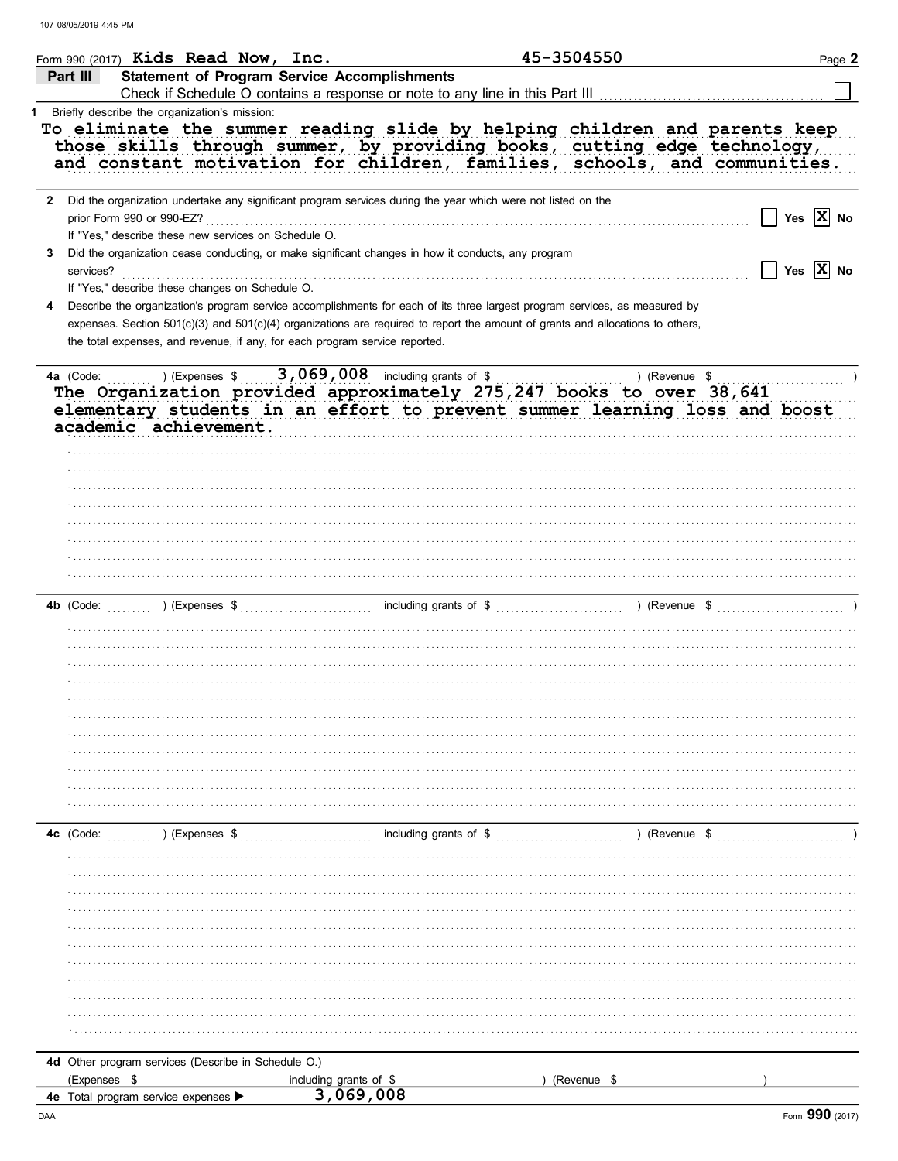| Form 990 (2017) Kids Read Now, Inc.                                                                                                                                                                 |                                                     | 45-3504550                                                                                                                                                          | Page 2                             |
|-----------------------------------------------------------------------------------------------------------------------------------------------------------------------------------------------------|-----------------------------------------------------|---------------------------------------------------------------------------------------------------------------------------------------------------------------------|------------------------------------|
| Part III                                                                                                                                                                                            | <b>Statement of Program Service Accomplishments</b> |                                                                                                                                                                     |                                    |
| 1 Briefly describe the organization's mission:                                                                                                                                                      |                                                     |                                                                                                                                                                     |                                    |
| To eliminate the summer reading slide by helping children and parents keep                                                                                                                          |                                                     | those skills through summer, by providing books, cutting edge technology,<br>and constant motivation for children, families, schools, and communities.              |                                    |
| 2 Did the organization undertake any significant program services during the year which were not listed on the<br>prior Form 990 or 990-EZ?<br>If "Yes," describe these new services on Schedule O. |                                                     |                                                                                                                                                                     | Yes $\overline{X}$ No              |
| Did the organization cease conducting, or make significant changes in how it conducts, any program<br>3<br>services?                                                                                |                                                     |                                                                                                                                                                     | $\Box$ Yes $\boxed{\mathbf{X}}$ No |
| If "Yes," describe these changes on Schedule O.<br>4                                                                                                                                                |                                                     | Describe the organization's program service accomplishments for each of its three largest program services, as measured by                                          |                                    |
| the total expenses, and revenue, if any, for each program service reported.                                                                                                                         |                                                     | expenses. Section 501(c)(3) and 501(c)(4) organizations are required to report the amount of grants and allocations to others,                                      |                                    |
| 4a (Code:<br>academic achievement.                                                                                                                                                                  | ) (Expenses $$3,069,008$ including grants of \$     | ) (Revenue \$<br>The Organization provided approximately 275,247 books to over 38,641<br>elementary students in an effort to prevent summer learning loss and boost |                                    |
|                                                                                                                                                                                                     |                                                     |                                                                                                                                                                     |                                    |
|                                                                                                                                                                                                     |                                                     |                                                                                                                                                                     |                                    |
|                                                                                                                                                                                                     |                                                     |                                                                                                                                                                     |                                    |
|                                                                                                                                                                                                     |                                                     |                                                                                                                                                                     |                                    |
|                                                                                                                                                                                                     |                                                     |                                                                                                                                                                     |                                    |
|                                                                                                                                                                                                     |                                                     |                                                                                                                                                                     |                                    |
| 4c (Code:<br>) (Expenses \$                                                                                                                                                                         |                                                     | including grants of \$<br>) (Revenue \$                                                                                                                             |                                    |
|                                                                                                                                                                                                     |                                                     |                                                                                                                                                                     |                                    |
|                                                                                                                                                                                                     |                                                     |                                                                                                                                                                     |                                    |
|                                                                                                                                                                                                     |                                                     |                                                                                                                                                                     |                                    |
|                                                                                                                                                                                                     |                                                     |                                                                                                                                                                     |                                    |
|                                                                                                                                                                                                     |                                                     |                                                                                                                                                                     |                                    |
|                                                                                                                                                                                                     |                                                     |                                                                                                                                                                     |                                    |
|                                                                                                                                                                                                     |                                                     |                                                                                                                                                                     |                                    |
| 4d Other program services (Describe in Schedule O.)                                                                                                                                                 |                                                     |                                                                                                                                                                     |                                    |
| (Expenses \$<br>4e Total program service expenses                                                                                                                                                   | including grants of \$<br>3,069,008                 | (Revenue \$                                                                                                                                                         |                                    |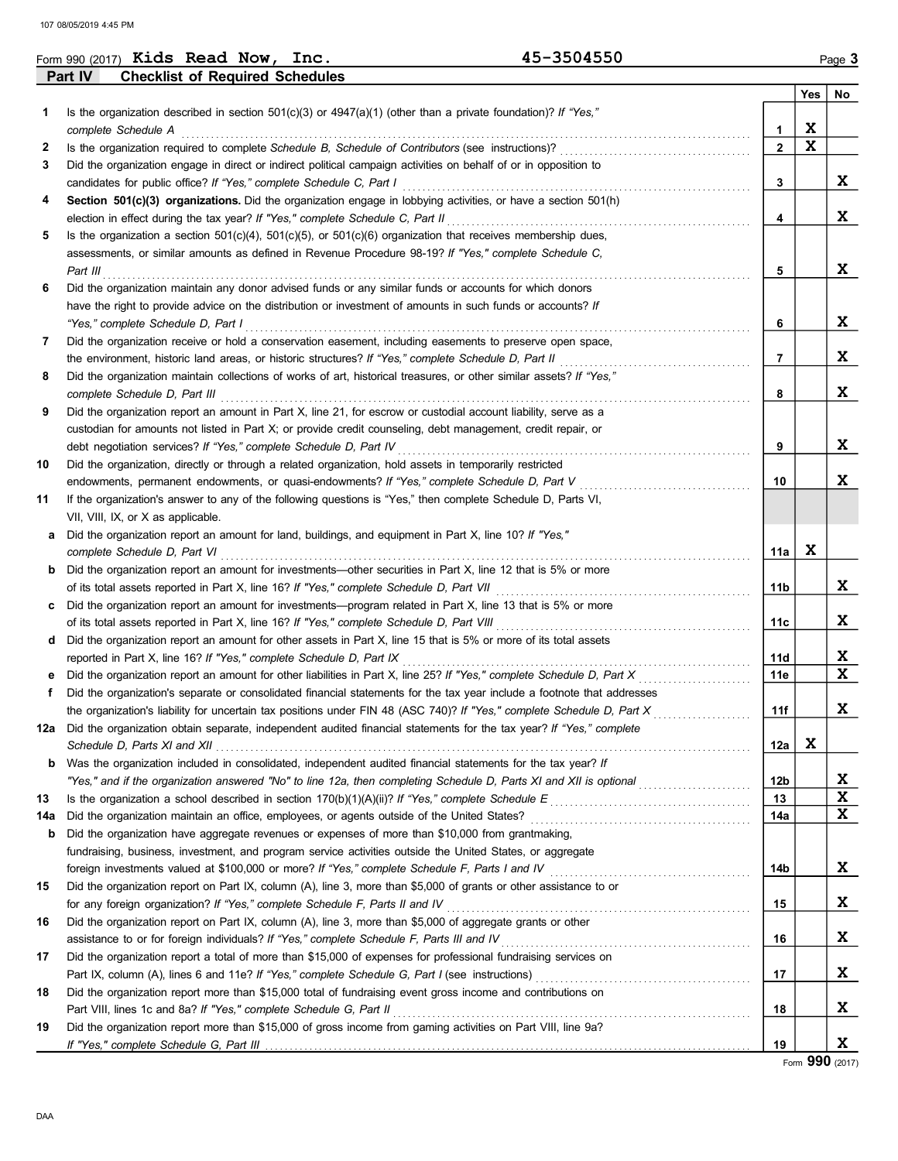|     | Form 990 $(2017)$ Kids Read Now,<br>Inc.                                                                                                                                                                                                                                                                                                                                    |                                                                                                                                                                                                                                                    |     |    |
|-----|-----------------------------------------------------------------------------------------------------------------------------------------------------------------------------------------------------------------------------------------------------------------------------------------------------------------------------------------------------------------------------|----------------------------------------------------------------------------------------------------------------------------------------------------------------------------------------------------------------------------------------------------|-----|----|
|     | <b>Checklist of Required Schedules</b><br>Part IV                                                                                                                                                                                                                                                                                                                           |                                                                                                                                                                                                                                                    |     |    |
|     |                                                                                                                                                                                                                                                                                                                                                                             |                                                                                                                                                                                                                                                    | Yes | No |
| 1.  | Is the organization described in section 501(c)(3) or $4947(a)(1)$ (other than a private foundation)? If "Yes,"                                                                                                                                                                                                                                                             |                                                                                                                                                                                                                                                    |     |    |
|     | complete Schedule A                                                                                                                                                                                                                                                                                                                                                         | 1                                                                                                                                                                                                                                                  | x   |    |
| 2   | 45-3504550<br>Did the organization report an amount for other assets in Part X, line 15 that is 5% or more of its total assets<br>.<br>Schedule D, Parts XI and XII electron contract the contract of the contract of the contract of the contract of<br>"Yes," and if the organization answered "No" to line 12a, then completing Schedule D, Parts XI and XII is optional |                                                                                                                                                                                                                                                    |     |    |
| 3   | Did the organization engage in direct or indirect political campaign activities on behalf of or in opposition to                                                                                                                                                                                                                                                            |                                                                                                                                                                                                                                                    |     |    |
|     | candidates for public office? If "Yes," complete Schedule C, Part I                                                                                                                                                                                                                                                                                                         | 3                                                                                                                                                                                                                                                  |     |    |
| 4   | Section 501(c)(3) organizations. Did the organization engage in lobbying activities, or have a section 501(h)                                                                                                                                                                                                                                                               |                                                                                                                                                                                                                                                    |     |    |
|     | election in effect during the tax year? If "Yes," complete Schedule C, Part II                                                                                                                                                                                                                                                                                              | 4                                                                                                                                                                                                                                                  |     | X  |
| 5   | Is the organization a section $501(c)(4)$ , $501(c)(5)$ , or $501(c)(6)$ organization that receives membership dues,                                                                                                                                                                                                                                                        |                                                                                                                                                                                                                                                    |     |    |
|     | assessments, or similar amounts as defined in Revenue Procedure 98-19? If "Yes," complete Schedule C,                                                                                                                                                                                                                                                                       |                                                                                                                                                                                                                                                    |     |    |
|     | Part III                                                                                                                                                                                                                                                                                                                                                                    | 5                                                                                                                                                                                                                                                  |     |    |
| 6   | Did the organization maintain any donor advised funds or any similar funds or accounts for which donors                                                                                                                                                                                                                                                                     |                                                                                                                                                                                                                                                    |     |    |
|     | have the right to provide advice on the distribution or investment of amounts in such funds or accounts? If                                                                                                                                                                                                                                                                 |                                                                                                                                                                                                                                                    |     |    |
|     | "Yes," complete Schedule D, Part I                                                                                                                                                                                                                                                                                                                                          | 6                                                                                                                                                                                                                                                  |     |    |
| 7   | Did the organization receive or hold a conservation easement, including easements to preserve open space,                                                                                                                                                                                                                                                                   |                                                                                                                                                                                                                                                    |     |    |
|     | the environment, historic land areas, or historic structures? If "Yes," complete Schedule D, Part II                                                                                                                                                                                                                                                                        | 7                                                                                                                                                                                                                                                  |     |    |
| 8   | Did the organization maintain collections of works of art, historical treasures, or other similar assets? If "Yes,"                                                                                                                                                                                                                                                         |                                                                                                                                                                                                                                                    |     |    |
|     | complete Schedule D, Part III                                                                                                                                                                                                                                                                                                                                               | 8                                                                                                                                                                                                                                                  |     | X  |
| 9   | Did the organization report an amount in Part X, line 21, for escrow or custodial account liability, serve as a                                                                                                                                                                                                                                                             |                                                                                                                                                                                                                                                    |     |    |
|     | custodian for amounts not listed in Part X; or provide credit counseling, debt management, credit repair, or                                                                                                                                                                                                                                                                |                                                                                                                                                                                                                                                    |     |    |
|     | debt negotiation services? If "Yes," complete Schedule D, Part IV                                                                                                                                                                                                                                                                                                           | 9                                                                                                                                                                                                                                                  |     |    |
| 10  | Did the organization, directly or through a related organization, hold assets in temporarily restricted                                                                                                                                                                                                                                                                     |                                                                                                                                                                                                                                                    |     |    |
|     | endowments, permanent endowments, or quasi-endowments? If "Yes," complete Schedule D, Part V                                                                                                                                                                                                                                                                                | 10                                                                                                                                                                                                                                                 |     |    |
| 11  | If the organization's answer to any of the following questions is "Yes," then complete Schedule D, Parts VI,                                                                                                                                                                                                                                                                |                                                                                                                                                                                                                                                    |     |    |
|     | VII, VIII, IX, or X as applicable.                                                                                                                                                                                                                                                                                                                                          | Page 3<br>$\mathbf x$<br>$\mathbf{2}$<br>X<br>X<br>X<br>X<br>X<br>X<br>x<br>11a<br>X<br>11b<br>X<br>11с<br>X<br>11d<br>X<br>11e<br>X<br>11f<br>X<br>12a<br>X<br>12b<br>X<br>13<br>X<br>14a<br>X<br>14b<br>X<br>15<br>X<br>16<br>X<br>17<br>X<br>18 |     |    |
| а   | Did the organization report an amount for land, buildings, and equipment in Part X, line 10? If "Yes,"                                                                                                                                                                                                                                                                      |                                                                                                                                                                                                                                                    |     |    |
|     | complete Schedule D, Part VI                                                                                                                                                                                                                                                                                                                                                |                                                                                                                                                                                                                                                    |     |    |
| b   | Did the organization report an amount for investments—other securities in Part X, line 12 that is 5% or more                                                                                                                                                                                                                                                                |                                                                                                                                                                                                                                                    |     |    |
|     | of its total assets reported in Part X, line 16? If "Yes," complete Schedule D, Part VII                                                                                                                                                                                                                                                                                    |                                                                                                                                                                                                                                                    |     |    |
|     | Did the organization report an amount for investments—program related in Part X, line 13 that is 5% or more                                                                                                                                                                                                                                                                 |                                                                                                                                                                                                                                                    |     |    |
|     | of its total assets reported in Part X, line 16? If "Yes," complete Schedule D, Part VIII                                                                                                                                                                                                                                                                                   |                                                                                                                                                                                                                                                    |     |    |
| d   |                                                                                                                                                                                                                                                                                                                                                                             |                                                                                                                                                                                                                                                    |     |    |
|     | reported in Part X, line 16? If "Yes," complete Schedule D, Part IX                                                                                                                                                                                                                                                                                                         |                                                                                                                                                                                                                                                    |     |    |
|     | Did the organization report an amount for other liabilities in Part X, line 25? If "Yes," complete Schedule D, Part X                                                                                                                                                                                                                                                       |                                                                                                                                                                                                                                                    |     |    |
| f   | Did the organization's separate or consolidated financial statements for the tax year include a footnote that addresses                                                                                                                                                                                                                                                     |                                                                                                                                                                                                                                                    |     |    |
|     | the organization's liability for uncertain tax positions under FIN 48 (ASC 740)? If "Yes," complete Schedule D, Part X                                                                                                                                                                                                                                                      |                                                                                                                                                                                                                                                    |     |    |
| 12a | Did the organization obtain separate, independent audited financial statements for the tax year? If "Yes," complete                                                                                                                                                                                                                                                         |                                                                                                                                                                                                                                                    |     |    |
|     |                                                                                                                                                                                                                                                                                                                                                                             |                                                                                                                                                                                                                                                    |     |    |
| b   | Was the organization included in consolidated, independent audited financial statements for the tax year? If                                                                                                                                                                                                                                                                |                                                                                                                                                                                                                                                    |     |    |
|     |                                                                                                                                                                                                                                                                                                                                                                             |                                                                                                                                                                                                                                                    |     |    |
| 13  |                                                                                                                                                                                                                                                                                                                                                                             |                                                                                                                                                                                                                                                    |     |    |
| 14a | Did the organization maintain an office, employees, or agents outside of the United States?                                                                                                                                                                                                                                                                                 |                                                                                                                                                                                                                                                    |     |    |
| b   | Did the organization have aggregate revenues or expenses of more than \$10,000 from grantmaking,                                                                                                                                                                                                                                                                            |                                                                                                                                                                                                                                                    |     |    |
|     | fundraising, business, investment, and program service activities outside the United States, or aggregate                                                                                                                                                                                                                                                                   |                                                                                                                                                                                                                                                    |     |    |
|     |                                                                                                                                                                                                                                                                                                                                                                             |                                                                                                                                                                                                                                                    |     |    |
| 15  | Did the organization report on Part IX, column (A), line 3, more than \$5,000 of grants or other assistance to or                                                                                                                                                                                                                                                           |                                                                                                                                                                                                                                                    |     |    |
|     | for any foreign organization? If "Yes," complete Schedule F, Parts II and IV                                                                                                                                                                                                                                                                                                |                                                                                                                                                                                                                                                    |     |    |
| 16  | Did the organization report on Part IX, column (A), line 3, more than \$5,000 of aggregate grants or other                                                                                                                                                                                                                                                                  |                                                                                                                                                                                                                                                    |     |    |
|     | assistance to or for foreign individuals? If "Yes," complete Schedule F, Parts III and IV                                                                                                                                                                                                                                                                                   |                                                                                                                                                                                                                                                    |     |    |
| 17  | Did the organization report a total of more than \$15,000 of expenses for professional fundraising services on                                                                                                                                                                                                                                                              |                                                                                                                                                                                                                                                    |     |    |
|     |                                                                                                                                                                                                                                                                                                                                                                             |                                                                                                                                                                                                                                                    |     |    |
| 18  | Did the organization report more than \$15,000 total of fundraising event gross income and contributions on                                                                                                                                                                                                                                                                 |                                                                                                                                                                                                                                                    |     |    |
|     | Part VIII, lines 1c and 8a? If "Yes," complete Schedule G, Part II                                                                                                                                                                                                                                                                                                          |                                                                                                                                                                                                                                                    |     |    |
| 19  | Did the organization report more than \$15,000 of gross income from gaming activities on Part VIII, line 9a?                                                                                                                                                                                                                                                                |                                                                                                                                                                                                                                                    |     |    |
|     |                                                                                                                                                                                                                                                                                                                                                                             | 19                                                                                                                                                                                                                                                 |     | X  |

<u>19</u> Form 990 (2017) X

DAA

|  | $\sim$ 200.0013 $V$ ; de Deed 1 |  |  |  |  |
|--|---------------------------------|--|--|--|--|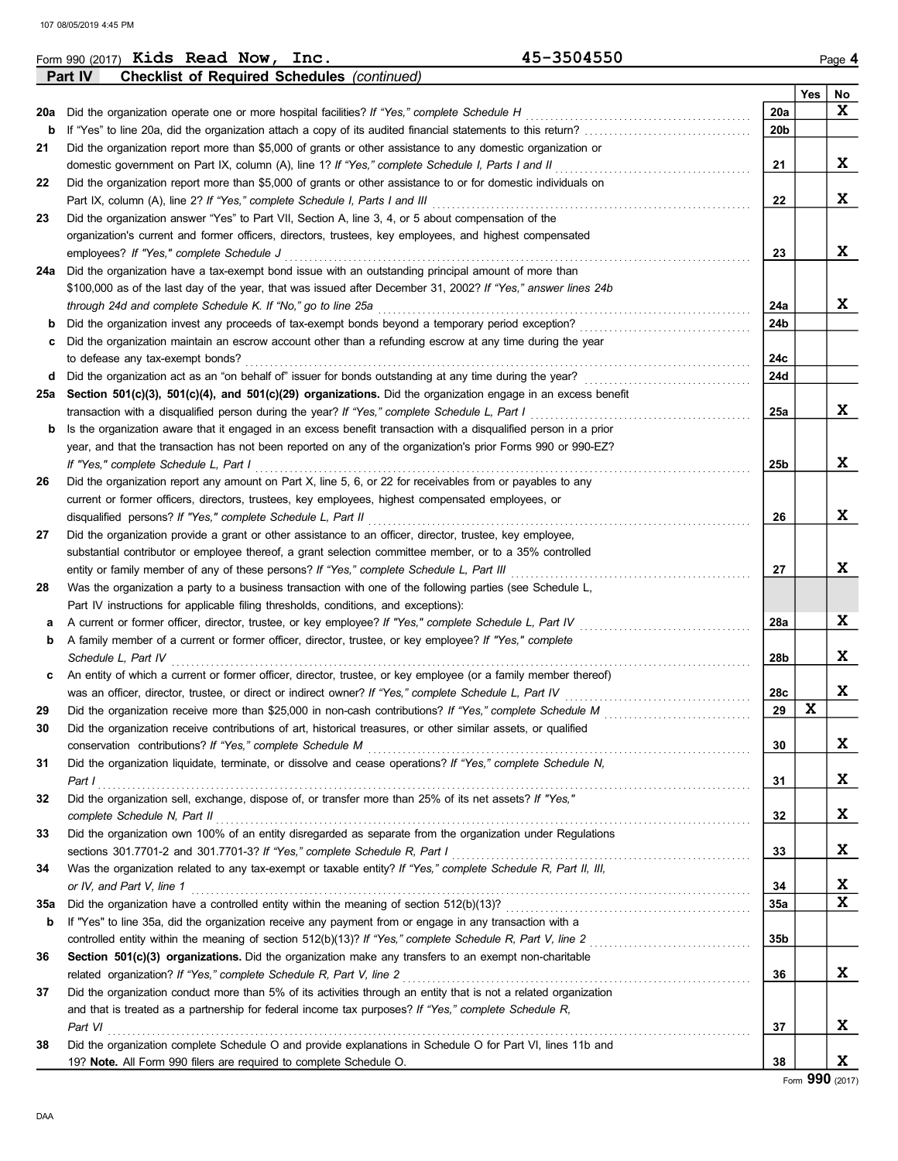|     | 45-3504550<br>Form 990 $(2017)$ Kids Read Now,<br>Inc.                                                           |            |     | Page 4 |
|-----|------------------------------------------------------------------------------------------------------------------|------------|-----|--------|
|     | <b>Checklist of Required Schedules (continued)</b><br>Part IV                                                    |            |     |        |
|     |                                                                                                                  |            | Yes | No     |
| 20a | Did the organization operate one or more hospital facilities? If "Yes," complete Schedule H                      | 20a        |     | X      |
| b   |                                                                                                                  | 20b        |     |        |
| 21  | Did the organization report more than \$5,000 of grants or other assistance to any domestic organization or      |            |     |        |
|     | domestic government on Part IX, column (A), line 1? If "Yes," complete Schedule I, Parts I and II                | 21         |     | X      |
| 22  | Did the organization report more than \$5,000 of grants or other assistance to or for domestic individuals on    |            |     |        |
|     | Part IX, column (A), line 2? If "Yes," complete Schedule I, Parts I and III                                      | 22         |     | X      |
| 23  | Did the organization answer "Yes" to Part VII, Section A, line 3, 4, or 5 about compensation of the              |            |     |        |
|     | organization's current and former officers, directors, trustees, key employees, and highest compensated          |            |     |        |
|     | employees? If "Yes," complete Schedule J                                                                         | 23         |     | X      |
| 24a | Did the organization have a tax-exempt bond issue with an outstanding principal amount of more than              |            |     |        |
|     | \$100,000 as of the last day of the year, that was issued after December 31, 2002? If "Yes," answer lines 24b    |            |     |        |
|     | through 24d and complete Schedule K. If "No," go to line 25a                                                     | 24a        |     | X      |
| b   | Did the organization invest any proceeds of tax-exempt bonds beyond a temporary period exception?                | 24b        |     |        |
| c   | Did the organization maintain an escrow account other than a refunding escrow at any time during the year        |            |     |        |
|     | to defease any tax-exempt bonds?                                                                                 | 24c        |     |        |
| d   | Did the organization act as an "on behalf of" issuer for bonds outstanding at any time during the year?          | 24d        |     |        |
| 25а | Section 501(c)(3), 501(c)(4), and 501(c)(29) organizations. Did the organization engage in an excess benefit     |            |     |        |
|     | transaction with a disqualified person during the year? If "Yes," complete Schedule L, Part I                    | 25a        |     | X      |
| b   | Is the organization aware that it engaged in an excess benefit transaction with a disqualified person in a prior |            |     |        |
|     | year, and that the transaction has not been reported on any of the organization's prior Forms 990 or 990-EZ?     |            |     |        |
|     | If "Yes." complete Schedule L. Part I                                                                            | 25b        |     | X      |
| 26  | Did the organization report any amount on Part X, line 5, 6, or 22 for receivables from or payables to any       |            |     |        |
|     | current or former officers, directors, trustees, key employees, highest compensated employees, or                |            |     |        |
|     | disqualified persons? If "Yes," complete Schedule L, Part II                                                     | 26         |     | X      |
| 27  | Did the organization provide a grant or other assistance to an officer, director, trustee, key employee,         |            |     |        |
|     | substantial contributor or employee thereof, a grant selection committee member, or to a 35% controlled          |            |     |        |
|     | entity or family member of any of these persons? If "Yes," complete Schedule L, Part III                         | 27         |     | X      |
| 28  | Was the organization a party to a business transaction with one of the following parties (see Schedule L,        |            |     |        |
|     | Part IV instructions for applicable filing thresholds, conditions, and exceptions):                              |            |     |        |
| а   | A current or former officer, director, trustee, or key employee? If "Yes," complete Schedule L, Part IV          | 28a        |     | X      |
| b   | A family member of a current or former officer, director, trustee, or key employee? If "Yes," complete           |            |     |        |
|     | Schedule L, Part IV                                                                                              | 28b        |     | x      |
| c   | An entity of which a current or former officer, director, trustee, or key employee (or a family member thereof)  |            |     |        |
|     | was an officer, director, trustee, or direct or indirect owner? If "Yes," complete Schedule L, Part IV           | 28c        |     | X      |
|     | Did the organization receive more than \$25,000 in non-cash contributions? If "Yes," complete Schedule M         | 29         | X   |        |
| 30  | Did the organization receive contributions of art, historical treasures, or other similar assets, or qualified   |            |     |        |
|     | conservation contributions? If "Yes," complete Schedule M                                                        | 30         |     | X      |
| 31  | Did the organization liquidate, terminate, or dissolve and cease operations? If "Yes," complete Schedule N,      |            |     |        |
|     | Part I                                                                                                           | 31         |     | X      |
| 32  | Did the organization sell, exchange, dispose of, or transfer more than 25% of its net assets? If "Yes,"          |            |     |        |
|     | complete Schedule N. Part II                                                                                     | 32         |     | X      |
| 33  | Did the organization own 100% of an entity disregarded as separate from the organization under Regulations       |            |     |        |
|     | sections 301.7701-2 and 301.7701-3? If "Yes," complete Schedule R, Part I                                        | 33         |     | X      |
| 34  | Was the organization related to any tax-exempt or taxable entity? If "Yes," complete Schedule R, Part II, III,   |            |     |        |
|     | or IV, and Part V, line 1                                                                                        | 34         |     | X      |
| 35a |                                                                                                                  | <b>35a</b> |     | X      |
| b   | If "Yes" to line 35a, did the organization receive any payment from or engage in any transaction with a          |            |     |        |
|     |                                                                                                                  | 35b        |     |        |
| 36  | Section 501(c)(3) organizations. Did the organization make any transfers to an exempt non-charitable             |            |     |        |
|     | related organization? If "Yes," complete Schedule R, Part V, line 2                                              | 36         |     | X      |
| 37  | Did the organization conduct more than 5% of its activities through an entity that is not a related organization |            |     |        |
|     | and that is treated as a partnership for federal income tax purposes? If "Yes," complete Schedule R,             |            |     |        |
|     | Part VI                                                                                                          | 37         |     | X      |
| 38  | Did the organization complete Schedule O and provide explanations in Schedule O for Part VI, lines 11b and       |            |     |        |
|     | 19? Note. All Form 990 filers are required to complete Schedule O.                                               | 38         |     | X      |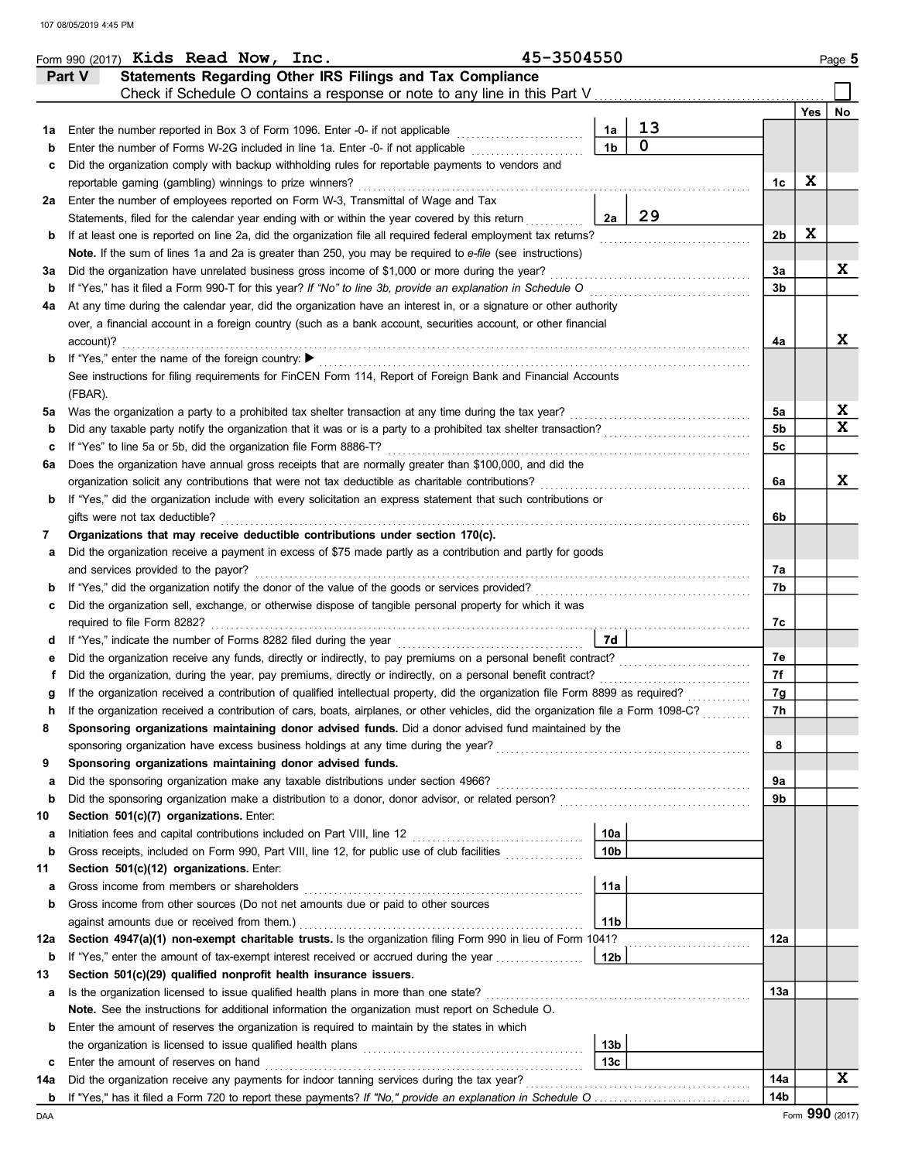|     |           | Form 990 $(2017)$ Kids Read Now, Inc.                   |  |                                                                                                                                         | 45-3504550 |                 |             |                |     | Page 5 |
|-----|-----------|---------------------------------------------------------|--|-----------------------------------------------------------------------------------------------------------------------------------------|------------|-----------------|-------------|----------------|-----|--------|
|     | Part V    |                                                         |  | Statements Regarding Other IRS Filings and Tax Compliance                                                                               |            |                 |             |                |     |        |
|     |           |                                                         |  | Check if Schedule O contains a response or note to any line in this Part V                                                              |            |                 |             |                |     |        |
|     |           |                                                         |  |                                                                                                                                         |            |                 |             |                | Yes | No     |
| 1а  |           |                                                         |  | Enter the number reported in Box 3 of Form 1096. Enter -0- if not applicable                                                            |            | 1a              | 13          |                |     |        |
| b   |           |                                                         |  | Enter the number of Forms W-2G included in line 1a. Enter -0- if not applicable                                                         |            | 1 <sub>b</sub>  | $\mathbf 0$ |                |     |        |
| с   |           |                                                         |  | Did the organization comply with backup withholding rules for reportable payments to vendors and                                        |            |                 |             |                |     |        |
|     |           | reportable gaming (gambling) winnings to prize winners? |  |                                                                                                                                         |            |                 |             | 1c             | x   |        |
| 2a  |           |                                                         |  | Enter the number of employees reported on Form W-3, Transmittal of Wage and Tax                                                         |            |                 |             |                |     |        |
|     |           |                                                         |  | Statements, filed for the calendar year ending with or within the year covered by this return                                           |            | 2a              | 29          |                |     |        |
| b   |           |                                                         |  | If at least one is reported on line 2a, did the organization file all required federal employment tax returns?                          |            |                 |             | 2b             | X   |        |
|     |           |                                                         |  | Note. If the sum of lines 1a and 2a is greater than 250, you may be required to e-file (see instructions)                               |            |                 |             |                |     |        |
| за  |           |                                                         |  | Did the organization have unrelated business gross income of \$1,000 or more during the year?                                           |            |                 |             | За             |     | x      |
| b   |           |                                                         |  | If "Yes," has it filed a Form 990-T for this year? If "No" to line 3b, provide an explanation in Schedule O                             |            |                 |             | 3b             |     |        |
| 4a  |           |                                                         |  | At any time during the calendar year, did the organization have an interest in, or a signature or other authority                       |            |                 |             |                |     |        |
|     |           |                                                         |  | over, a financial account in a foreign country (such as a bank account, securities account, or other financial                          |            |                 |             |                |     |        |
|     | account)? |                                                         |  |                                                                                                                                         |            |                 |             | 4a             |     | x      |
| b   |           | If "Yes," enter the name of the foreign country: ▶      |  |                                                                                                                                         |            |                 |             |                |     |        |
|     |           |                                                         |  | See instructions for filing requirements for FinCEN Form 114, Report of Foreign Bank and Financial Accounts                             |            |                 |             |                |     |        |
|     | (FBAR).   |                                                         |  |                                                                                                                                         |            |                 |             |                |     |        |
| 5a  |           |                                                         |  | Was the organization a party to a prohibited tax shelter transaction at any time during the tax year?                                   |            |                 |             | 5a             |     | X      |
| b   |           |                                                         |  |                                                                                                                                         |            |                 |             | 5b             |     | X      |
| c   |           |                                                         |  | If "Yes" to line 5a or 5b, did the organization file Form 8886-T?                                                                       |            |                 |             | 5c             |     |        |
| 6а  |           |                                                         |  | Does the organization have annual gross receipts that are normally greater than \$100,000, and did the                                  |            |                 |             |                |     |        |
|     |           |                                                         |  | organization solicit any contributions that were not tax deductible as charitable contributions?                                        |            |                 |             | 6a             |     | x      |
| b   |           |                                                         |  | If "Yes," did the organization include with every solicitation an express statement that such contributions or                          |            |                 |             |                |     |        |
|     |           | gifts were not tax deductible?                          |  |                                                                                                                                         |            |                 |             | 6b             |     |        |
| 7   |           |                                                         |  | Organizations that may receive deductible contributions under section 170(c).                                                           |            |                 |             |                |     |        |
| а   |           |                                                         |  | Did the organization receive a payment in excess of \$75 made partly as a contribution and partly for goods                             |            |                 |             |                |     |        |
|     |           | and services provided to the payor?                     |  |                                                                                                                                         |            |                 |             | 7а             |     |        |
| b   |           |                                                         |  | If "Yes," did the organization notify the donor of the value of the goods or services provided?                                         |            |                 |             | 7b             |     |        |
| с   |           |                                                         |  | Did the organization sell, exchange, or otherwise dispose of tangible personal property for which it was                                |            |                 |             |                |     |        |
|     |           | required to file Form 8282?                             |  |                                                                                                                                         |            |                 |             | 7c             |     |        |
| d   |           |                                                         |  |                                                                                                                                         |            | 7d              |             |                |     |        |
| е   |           |                                                         |  | Did the organization receive any funds, directly or indirectly, to pay premiums on a personal benefit contract?                         |            |                 |             | 7е             |     |        |
| f   |           |                                                         |  | Did the organization, during the year, pay premiums, directly or indirectly, on a personal benefit contract?                            |            |                 |             | 7f             |     |        |
|     |           |                                                         |  | If the organization received a contribution of qualified intellectual property, did the organization file Form 8899 as required?        |            |                 |             | 7g             |     |        |
|     |           |                                                         |  | If the organization received a contribution of cars, boats, airplanes, or other vehicles, did the organization file a Form 1098-C?      |            |                 |             | 7 <sub>h</sub> |     |        |
| 8   |           |                                                         |  | Sponsoring organizations maintaining donor advised funds. Did a donor advised fund maintained by the                                    |            |                 |             |                |     |        |
|     |           |                                                         |  | sponsoring organization have excess business holdings at any time during the year?                                                      |            |                 |             | 8              |     |        |
| 9   |           |                                                         |  | Sponsoring organizations maintaining donor advised funds.                                                                               |            |                 |             |                |     |        |
| а   |           |                                                         |  | Did the sponsoring organization make any taxable distributions under section 4966?                                                      |            |                 |             | 9а             |     |        |
| b   |           |                                                         |  | Did the sponsoring organization make a distribution to a donor, donor advisor, or related person?                                       |            |                 |             | 9b             |     |        |
| 10  |           | Section 501(c)(7) organizations. Enter:                 |  |                                                                                                                                         |            |                 |             |                |     |        |
| а   |           |                                                         |  |                                                                                                                                         |            | 10a             |             |                |     |        |
| b   |           |                                                         |  | Gross receipts, included on Form 990, Part VIII, line 12, for public use of club facilities                                             |            | 10 <sub>b</sub> |             |                |     |        |
| 11  |           | Section 501(c)(12) organizations. Enter:                |  |                                                                                                                                         |            |                 |             |                |     |        |
| а   |           | Gross income from members or shareholders               |  |                                                                                                                                         |            | 11a             |             |                |     |        |
| b   |           |                                                         |  | Gross income from other sources (Do not net amounts due or paid to other sources                                                        |            |                 |             |                |     |        |
|     |           | against amounts due or received from them.)             |  |                                                                                                                                         |            | 11 <sub>b</sub> |             |                |     |        |
| 12a |           |                                                         |  | Section 4947(a)(1) non-exempt charitable trusts. Is the organization filing Form 990 in lieu of Form 1041?                              |            |                 |             | 12a            |     |        |
| b   |           |                                                         |  | If "Yes," enter the amount of tax-exempt interest received or accrued during the year                                                   |            | 12b             |             |                |     |        |
| 13  |           |                                                         |  | Section 501(c)(29) qualified nonprofit health insurance issuers.                                                                        |            |                 |             |                |     |        |
| а   |           |                                                         |  | Is the organization licensed to issue qualified health plans in more than one state?                                                    |            |                 |             | 13а            |     |        |
|     |           |                                                         |  | Note. See the instructions for additional information the organization must report on Schedule O.                                       |            |                 |             |                |     |        |
| b   |           |                                                         |  | Enter the amount of reserves the organization is required to maintain by the states in which                                            |            |                 |             |                |     |        |
|     |           |                                                         |  | the organization is licensed to issue qualified health plans [11] contains the organization is licensed to issue qualified health plans |            | 13 <sub>b</sub> |             |                |     |        |
| c   |           | Enter the amount of reserves on hand                    |  |                                                                                                                                         |            | 13 <sub>c</sub> |             |                |     |        |
| 14a |           |                                                         |  | Did the organization receive any payments for indoor tanning services during the tax year?                                              |            |                 |             | 14a            |     | X      |
| b   |           |                                                         |  |                                                                                                                                         |            |                 |             | 14b            |     |        |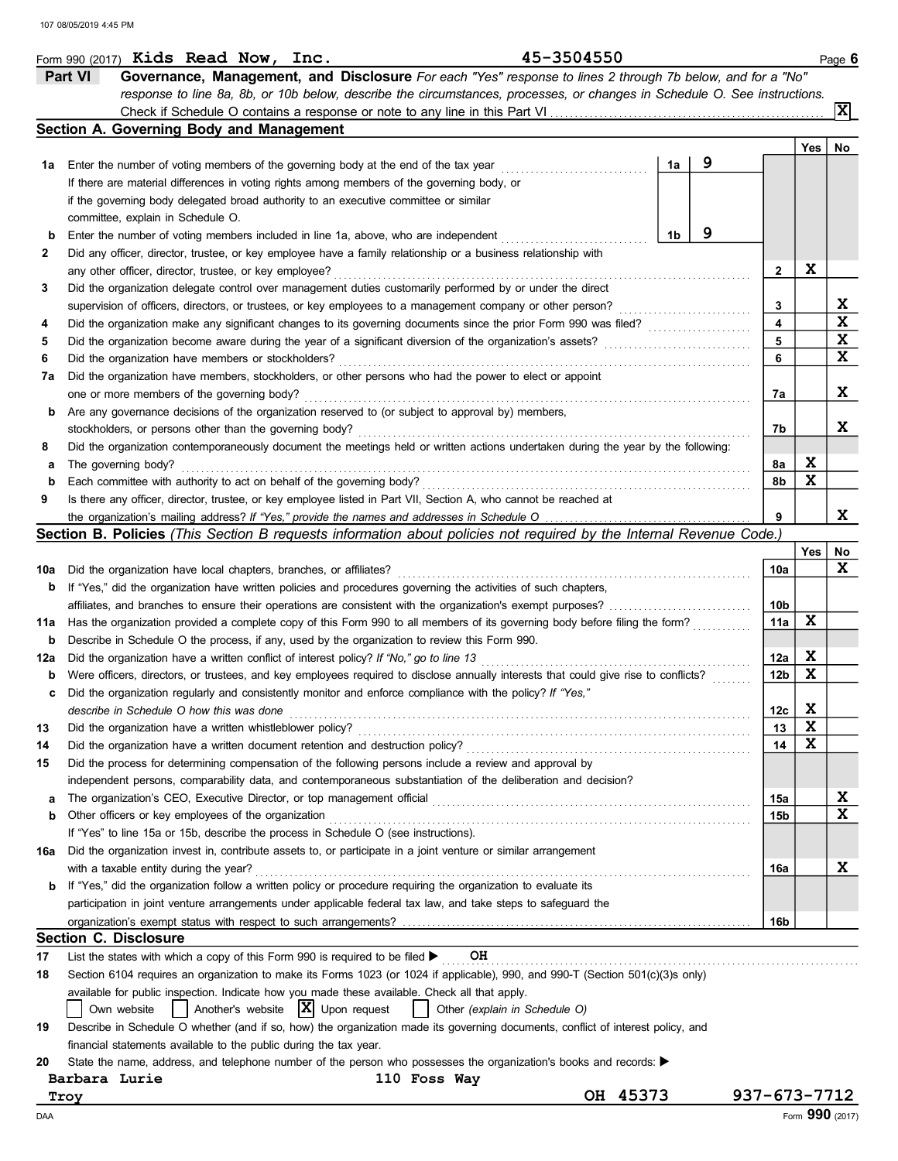|     | Form 990 (2017) Kids Read Now, Inc.                                                     |  |  | 45-3504550                                                                                                                          |    |   |                 |                 | Page 6 |
|-----|-----------------------------------------------------------------------------------------|--|--|-------------------------------------------------------------------------------------------------------------------------------------|----|---|-----------------|-----------------|--------|
|     | Part VI                                                                                 |  |  | Governance, Management, and Disclosure For each "Yes" response to lines 2 through 7b below, and for a "No"                          |    |   |                 |                 |        |
|     |                                                                                         |  |  | response to line 8a, 8b, or 10b below, describe the circumstances, processes, or changes in Schedule O. See instructions.           |    |   |                 |                 |        |
|     |                                                                                         |  |  |                                                                                                                                     |    |   |                 |                 | Ixl    |
|     | Section A. Governing Body and Management                                                |  |  |                                                                                                                                     |    |   |                 |                 |        |
|     |                                                                                         |  |  |                                                                                                                                     |    |   |                 | Yes             | No     |
| 1а  |                                                                                         |  |  | Enter the number of voting members of the governing body at the end of the tax year                                                 | 1a | 9 |                 |                 |        |
|     |                                                                                         |  |  | If there are material differences in voting rights among members of the governing body, or                                          |    |   |                 |                 |        |
|     |                                                                                         |  |  | if the governing body delegated broad authority to an executive committee or similar                                                |    |   |                 |                 |        |
|     | committee, explain in Schedule O.                                                       |  |  |                                                                                                                                     |    |   |                 |                 |        |
|     |                                                                                         |  |  |                                                                                                                                     | 1b | 9 |                 |                 |        |
| b   |                                                                                         |  |  | Enter the number of voting members included in line 1a, above, who are independent                                                  |    |   |                 |                 |        |
| 2   |                                                                                         |  |  | Did any officer, director, trustee, or key employee have a family relationship or a business relationship with                      |    |   |                 |                 |        |
|     | any other officer, director, trustee, or key employee?                                  |  |  |                                                                                                                                     |    |   | 2               | X               |        |
| 3   |                                                                                         |  |  | Did the organization delegate control over management duties customarily performed by or under the direct                           |    |   |                 |                 |        |
|     |                                                                                         |  |  | supervision of officers, directors, or trustees, or key employees to a management company or other person?                          |    |   | 3               |                 | X      |
| 4   |                                                                                         |  |  | Did the organization make any significant changes to its governing documents since the prior Form 990 was filed?                    |    |   | 4               |                 | X      |
| 5   |                                                                                         |  |  | Did the organization become aware during the year of a significant diversion of the organization's assets?                          |    |   | 5               |                 | X      |
| 6   | Did the organization have members or stockholders?                                      |  |  |                                                                                                                                     |    |   | 6               |                 | X      |
| 7а  |                                                                                         |  |  | Did the organization have members, stockholders, or other persons who had the power to elect or appoint                             |    |   |                 |                 |        |
|     | one or more members of the governing body?                                              |  |  |                                                                                                                                     |    |   | 7a              |                 | x      |
| b   |                                                                                         |  |  | Are any governance decisions of the organization reserved to (or subject to approval by) members,                                   |    |   |                 |                 |        |
|     | stockholders, or persons other than the governing body?                                 |  |  |                                                                                                                                     |    |   | 7b              |                 | x      |
| 8   |                                                                                         |  |  | Did the organization contemporaneously document the meetings held or written actions undertaken during the year by the following:   |    |   |                 |                 |        |
| а   | The governing body?                                                                     |  |  |                                                                                                                                     |    |   | 8а              | X               |        |
| b   | Each committee with authority to act on behalf of the governing body?                   |  |  |                                                                                                                                     |    |   | 8b              | X               |        |
| 9   |                                                                                         |  |  | Is there any officer, director, trustee, or key employee listed in Part VII, Section A, who cannot be reached at                    |    |   |                 |                 |        |
|     |                                                                                         |  |  | the organization's mailing address? If "Yes," provide the names and addresses in Schedule O                                         |    |   | 9               |                 | x      |
|     |                                                                                         |  |  | Section B. Policies (This Section B requests information about policies not required by the Internal Revenue Code.)                 |    |   |                 |                 |        |
|     |                                                                                         |  |  |                                                                                                                                     |    |   |                 | Yes             | No     |
| 10a | Did the organization have local chapters, branches, or affiliates?                      |  |  |                                                                                                                                     |    |   | 10a             |                 | x      |
| b   |                                                                                         |  |  | If "Yes," did the organization have written policies and procedures governing the activities of such chapters,                      |    |   |                 |                 |        |
|     |                                                                                         |  |  | affiliates, and branches to ensure their operations are consistent with the organization's exempt purposes?                         |    |   | 10b             |                 |        |
|     |                                                                                         |  |  |                                                                                                                                     |    |   | 11a             | X               |        |
| 11a |                                                                                         |  |  | Has the organization provided a complete copy of this Form 990 to all members of its governing body before filing the form?         |    |   |                 |                 |        |
| b   |                                                                                         |  |  | Describe in Schedule O the process, if any, used by the organization to review this Form 990.                                       |    |   |                 |                 |        |
| 12a | Did the organization have a written conflict of interest policy? If "No," go to line 13 |  |  |                                                                                                                                     |    |   | 12a             | Χ               |        |
| b   |                                                                                         |  |  | Were officers, directors, or trustees, and key employees required to disclose annually interests that could give rise to conflicts? |    |   | 12 <sub>b</sub> | $\mathbf x$     |        |
|     |                                                                                         |  |  | Did the organization regularly and consistently monitor and enforce compliance with the policy? If "Yes,"                           |    |   |                 |                 |        |
|     | describe in Schedule O how this was done                                                |  |  |                                                                                                                                     |    |   | 12c             | X               |        |
| 13  | Did the organization have a written whistleblower policy?                               |  |  |                                                                                                                                     |    |   | 13              | X               |        |
| 14  | Did the organization have a written document retention and destruction policy?          |  |  |                                                                                                                                     |    |   | 14              | X               |        |
| 15  |                                                                                         |  |  | Did the process for determining compensation of the following persons include a review and approval by                              |    |   |                 |                 |        |
|     |                                                                                         |  |  | independent persons, comparability data, and contemporaneous substantiation of the deliberation and decision?                       |    |   |                 |                 |        |
| а   | The organization's CEO, Executive Director, or top management official                  |  |  |                                                                                                                                     |    |   | 15a             |                 | X      |
| b   | Other officers or key employees of the organization                                     |  |  |                                                                                                                                     |    |   | 15b             |                 | X      |
|     | If "Yes" to line 15a or 15b, describe the process in Schedule O (see instructions).     |  |  |                                                                                                                                     |    |   |                 |                 |        |
| 16a |                                                                                         |  |  | Did the organization invest in, contribute assets to, or participate in a joint venture or similar arrangement                      |    |   |                 |                 |        |
|     | with a taxable entity during the year?                                                  |  |  |                                                                                                                                     |    |   | 16a             |                 | x      |
| b   |                                                                                         |  |  | If "Yes," did the organization follow a written policy or procedure requiring the organization to evaluate its                      |    |   |                 |                 |        |
|     |                                                                                         |  |  | participation in joint venture arrangements under applicable federal tax law, and take steps to safeguard the                       |    |   |                 |                 |        |
|     |                                                                                         |  |  |                                                                                                                                     |    |   | 16b             |                 |        |
|     | <b>Section C. Disclosure</b>                                                            |  |  |                                                                                                                                     |    |   |                 |                 |        |
| 17  | List the states with which a copy of this Form 990 is required to be filed >            |  |  | OH                                                                                                                                  |    |   |                 |                 |        |
|     |                                                                                         |  |  | Section 6104 requires an organization to make its Forms 1023 (or 1024 if applicable), 990, and 990-T (Section 501(c)(3)s only)      |    |   |                 |                 |        |
| 18  |                                                                                         |  |  |                                                                                                                                     |    |   |                 |                 |        |
|     |                                                                                         |  |  | available for public inspection. Indicate how you made these available. Check all that apply.                                       |    |   |                 |                 |        |
|     | Own website                                                                             |  |  | Another's website $ X $ Upon request<br>Other (explain in Schedule O)                                                               |    |   |                 |                 |        |
| 19  |                                                                                         |  |  | Describe in Schedule O whether (and if so, how) the organization made its governing documents, conflict of interest policy, and     |    |   |                 |                 |        |
|     | financial statements available to the public during the tax year.                       |  |  |                                                                                                                                     |    |   |                 |                 |        |
| 20  |                                                                                         |  |  | State the name, address, and telephone number of the person who possesses the organization's books and records: ▶                   |    |   |                 |                 |        |
|     | Barbara Lurie                                                                           |  |  | 110 Foss Way                                                                                                                        |    |   |                 |                 |        |
|     | Troy                                                                                    |  |  | OH 45373                                                                                                                            |    |   | 937-673-7712    |                 |        |
| DAA |                                                                                         |  |  |                                                                                                                                     |    |   |                 | Form 990 (2017) |        |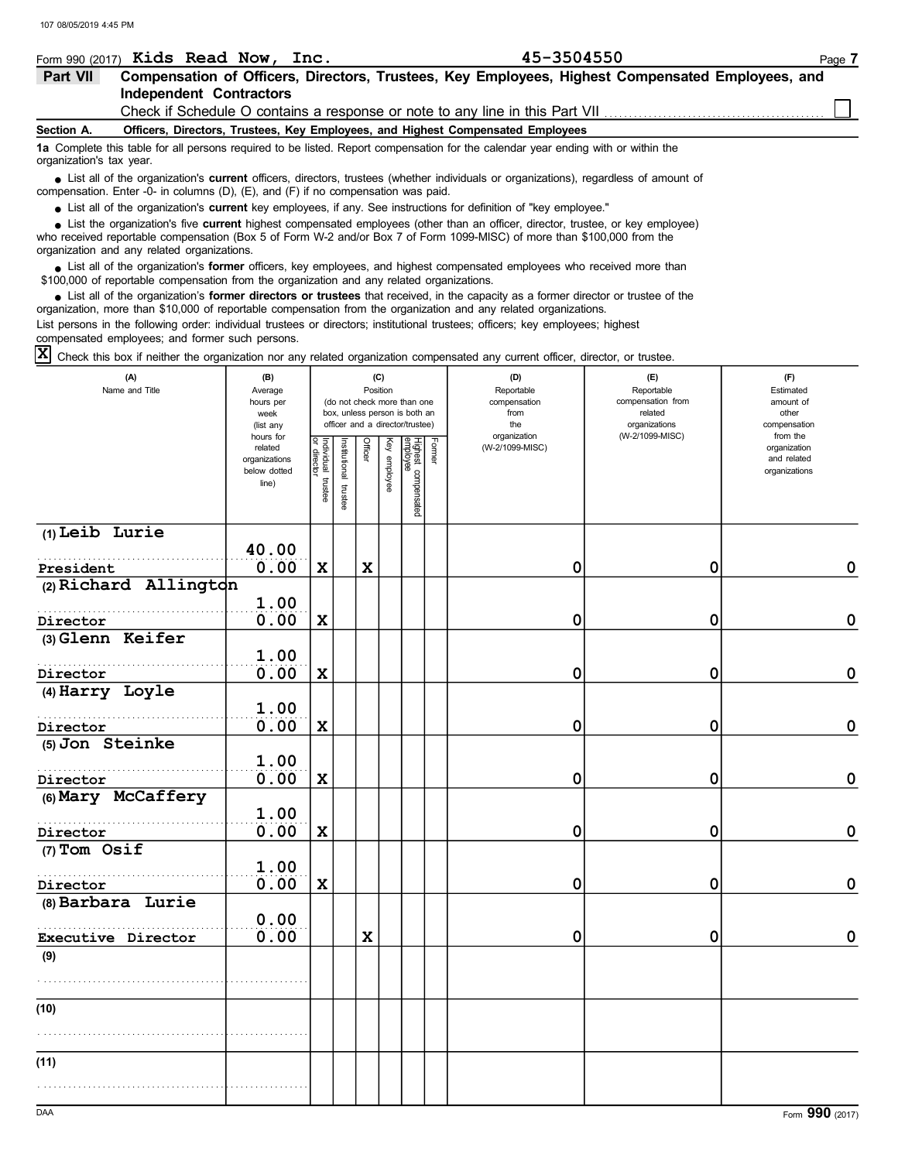|          | Form 990 $(2017)$ Kids Read Now, Inc.                                        | 45-3504550                                                                                       | Page 7 |
|----------|------------------------------------------------------------------------------|--------------------------------------------------------------------------------------------------|--------|
| Part VII |                                                                              | Compensation of Officers, Directors, Trustees, Key Employees, Highest Compensated Employees, and |        |
|          | Independent Contractors                                                      |                                                                                                  |        |
|          | Check if Schedule O contains a response or note to any line in this Part VII |                                                                                                  |        |

#### Section A. Officers, Directors, Trustees, Key Employees, and Highest Compensated Employees

1a Complete this table for all persons required to be listed. Report compensation for the calendar year ending with or within the organization's tax year.

 $\bullet$  List all of the organization's **current** officers, directors, trustees (whether individuals or organizations), regardless of amount of<br>prensation, Enter O, in columns (D), (E), and (E) if no compensation was paid compensation. Enter -0- in columns (D), (E), and (F) if no compensation was paid.

• List all of the organization's current key employees, if any. See instructions for definition of "key employee."

who received reportable compensation (Box 5 of Form W-2 and/or Box 7 of Form 1099-MISC) of more than \$100,000 from the organization and any related organizations. ● List the organization's five **current** highest compensated employees (other than an officer, director, trustee, or key employee)<br>• received reportable compensation (Box 5 of Form W-2 and/or Box 7 of Form 1099-MISC) of m

 $\bullet$  List all of the organization's **former** officers, key employees, and highest compensated employees who received more than<br>00.000 of reportable compensation from the organization and any related organizations \$100,000 of reportable compensation from the organization and any related organizations.

 $\bullet$  List all of the organization's **former directors or trustees** that received, in the capacity as a former director or trustee of the<br>anization, more than \$10,000 of reportable compensation from the organization and an organization, more than \$10,000 of reportable compensation from the organization and any related organizations. List persons in the following order: individual trustees or directors; institutional trustees; officers; key employees; highest compensated employees; and former such persons.

 $\bm{\mathbf{X}}$  Check this box if neither the organization nor any related organization compensated any current officer, director, or trustee.

| (A)<br>Name and Title | (B)<br>Average<br>hours per<br>week<br>(list any<br>hours for<br>related<br>organizations<br>below dotted | Individual<br>or director | nstitutional trustee | Position<br><b>Officer</b> | (C)<br>Key employee | (do not check more than one<br>box, unless person is both an<br>officer and a director/trustee)<br>Highest compensated<br>employee | Former | (D)<br>Reportable<br>compensation<br>from<br>the<br>organization<br>(W-2/1099-MISC) | (E)<br>Reportable<br>compensation from<br>related<br>organizations<br>(W-2/1099-MISC) | (F)<br>Estimated<br>amount of<br>other<br>compensation<br>from the<br>organization<br>and related<br>organizations |
|-----------------------|-----------------------------------------------------------------------------------------------------------|---------------------------|----------------------|----------------------------|---------------------|------------------------------------------------------------------------------------------------------------------------------------|--------|-------------------------------------------------------------------------------------|---------------------------------------------------------------------------------------|--------------------------------------------------------------------------------------------------------------------|
|                       | line)                                                                                                     | trustee                   |                      |                            |                     |                                                                                                                                    |        |                                                                                     |                                                                                       |                                                                                                                    |
| $(1)$ Leib Lurie      | 40.00                                                                                                     |                           |                      |                            |                     |                                                                                                                                    |        |                                                                                     |                                                                                       |                                                                                                                    |
| President             | 0.00                                                                                                      | $\mathbf x$               |                      | $\mathbf x$                |                     |                                                                                                                                    |        | 0                                                                                   | 0                                                                                     | 0                                                                                                                  |
| (2) Richard Allington |                                                                                                           |                           |                      |                            |                     |                                                                                                                                    |        |                                                                                     |                                                                                       |                                                                                                                    |
|                       | 1.00                                                                                                      |                           |                      |                            |                     |                                                                                                                                    |        |                                                                                     |                                                                                       |                                                                                                                    |
| Director              | 0.00                                                                                                      | X                         |                      |                            |                     |                                                                                                                                    |        | 0                                                                                   | 0                                                                                     | $\mathbf 0$                                                                                                        |
| (3) Glenn Keifer      |                                                                                                           |                           |                      |                            |                     |                                                                                                                                    |        |                                                                                     |                                                                                       |                                                                                                                    |
|                       | 1.00                                                                                                      |                           |                      |                            |                     |                                                                                                                                    |        |                                                                                     |                                                                                       |                                                                                                                    |
| Director              | 0.00                                                                                                      | $\mathbf x$               |                      |                            |                     |                                                                                                                                    |        | 0                                                                                   | 0                                                                                     | $\pmb{0}$                                                                                                          |
| (4) Harry Loyle       |                                                                                                           |                           |                      |                            |                     |                                                                                                                                    |        |                                                                                     |                                                                                       |                                                                                                                    |
|                       | 1.00                                                                                                      |                           |                      |                            |                     |                                                                                                                                    |        |                                                                                     |                                                                                       |                                                                                                                    |
| Director              | 0.00                                                                                                      | $\mathbf x$               |                      |                            |                     |                                                                                                                                    |        | 0                                                                                   | 0                                                                                     | $\mathbf 0$                                                                                                        |
| (5) Jon Steinke       |                                                                                                           |                           |                      |                            |                     |                                                                                                                                    |        |                                                                                     |                                                                                       |                                                                                                                    |
|                       | 1.00                                                                                                      |                           |                      |                            |                     |                                                                                                                                    |        |                                                                                     |                                                                                       |                                                                                                                    |
| Director              | 0.00                                                                                                      | $\mathbf x$               |                      |                            |                     |                                                                                                                                    |        | 0                                                                                   | 0                                                                                     | $\mathbf 0$                                                                                                        |
| (6) Mary McCaffery    |                                                                                                           |                           |                      |                            |                     |                                                                                                                                    |        |                                                                                     |                                                                                       |                                                                                                                    |
|                       | 1.00                                                                                                      |                           |                      |                            |                     |                                                                                                                                    |        |                                                                                     |                                                                                       |                                                                                                                    |
| Director              | 0.00                                                                                                      | X                         |                      |                            |                     |                                                                                                                                    |        | 0                                                                                   | 0                                                                                     | $\mathbf 0$                                                                                                        |
| $(7)$ Tom Osif        |                                                                                                           |                           |                      |                            |                     |                                                                                                                                    |        |                                                                                     |                                                                                       |                                                                                                                    |
|                       | 1.00                                                                                                      |                           |                      |                            |                     |                                                                                                                                    |        |                                                                                     |                                                                                       |                                                                                                                    |
| Director              | 0.00                                                                                                      | X                         |                      |                            |                     |                                                                                                                                    |        | 0                                                                                   | 0                                                                                     | $\mathbf 0$                                                                                                        |
| (8) Barbara Lurie     |                                                                                                           |                           |                      |                            |                     |                                                                                                                                    |        |                                                                                     |                                                                                       |                                                                                                                    |
|                       | 0.00<br>0.00                                                                                              |                           |                      | $\mathbf x$                |                     |                                                                                                                                    |        |                                                                                     |                                                                                       | $\mathbf 0$                                                                                                        |
| Executive Director    |                                                                                                           |                           |                      |                            |                     |                                                                                                                                    |        | 0                                                                                   | 0                                                                                     |                                                                                                                    |
| (9)                   |                                                                                                           |                           |                      |                            |                     |                                                                                                                                    |        |                                                                                     |                                                                                       |                                                                                                                    |
|                       |                                                                                                           |                           |                      |                            |                     |                                                                                                                                    |        |                                                                                     |                                                                                       |                                                                                                                    |
| (10)                  |                                                                                                           |                           |                      |                            |                     |                                                                                                                                    |        |                                                                                     |                                                                                       |                                                                                                                    |
|                       |                                                                                                           |                           |                      |                            |                     |                                                                                                                                    |        |                                                                                     |                                                                                       |                                                                                                                    |
|                       |                                                                                                           |                           |                      |                            |                     |                                                                                                                                    |        |                                                                                     |                                                                                       |                                                                                                                    |
| (11)                  |                                                                                                           |                           |                      |                            |                     |                                                                                                                                    |        |                                                                                     |                                                                                       |                                                                                                                    |
|                       |                                                                                                           |                           |                      |                            |                     |                                                                                                                                    |        |                                                                                     |                                                                                       |                                                                                                                    |
|                       |                                                                                                           |                           |                      |                            |                     |                                                                                                                                    |        |                                                                                     |                                                                                       |                                                                                                                    |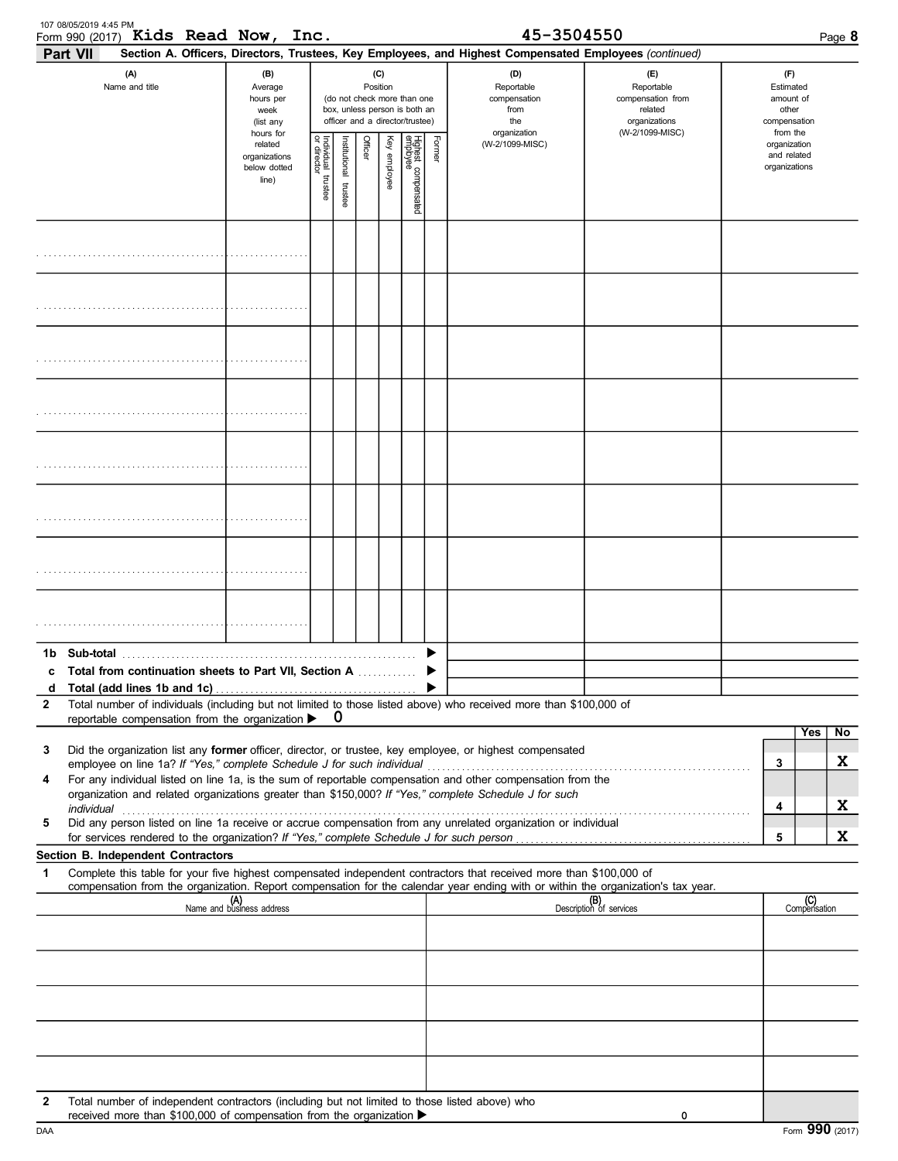|              | 107 08/05/2019 4:45 PM<br>Form 990 (2017) Kids Read Now, Inc.                                                                                                                                                                                                                                                                         |                                                                |                                                                                                 |                         |                |              |                                 |        | 45-3504550                                                                                                                                                 |                                                                    |                                                        |                                                          | Page 8              |         |
|--------------|---------------------------------------------------------------------------------------------------------------------------------------------------------------------------------------------------------------------------------------------------------------------------------------------------------------------------------------|----------------------------------------------------------------|-------------------------------------------------------------------------------------------------|-------------------------|----------------|--------------|---------------------------------|--------|------------------------------------------------------------------------------------------------------------------------------------------------------------|--------------------------------------------------------------------|--------------------------------------------------------|----------------------------------------------------------|---------------------|---------|
|              | Part VII<br>(A)<br>Name and title                                                                                                                                                                                                                                                                                                     | (B)<br>Average<br>hours per<br>week<br>(list any               | (do not check more than one<br>box, unless person is both an<br>officer and a director/trustee) |                         |                |              |                                 |        | Section A. Officers, Directors, Trustees, Key Employees, and Highest Compensated Employees (continued)<br>(D)<br>Reportable<br>compensation<br>from<br>the | (E)<br>Reportable<br>compensation from<br>related<br>organizations | (F)<br>Estimated<br>amount of<br>other<br>compensation |                                                          |                     |         |
|              |                                                                                                                                                                                                                                                                                                                                       | hours for<br>related<br>organizations<br>below dotted<br>line) | Individual trustee<br>or director                                                               | nstitutional<br>trustee | <b>Officer</b> | Key employee | Highest compensated<br>employee | Former | organization<br>(W-2/1099-MISC)                                                                                                                            | (W-2/1099-MISC)                                                    |                                                        | from the<br>organization<br>and related<br>organizations |                     |         |
|              |                                                                                                                                                                                                                                                                                                                                       |                                                                |                                                                                                 |                         |                |              |                                 |        |                                                                                                                                                            |                                                                    |                                                        |                                                          |                     |         |
|              |                                                                                                                                                                                                                                                                                                                                       |                                                                |                                                                                                 |                         |                |              |                                 |        |                                                                                                                                                            |                                                                    |                                                        |                                                          |                     |         |
|              |                                                                                                                                                                                                                                                                                                                                       |                                                                |                                                                                                 |                         |                |              |                                 |        |                                                                                                                                                            |                                                                    |                                                        |                                                          |                     |         |
|              |                                                                                                                                                                                                                                                                                                                                       |                                                                |                                                                                                 |                         |                |              |                                 |        |                                                                                                                                                            |                                                                    |                                                        |                                                          |                     |         |
|              |                                                                                                                                                                                                                                                                                                                                       |                                                                |                                                                                                 |                         |                |              |                                 |        |                                                                                                                                                            |                                                                    |                                                        |                                                          |                     |         |
|              |                                                                                                                                                                                                                                                                                                                                       |                                                                |                                                                                                 |                         |                |              |                                 |        |                                                                                                                                                            |                                                                    |                                                        |                                                          |                     |         |
|              |                                                                                                                                                                                                                                                                                                                                       |                                                                |                                                                                                 |                         |                |              |                                 |        |                                                                                                                                                            |                                                                    |                                                        |                                                          |                     |         |
|              |                                                                                                                                                                                                                                                                                                                                       |                                                                |                                                                                                 |                         |                |              |                                 |        |                                                                                                                                                            |                                                                    |                                                        |                                                          |                     |         |
| d            | Total from continuation sheets to Part VII, Section A                                                                                                                                                                                                                                                                                 |                                                                |                                                                                                 |                         |                |              |                                 |        |                                                                                                                                                            |                                                                    |                                                        |                                                          |                     |         |
| $\mathbf{2}$ | Total number of individuals (including but not limited to those listed above) who received more than \$100,000 of<br>reportable compensation from the organization $\blacktriangleright$ 0                                                                                                                                            |                                                                |                                                                                                 |                         |                |              |                                 |        |                                                                                                                                                            |                                                                    |                                                        |                                                          |                     |         |
| 3            | Did the organization list any former officer, director, or trustee, key employee, or highest compensated                                                                                                                                                                                                                              |                                                                |                                                                                                 |                         |                |              |                                 |        |                                                                                                                                                            |                                                                    |                                                        | 3                                                        | Yes                 | No<br>X |
| 4            | For any individual listed on line 1a, is the sum of reportable compensation and other compensation from the<br>organization and related organizations greater than \$150,000? If "Yes," complete Schedule J for such<br>Did any person listed on line 1a receive or accrue compensation from any unrelated organization or individual |                                                                |                                                                                                 |                         |                |              |                                 |        |                                                                                                                                                            |                                                                    |                                                        | 4                                                        |                     | X       |
| 5            |                                                                                                                                                                                                                                                                                                                                       |                                                                |                                                                                                 |                         |                |              |                                 |        |                                                                                                                                                            |                                                                    |                                                        | 5                                                        |                     | X       |
| $\mathbf 1$  | Section B. Independent Contractors<br>Complete this table for your five highest compensated independent contractors that received more than \$100,000 of                                                                                                                                                                              |                                                                |                                                                                                 |                         |                |              |                                 |        |                                                                                                                                                            |                                                                    |                                                        |                                                          |                     |         |
|              | compensation from the organization. Report compensation for the calendar year ending with or within the organization's tax year.                                                                                                                                                                                                      | (A)<br>Name and business address                               |                                                                                                 |                         |                |              |                                 |        |                                                                                                                                                            | (B)<br>Description of services                                     |                                                        |                                                          | (C)<br>Compensation |         |
|              |                                                                                                                                                                                                                                                                                                                                       |                                                                |                                                                                                 |                         |                |              |                                 |        |                                                                                                                                                            |                                                                    |                                                        |                                                          |                     |         |
|              |                                                                                                                                                                                                                                                                                                                                       |                                                                |                                                                                                 |                         |                |              |                                 |        |                                                                                                                                                            |                                                                    |                                                        |                                                          |                     |         |
|              |                                                                                                                                                                                                                                                                                                                                       |                                                                |                                                                                                 |                         |                |              |                                 |        |                                                                                                                                                            |                                                                    |                                                        |                                                          |                     |         |
|              |                                                                                                                                                                                                                                                                                                                                       |                                                                |                                                                                                 |                         |                |              |                                 |        |                                                                                                                                                            |                                                                    |                                                        |                                                          |                     |         |
|              |                                                                                                                                                                                                                                                                                                                                       |                                                                |                                                                                                 |                         |                |              |                                 |        |                                                                                                                                                            |                                                                    |                                                        |                                                          |                     |         |
| 2            | Total number of independent contractors (including but not limited to those listed above) who<br>received more than \$100,000 of compensation from the organization ▶                                                                                                                                                                 |                                                                |                                                                                                 |                         |                |              |                                 |        |                                                                                                                                                            | 0                                                                  |                                                        |                                                          |                     |         |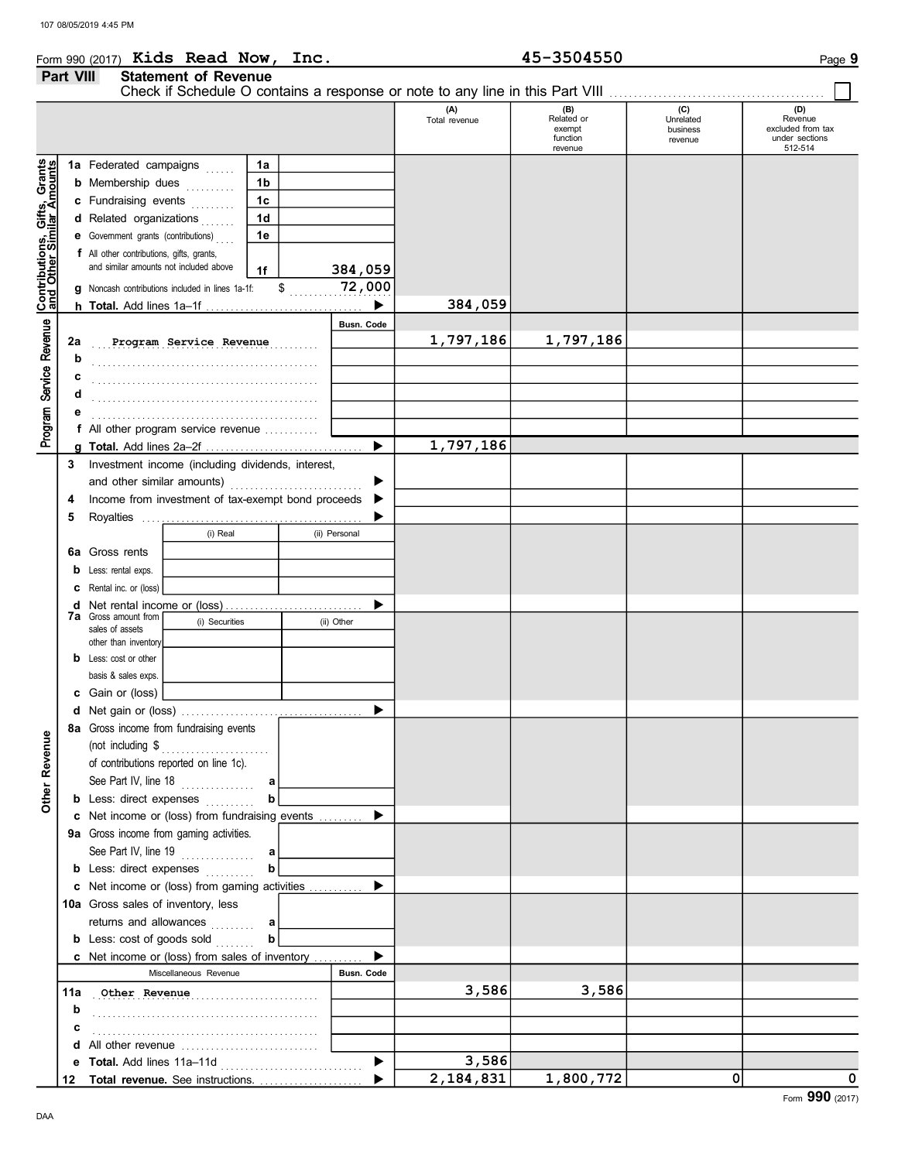# Form 990 (2017) Kids Read Now, Inc.<br>
Part VIII Statement of Revenue<br>  $\frac{45-3504550}{25}$ Kids Read Now, Inc. 45-3504550

# Part VIII Statement of Revenue

| Contributions, Gifts, Grants<br>and Other Similar Amounts<br>1a Federated campaigns<br>1a<br>1b<br><b>b</b> Membership dues<br>1 <sub>c</sub><br>c Fundraising events<br>d Related organizations<br>1d<br>1e<br>e Government grants (contributions)<br>f All other contributions, gifts, grants,<br>and similar amounts not included above<br>384,059<br>1f<br>$$$ 72,000<br><b>g</b> Noncash contributions included in lines 1a-1f:<br>384,059<br>▶<br>Program Service Revenue<br>Busn. Code<br>1,797,186<br>1,797,186<br>2a<br>Program Service Revenue<br>b<br>c<br>d<br>е<br>f All other program service revenue<br>1,797,186<br>▶<br>Investment income (including dividends, interest,<br>3<br>and other similar amounts)<br>Income from investment of tax-exempt bond proceeds<br>4<br>5<br>(i) Real<br>(ii) Personal<br><b>6a</b> Gross rents<br><b>b</b> Less: rental exps.<br><b>C</b> Rental inc. or (loss)<br>▶<br><b>7a</b> Gross amount from<br>(i) Securities<br>(ii) Other<br>sales of assets<br>other than inventory<br><b>b</b> Less: cost or other<br>basis & sales exps.<br>c Gain or (loss)<br>▶<br>8a Gross income from fundraising events<br>enue<br>(not including \$<br>Other Rev<br>of contributions reported on line 1c).<br>See Part IV, line 18<br>a<br><b>b</b> Less: direct expenses<br>b<br>c Net income or (loss) from fundraising events<br>▶<br>9a Gross income from gaming activities.<br>See Part IV, line 19<br>a<br><b>b</b> Less: direct expenses<br>b<br>c Net income or (loss) from gaming activities<br>▶<br>10a Gross sales of inventory, less<br>returns and allowances<br>a<br><b>b</b> Less: cost of goods sold<br>b<br><b>c</b> Net income or (loss) from sales of inventory<br>Miscellaneous Revenue<br><b>Busn. Code</b><br>3,586<br>3,586<br>11a<br>Other Revenue<br>b<br>с<br>All other revenue<br>d<br>3,586<br>▶<br>0<br>2,184,831<br>0<br>1,800,772<br>Total revenue. See instructions.<br>12 |  |  |  |  |  |  | (A)<br>Total revenue | (B)<br>Related or<br>exempt<br>function | (C)<br>Unrelated<br>business<br>revenue | (D)<br>Revenue<br>excluded from tax<br>under sections |
|----------------------------------------------------------------------------------------------------------------------------------------------------------------------------------------------------------------------------------------------------------------------------------------------------------------------------------------------------------------------------------------------------------------------------------------------------------------------------------------------------------------------------------------------------------------------------------------------------------------------------------------------------------------------------------------------------------------------------------------------------------------------------------------------------------------------------------------------------------------------------------------------------------------------------------------------------------------------------------------------------------------------------------------------------------------------------------------------------------------------------------------------------------------------------------------------------------------------------------------------------------------------------------------------------------------------------------------------------------------------------------------------------------------------------------------------------------------------------------------------------------------------------------------------------------------------------------------------------------------------------------------------------------------------------------------------------------------------------------------------------------------------------------------------------------------------------------------------------------------------------------------------------------------------------------------------------|--|--|--|--|--|--|----------------------|-----------------------------------------|-----------------------------------------|-------------------------------------------------------|
|                                                                                                                                                                                                                                                                                                                                                                                                                                                                                                                                                                                                                                                                                                                                                                                                                                                                                                                                                                                                                                                                                                                                                                                                                                                                                                                                                                                                                                                                                                                                                                                                                                                                                                                                                                                                                                                                                                                                                    |  |  |  |  |  |  |                      | revenue                                 |                                         | 512-514                                               |
|                                                                                                                                                                                                                                                                                                                                                                                                                                                                                                                                                                                                                                                                                                                                                                                                                                                                                                                                                                                                                                                                                                                                                                                                                                                                                                                                                                                                                                                                                                                                                                                                                                                                                                                                                                                                                                                                                                                                                    |  |  |  |  |  |  |                      |                                         |                                         |                                                       |
|                                                                                                                                                                                                                                                                                                                                                                                                                                                                                                                                                                                                                                                                                                                                                                                                                                                                                                                                                                                                                                                                                                                                                                                                                                                                                                                                                                                                                                                                                                                                                                                                                                                                                                                                                                                                                                                                                                                                                    |  |  |  |  |  |  |                      |                                         |                                         |                                                       |
|                                                                                                                                                                                                                                                                                                                                                                                                                                                                                                                                                                                                                                                                                                                                                                                                                                                                                                                                                                                                                                                                                                                                                                                                                                                                                                                                                                                                                                                                                                                                                                                                                                                                                                                                                                                                                                                                                                                                                    |  |  |  |  |  |  |                      |                                         |                                         |                                                       |
|                                                                                                                                                                                                                                                                                                                                                                                                                                                                                                                                                                                                                                                                                                                                                                                                                                                                                                                                                                                                                                                                                                                                                                                                                                                                                                                                                                                                                                                                                                                                                                                                                                                                                                                                                                                                                                                                                                                                                    |  |  |  |  |  |  |                      |                                         |                                         |                                                       |
|                                                                                                                                                                                                                                                                                                                                                                                                                                                                                                                                                                                                                                                                                                                                                                                                                                                                                                                                                                                                                                                                                                                                                                                                                                                                                                                                                                                                                                                                                                                                                                                                                                                                                                                                                                                                                                                                                                                                                    |  |  |  |  |  |  |                      |                                         |                                         |                                                       |
|                                                                                                                                                                                                                                                                                                                                                                                                                                                                                                                                                                                                                                                                                                                                                                                                                                                                                                                                                                                                                                                                                                                                                                                                                                                                                                                                                                                                                                                                                                                                                                                                                                                                                                                                                                                                                                                                                                                                                    |  |  |  |  |  |  |                      |                                         |                                         |                                                       |
|                                                                                                                                                                                                                                                                                                                                                                                                                                                                                                                                                                                                                                                                                                                                                                                                                                                                                                                                                                                                                                                                                                                                                                                                                                                                                                                                                                                                                                                                                                                                                                                                                                                                                                                                                                                                                                                                                                                                                    |  |  |  |  |  |  |                      |                                         |                                         |                                                       |
|                                                                                                                                                                                                                                                                                                                                                                                                                                                                                                                                                                                                                                                                                                                                                                                                                                                                                                                                                                                                                                                                                                                                                                                                                                                                                                                                                                                                                                                                                                                                                                                                                                                                                                                                                                                                                                                                                                                                                    |  |  |  |  |  |  |                      |                                         |                                         |                                                       |
|                                                                                                                                                                                                                                                                                                                                                                                                                                                                                                                                                                                                                                                                                                                                                                                                                                                                                                                                                                                                                                                                                                                                                                                                                                                                                                                                                                                                                                                                                                                                                                                                                                                                                                                                                                                                                                                                                                                                                    |  |  |  |  |  |  |                      |                                         |                                         |                                                       |
|                                                                                                                                                                                                                                                                                                                                                                                                                                                                                                                                                                                                                                                                                                                                                                                                                                                                                                                                                                                                                                                                                                                                                                                                                                                                                                                                                                                                                                                                                                                                                                                                                                                                                                                                                                                                                                                                                                                                                    |  |  |  |  |  |  |                      |                                         |                                         |                                                       |
|                                                                                                                                                                                                                                                                                                                                                                                                                                                                                                                                                                                                                                                                                                                                                                                                                                                                                                                                                                                                                                                                                                                                                                                                                                                                                                                                                                                                                                                                                                                                                                                                                                                                                                                                                                                                                                                                                                                                                    |  |  |  |  |  |  |                      |                                         |                                         |                                                       |
|                                                                                                                                                                                                                                                                                                                                                                                                                                                                                                                                                                                                                                                                                                                                                                                                                                                                                                                                                                                                                                                                                                                                                                                                                                                                                                                                                                                                                                                                                                                                                                                                                                                                                                                                                                                                                                                                                                                                                    |  |  |  |  |  |  |                      |                                         |                                         |                                                       |
|                                                                                                                                                                                                                                                                                                                                                                                                                                                                                                                                                                                                                                                                                                                                                                                                                                                                                                                                                                                                                                                                                                                                                                                                                                                                                                                                                                                                                                                                                                                                                                                                                                                                                                                                                                                                                                                                                                                                                    |  |  |  |  |  |  |                      |                                         |                                         |                                                       |
|                                                                                                                                                                                                                                                                                                                                                                                                                                                                                                                                                                                                                                                                                                                                                                                                                                                                                                                                                                                                                                                                                                                                                                                                                                                                                                                                                                                                                                                                                                                                                                                                                                                                                                                                                                                                                                                                                                                                                    |  |  |  |  |  |  |                      |                                         |                                         |                                                       |
|                                                                                                                                                                                                                                                                                                                                                                                                                                                                                                                                                                                                                                                                                                                                                                                                                                                                                                                                                                                                                                                                                                                                                                                                                                                                                                                                                                                                                                                                                                                                                                                                                                                                                                                                                                                                                                                                                                                                                    |  |  |  |  |  |  |                      |                                         |                                         |                                                       |
|                                                                                                                                                                                                                                                                                                                                                                                                                                                                                                                                                                                                                                                                                                                                                                                                                                                                                                                                                                                                                                                                                                                                                                                                                                                                                                                                                                                                                                                                                                                                                                                                                                                                                                                                                                                                                                                                                                                                                    |  |  |  |  |  |  |                      |                                         |                                         |                                                       |
|                                                                                                                                                                                                                                                                                                                                                                                                                                                                                                                                                                                                                                                                                                                                                                                                                                                                                                                                                                                                                                                                                                                                                                                                                                                                                                                                                                                                                                                                                                                                                                                                                                                                                                                                                                                                                                                                                                                                                    |  |  |  |  |  |  |                      |                                         |                                         |                                                       |
|                                                                                                                                                                                                                                                                                                                                                                                                                                                                                                                                                                                                                                                                                                                                                                                                                                                                                                                                                                                                                                                                                                                                                                                                                                                                                                                                                                                                                                                                                                                                                                                                                                                                                                                                                                                                                                                                                                                                                    |  |  |  |  |  |  |                      |                                         |                                         |                                                       |
|                                                                                                                                                                                                                                                                                                                                                                                                                                                                                                                                                                                                                                                                                                                                                                                                                                                                                                                                                                                                                                                                                                                                                                                                                                                                                                                                                                                                                                                                                                                                                                                                                                                                                                                                                                                                                                                                                                                                                    |  |  |  |  |  |  |                      |                                         |                                         |                                                       |
|                                                                                                                                                                                                                                                                                                                                                                                                                                                                                                                                                                                                                                                                                                                                                                                                                                                                                                                                                                                                                                                                                                                                                                                                                                                                                                                                                                                                                                                                                                                                                                                                                                                                                                                                                                                                                                                                                                                                                    |  |  |  |  |  |  |                      |                                         |                                         |                                                       |
|                                                                                                                                                                                                                                                                                                                                                                                                                                                                                                                                                                                                                                                                                                                                                                                                                                                                                                                                                                                                                                                                                                                                                                                                                                                                                                                                                                                                                                                                                                                                                                                                                                                                                                                                                                                                                                                                                                                                                    |  |  |  |  |  |  |                      |                                         |                                         |                                                       |
|                                                                                                                                                                                                                                                                                                                                                                                                                                                                                                                                                                                                                                                                                                                                                                                                                                                                                                                                                                                                                                                                                                                                                                                                                                                                                                                                                                                                                                                                                                                                                                                                                                                                                                                                                                                                                                                                                                                                                    |  |  |  |  |  |  |                      |                                         |                                         |                                                       |
|                                                                                                                                                                                                                                                                                                                                                                                                                                                                                                                                                                                                                                                                                                                                                                                                                                                                                                                                                                                                                                                                                                                                                                                                                                                                                                                                                                                                                                                                                                                                                                                                                                                                                                                                                                                                                                                                                                                                                    |  |  |  |  |  |  |                      |                                         |                                         |                                                       |
|                                                                                                                                                                                                                                                                                                                                                                                                                                                                                                                                                                                                                                                                                                                                                                                                                                                                                                                                                                                                                                                                                                                                                                                                                                                                                                                                                                                                                                                                                                                                                                                                                                                                                                                                                                                                                                                                                                                                                    |  |  |  |  |  |  |                      |                                         |                                         |                                                       |
|                                                                                                                                                                                                                                                                                                                                                                                                                                                                                                                                                                                                                                                                                                                                                                                                                                                                                                                                                                                                                                                                                                                                                                                                                                                                                                                                                                                                                                                                                                                                                                                                                                                                                                                                                                                                                                                                                                                                                    |  |  |  |  |  |  |                      |                                         |                                         |                                                       |
|                                                                                                                                                                                                                                                                                                                                                                                                                                                                                                                                                                                                                                                                                                                                                                                                                                                                                                                                                                                                                                                                                                                                                                                                                                                                                                                                                                                                                                                                                                                                                                                                                                                                                                                                                                                                                                                                                                                                                    |  |  |  |  |  |  |                      |                                         |                                         |                                                       |
|                                                                                                                                                                                                                                                                                                                                                                                                                                                                                                                                                                                                                                                                                                                                                                                                                                                                                                                                                                                                                                                                                                                                                                                                                                                                                                                                                                                                                                                                                                                                                                                                                                                                                                                                                                                                                                                                                                                                                    |  |  |  |  |  |  |                      |                                         |                                         |                                                       |
|                                                                                                                                                                                                                                                                                                                                                                                                                                                                                                                                                                                                                                                                                                                                                                                                                                                                                                                                                                                                                                                                                                                                                                                                                                                                                                                                                                                                                                                                                                                                                                                                                                                                                                                                                                                                                                                                                                                                                    |  |  |  |  |  |  |                      |                                         |                                         |                                                       |
|                                                                                                                                                                                                                                                                                                                                                                                                                                                                                                                                                                                                                                                                                                                                                                                                                                                                                                                                                                                                                                                                                                                                                                                                                                                                                                                                                                                                                                                                                                                                                                                                                                                                                                                                                                                                                                                                                                                                                    |  |  |  |  |  |  |                      |                                         |                                         |                                                       |
|                                                                                                                                                                                                                                                                                                                                                                                                                                                                                                                                                                                                                                                                                                                                                                                                                                                                                                                                                                                                                                                                                                                                                                                                                                                                                                                                                                                                                                                                                                                                                                                                                                                                                                                                                                                                                                                                                                                                                    |  |  |  |  |  |  |                      |                                         |                                         |                                                       |
|                                                                                                                                                                                                                                                                                                                                                                                                                                                                                                                                                                                                                                                                                                                                                                                                                                                                                                                                                                                                                                                                                                                                                                                                                                                                                                                                                                                                                                                                                                                                                                                                                                                                                                                                                                                                                                                                                                                                                    |  |  |  |  |  |  |                      |                                         |                                         |                                                       |
|                                                                                                                                                                                                                                                                                                                                                                                                                                                                                                                                                                                                                                                                                                                                                                                                                                                                                                                                                                                                                                                                                                                                                                                                                                                                                                                                                                                                                                                                                                                                                                                                                                                                                                                                                                                                                                                                                                                                                    |  |  |  |  |  |  |                      |                                         |                                         |                                                       |
|                                                                                                                                                                                                                                                                                                                                                                                                                                                                                                                                                                                                                                                                                                                                                                                                                                                                                                                                                                                                                                                                                                                                                                                                                                                                                                                                                                                                                                                                                                                                                                                                                                                                                                                                                                                                                                                                                                                                                    |  |  |  |  |  |  |                      |                                         |                                         |                                                       |
|                                                                                                                                                                                                                                                                                                                                                                                                                                                                                                                                                                                                                                                                                                                                                                                                                                                                                                                                                                                                                                                                                                                                                                                                                                                                                                                                                                                                                                                                                                                                                                                                                                                                                                                                                                                                                                                                                                                                                    |  |  |  |  |  |  |                      |                                         |                                         |                                                       |
|                                                                                                                                                                                                                                                                                                                                                                                                                                                                                                                                                                                                                                                                                                                                                                                                                                                                                                                                                                                                                                                                                                                                                                                                                                                                                                                                                                                                                                                                                                                                                                                                                                                                                                                                                                                                                                                                                                                                                    |  |  |  |  |  |  |                      |                                         |                                         |                                                       |
|                                                                                                                                                                                                                                                                                                                                                                                                                                                                                                                                                                                                                                                                                                                                                                                                                                                                                                                                                                                                                                                                                                                                                                                                                                                                                                                                                                                                                                                                                                                                                                                                                                                                                                                                                                                                                                                                                                                                                    |  |  |  |  |  |  |                      |                                         |                                         |                                                       |
|                                                                                                                                                                                                                                                                                                                                                                                                                                                                                                                                                                                                                                                                                                                                                                                                                                                                                                                                                                                                                                                                                                                                                                                                                                                                                                                                                                                                                                                                                                                                                                                                                                                                                                                                                                                                                                                                                                                                                    |  |  |  |  |  |  |                      |                                         |                                         |                                                       |
|                                                                                                                                                                                                                                                                                                                                                                                                                                                                                                                                                                                                                                                                                                                                                                                                                                                                                                                                                                                                                                                                                                                                                                                                                                                                                                                                                                                                                                                                                                                                                                                                                                                                                                                                                                                                                                                                                                                                                    |  |  |  |  |  |  |                      |                                         |                                         |                                                       |
|                                                                                                                                                                                                                                                                                                                                                                                                                                                                                                                                                                                                                                                                                                                                                                                                                                                                                                                                                                                                                                                                                                                                                                                                                                                                                                                                                                                                                                                                                                                                                                                                                                                                                                                                                                                                                                                                                                                                                    |  |  |  |  |  |  |                      |                                         |                                         |                                                       |
|                                                                                                                                                                                                                                                                                                                                                                                                                                                                                                                                                                                                                                                                                                                                                                                                                                                                                                                                                                                                                                                                                                                                                                                                                                                                                                                                                                                                                                                                                                                                                                                                                                                                                                                                                                                                                                                                                                                                                    |  |  |  |  |  |  |                      |                                         |                                         |                                                       |
|                                                                                                                                                                                                                                                                                                                                                                                                                                                                                                                                                                                                                                                                                                                                                                                                                                                                                                                                                                                                                                                                                                                                                                                                                                                                                                                                                                                                                                                                                                                                                                                                                                                                                                                                                                                                                                                                                                                                                    |  |  |  |  |  |  |                      |                                         |                                         |                                                       |
|                                                                                                                                                                                                                                                                                                                                                                                                                                                                                                                                                                                                                                                                                                                                                                                                                                                                                                                                                                                                                                                                                                                                                                                                                                                                                                                                                                                                                                                                                                                                                                                                                                                                                                                                                                                                                                                                                                                                                    |  |  |  |  |  |  |                      |                                         |                                         |                                                       |
|                                                                                                                                                                                                                                                                                                                                                                                                                                                                                                                                                                                                                                                                                                                                                                                                                                                                                                                                                                                                                                                                                                                                                                                                                                                                                                                                                                                                                                                                                                                                                                                                                                                                                                                                                                                                                                                                                                                                                    |  |  |  |  |  |  |                      |                                         |                                         |                                                       |
|                                                                                                                                                                                                                                                                                                                                                                                                                                                                                                                                                                                                                                                                                                                                                                                                                                                                                                                                                                                                                                                                                                                                                                                                                                                                                                                                                                                                                                                                                                                                                                                                                                                                                                                                                                                                                                                                                                                                                    |  |  |  |  |  |  |                      |                                         |                                         |                                                       |
|                                                                                                                                                                                                                                                                                                                                                                                                                                                                                                                                                                                                                                                                                                                                                                                                                                                                                                                                                                                                                                                                                                                                                                                                                                                                                                                                                                                                                                                                                                                                                                                                                                                                                                                                                                                                                                                                                                                                                    |  |  |  |  |  |  |                      |                                         |                                         |                                                       |
|                                                                                                                                                                                                                                                                                                                                                                                                                                                                                                                                                                                                                                                                                                                                                                                                                                                                                                                                                                                                                                                                                                                                                                                                                                                                                                                                                                                                                                                                                                                                                                                                                                                                                                                                                                                                                                                                                                                                                    |  |  |  |  |  |  |                      |                                         |                                         |                                                       |
|                                                                                                                                                                                                                                                                                                                                                                                                                                                                                                                                                                                                                                                                                                                                                                                                                                                                                                                                                                                                                                                                                                                                                                                                                                                                                                                                                                                                                                                                                                                                                                                                                                                                                                                                                                                                                                                                                                                                                    |  |  |  |  |  |  |                      |                                         |                                         |                                                       |
|                                                                                                                                                                                                                                                                                                                                                                                                                                                                                                                                                                                                                                                                                                                                                                                                                                                                                                                                                                                                                                                                                                                                                                                                                                                                                                                                                                                                                                                                                                                                                                                                                                                                                                                                                                                                                                                                                                                                                    |  |  |  |  |  |  |                      |                                         |                                         |                                                       |
|                                                                                                                                                                                                                                                                                                                                                                                                                                                                                                                                                                                                                                                                                                                                                                                                                                                                                                                                                                                                                                                                                                                                                                                                                                                                                                                                                                                                                                                                                                                                                                                                                                                                                                                                                                                                                                                                                                                                                    |  |  |  |  |  |  |                      |                                         |                                         |                                                       |
|                                                                                                                                                                                                                                                                                                                                                                                                                                                                                                                                                                                                                                                                                                                                                                                                                                                                                                                                                                                                                                                                                                                                                                                                                                                                                                                                                                                                                                                                                                                                                                                                                                                                                                                                                                                                                                                                                                                                                    |  |  |  |  |  |  |                      |                                         |                                         |                                                       |
|                                                                                                                                                                                                                                                                                                                                                                                                                                                                                                                                                                                                                                                                                                                                                                                                                                                                                                                                                                                                                                                                                                                                                                                                                                                                                                                                                                                                                                                                                                                                                                                                                                                                                                                                                                                                                                                                                                                                                    |  |  |  |  |  |  |                      |                                         |                                         |                                                       |
|                                                                                                                                                                                                                                                                                                                                                                                                                                                                                                                                                                                                                                                                                                                                                                                                                                                                                                                                                                                                                                                                                                                                                                                                                                                                                                                                                                                                                                                                                                                                                                                                                                                                                                                                                                                                                                                                                                                                                    |  |  |  |  |  |  |                      |                                         |                                         | Form 990 (2017)                                       |

Check if Schedule O contains a response or note to any line in this Part VIII . . . . . . . . . . . . . . . . . . . . . . . . . . . . . . . . . . . . . . . . . . . .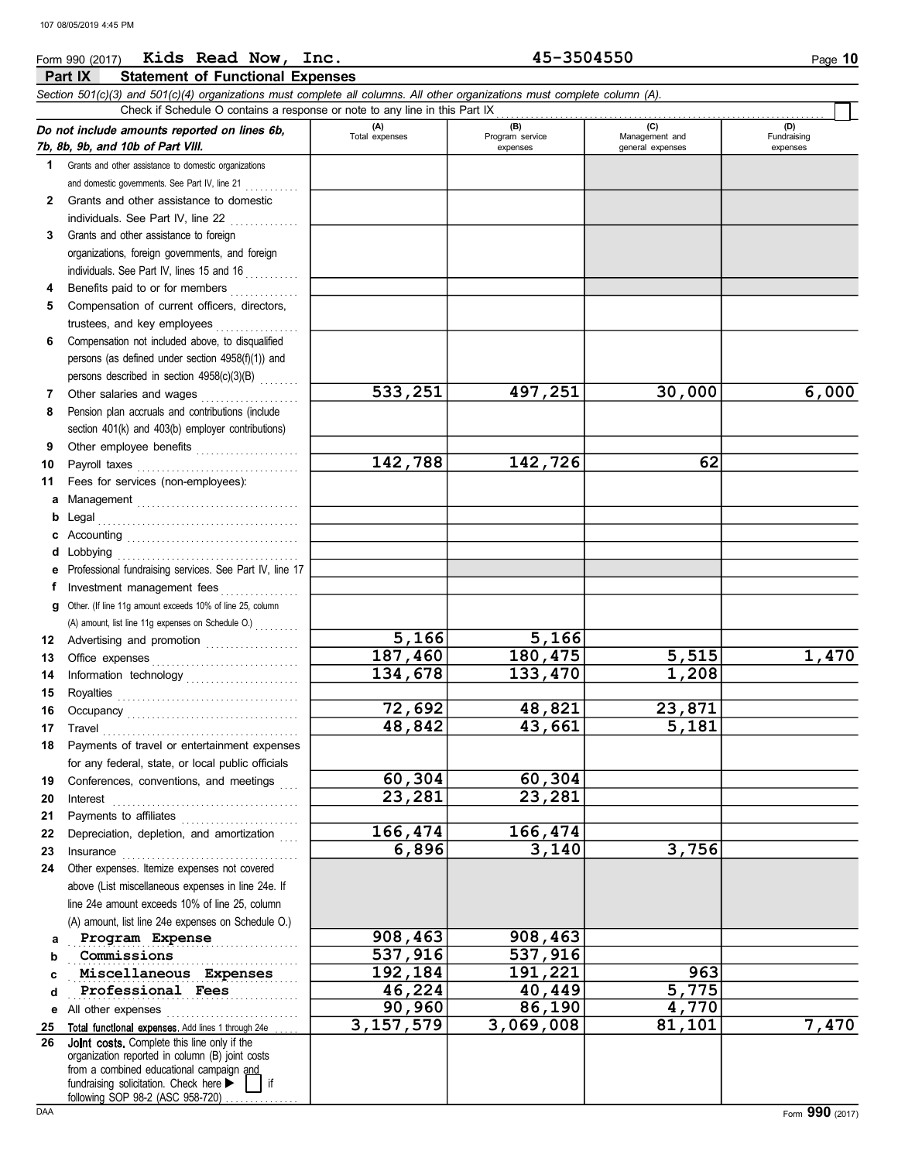### Form 990 (2017) Kids Read Now, Inc. 45-3504550 Page 10 **Part IX Statement of Functional Expenses** Section 501(c)(3) and 501(c)(4) organizations must complete all columns. All other organizations must complete column (A). Check if Schedule O contains a response or note to any line in this Part IX . . . . . . . . . . . . . . . . . . . . . . . . . . . . . . . . . . . . . . . . . . . . . . . . . . . . . . . . . . . . . . . . . . . (D)<br>Fundraising Do not include amounts reported on lines 6b, (A) (B) (C) (D) Total expenses Program service Management and 7b, 8b, 9b, and 10b of Part VIII. expenses **general** expenses expenses 1 Grants and other assistance to domestic organizations and domestic governments. See Part IV, line 21 . . . . . . . . . . 2 Grants and other assistance to domestic individuals. See Part IV, line 22 3 Grants and other assistance to foreign organizations, foreign governments, and foreign individuals. See Part IV, lines 15 and 16  $\ldots$ 4 Benefits paid to or for members  $\begin{array}{ccc} \dots & \dots & \dots \end{array}$

|    | organizations, foreign governments, and foreign                                                |             |           |        |       |
|----|------------------------------------------------------------------------------------------------|-------------|-----------|--------|-------|
|    | individuals. See Part IV, lines 15 and 16                                                      |             |           |        |       |
| 4  | Benefits paid to or for members                                                                |             |           |        |       |
| 5  | Compensation of current officers, directors,                                                   |             |           |        |       |
|    | trustees, and key employees                                                                    |             |           |        |       |
| 6  | Compensation not included above, to disqualified                                               |             |           |        |       |
|    | persons (as defined under section 4958(f)(1)) and                                              |             |           |        |       |
|    | persons described in section 4958(c)(3)(B)                                                     |             |           |        |       |
| 7  | Other salaries and wages                                                                       | 533,251     | 497,251   | 30,000 | 6,000 |
| 8  | Pension plan accruals and contributions (include                                               |             |           |        |       |
|    | section 401(k) and 403(b) employer contributions)                                              |             |           |        |       |
| 9  | Other employee benefits                                                                        |             |           |        |       |
| 10 | Payroll taxes                                                                                  | 142,788     | 142,726   | 62     |       |
| 11 | Fees for services (non-employees):                                                             |             |           |        |       |
| а  |                                                                                                |             |           |        |       |
| b  | Legal                                                                                          |             |           |        |       |
|    |                                                                                                |             |           |        |       |
| d  | Lobbying                                                                                       |             |           |        |       |
| е  | Professional fundraising services. See Part IV, line 17                                        |             |           |        |       |
| f  | Investment management fees<br>.                                                                |             |           |        |       |
| g  | Other. (If line 11g amount exceeds 10% of line 25, column                                      |             |           |        |       |
|    |                                                                                                |             |           |        |       |
| 12 | Advertising and promotion                                                                      | 5,166       | 5,166     |        |       |
| 13 | Office expenses                                                                                | 187,460     | 180,475   | 5,515  | 1,470 |
| 14 | Information technology                                                                         | 134,678     | 133,470   | 1,208  |       |
| 15 |                                                                                                |             |           |        |       |
| 16 |                                                                                                | 72,692      | 48,821    | 23,871 |       |
| 17 | Travel                                                                                         | 48,842      | 43,661    | 5,181  |       |
| 18 | Payments of travel or entertainment expenses                                                   |             |           |        |       |
|    | for any federal, state, or local public officials                                              |             |           |        |       |
| 19 | Conferences, conventions, and meetings                                                         | 60,304      | 60,304    |        |       |
| 20 | Interest                                                                                       | 23,281      | 23,281    |        |       |
| 21 |                                                                                                |             |           |        |       |
| 22 | Depreciation, depletion, and amortization                                                      | 166,474     | 166,474   |        |       |
| 23 | Insurance                                                                                      | 6,896       | 3,140     | 3,756  |       |
| 24 | Other expenses. Itemize expenses not covered                                                   |             |           |        |       |
|    | above (List miscellaneous expenses in line 24e. If                                             |             |           |        |       |
|    | line 24e amount exceeds 10% of line 25, column                                                 |             |           |        |       |
|    | (A) amount, list line 24e expenses on Schedule O.)                                             |             |           |        |       |
| a  | Program Expense                                                                                | 908,463     | 908,463   |        |       |
| b  | Commissions                                                                                    | 537,916     | 537,916   |        |       |
| c  | Miscellaneous Expenses                                                                         | 192,184     | 191,221   | 963    |       |
| d  | Professional Fees                                                                              | 46,224      | 40,449    | 5,775  |       |
| е  | All other expenses                                                                             | 90,960      | 86,190    | 4,770  |       |
| 25 | Total functional expenses. Add lines 1 through 24e                                             | 3, 157, 579 | 3,069,008 | 81,101 | 7,470 |
| 26 | Joint costs, Complete this line only if the<br>organization reported in column (B) joint costs |             |           |        |       |
|    | from a combined educational campaign and                                                       |             |           |        |       |
|    | fundraising solicitation. Check here ><br>if                                                   |             |           |        |       |

following SOP 98-2 (ASC 958-720)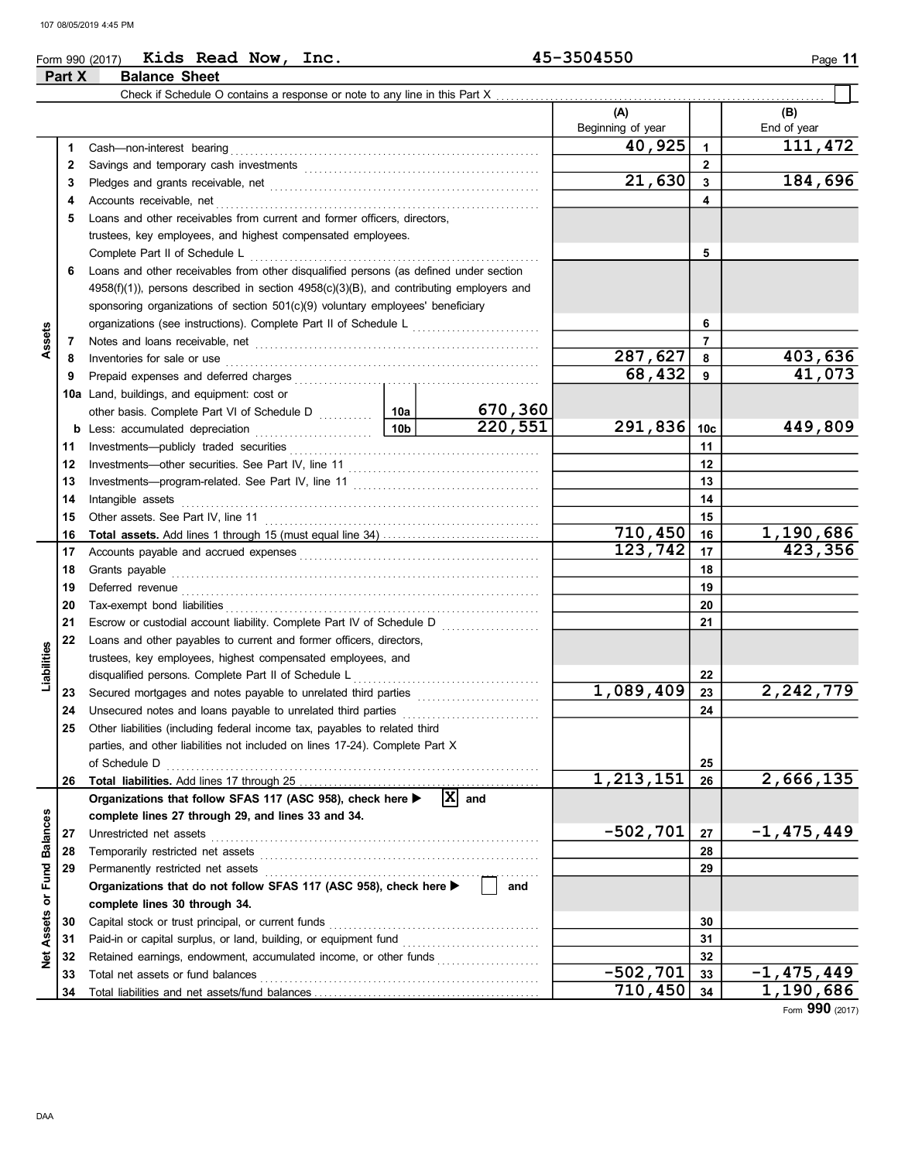## Form 990 (2017) Kids Read Now, Inc. 45-3504550 Page 11 Part X Balance Sheet

|                 |    | Check if Schedule O contains a response or note to any line in this Part X.                   |                 |                    |                          |                 |                    |
|-----------------|----|-----------------------------------------------------------------------------------------------|-----------------|--------------------|--------------------------|-----------------|--------------------|
|                 |    |                                                                                               |                 |                    | (A)<br>Beginning of year |                 | (B)<br>End of year |
|                 | 1  | Cash-non-interest bearing                                                                     |                 |                    | 40,925                   | $\mathbf{1}$    | 111,472            |
|                 | 2  |                                                                                               |                 |                    |                          | $\overline{2}$  |                    |
|                 | З  |                                                                                               |                 |                    | 21,630                   | 3               | 184,696            |
|                 | 4  | Accounts receivable, net                                                                      |                 |                    |                          | 4               |                    |
|                 | 5  | Loans and other receivables from current and former officers, directors,                      |                 |                    |                          |                 |                    |
|                 |    | trustees, key employees, and highest compensated employees.                                   |                 |                    |                          |                 |                    |
|                 |    | Complete Part II of Schedule L                                                                |                 |                    |                          | 5               |                    |
|                 | 6  | Loans and other receivables from other disqualified persons (as defined under section         |                 |                    |                          |                 |                    |
|                 |    | $4958(f)(1)$ ), persons described in section $4958(c)(3)(B)$ , and contributing employers and |                 |                    |                          |                 |                    |
|                 |    | sponsoring organizations of section 501(c)(9) voluntary employees' beneficiary                |                 |                    |                          |                 |                    |
|                 |    | organizations (see instructions). Complete Part II of Schedule L                              |                 |                    |                          | 6               |                    |
| Assets          | 7  |                                                                                               |                 |                    |                          | $\overline{7}$  |                    |
|                 | 8  | Inventories for sale or use                                                                   |                 |                    | 287,627                  | 8               | 403,636            |
|                 | 9  | Prepaid expenses and deferred charges                                                         |                 |                    | 68,432                   | 9               | 41,073             |
|                 |    | 10a Land, buildings, and equipment: cost or                                                   |                 |                    |                          |                 |                    |
|                 |    | other basis. Complete Part VI of Schedule D [108]                                             |                 | 670,360            |                          |                 |                    |
|                 | b  | Less: accumulated depreciation<br>.                                                           | 10 <sub>b</sub> | 220,551            | 291,836                  | 10 <sub>c</sub> | 449,809            |
|                 | 11 | Investments-publicly traded securities                                                        |                 |                    |                          | 11              |                    |
|                 | 12 |                                                                                               |                 |                    |                          | 12              |                    |
|                 | 13 | Investments—program-related. See Part IV, line 11                                             |                 | 13                 |                          |                 |                    |
|                 | 14 | Intangible assets                                                                             |                 | 14                 |                          |                 |                    |
|                 | 15 | Other assets. See Part IV, line 11                                                            |                 | 15                 |                          |                 |                    |
|                 | 16 |                                                                                               |                 |                    | 710,450                  | 16              | 1,190,686          |
|                 | 17 |                                                                                               |                 |                    | 123, 742                 | 17              | 423,356            |
|                 | 18 | Grants payable                                                                                |                 | 18                 |                          |                 |                    |
|                 | 19 | Deferred revenue                                                                              |                 |                    |                          | 19              |                    |
|                 | 20 | Tax-exempt bond liabilities                                                                   |                 |                    |                          | 20              |                    |
|                 | 21 | Escrow or custodial account liability. Complete Part IV of Schedule D                         |                 |                    |                          | 21              |                    |
|                 | 22 | Loans and other payables to current and former officers, directors,                           |                 |                    |                          |                 |                    |
| Liabilities     |    | trustees, key employees, highest compensated employees, and                                   |                 |                    |                          |                 |                    |
|                 |    | disqualified persons. Complete Part II of Schedule L                                          |                 |                    |                          | 22              |                    |
|                 | 23 | Secured mortgages and notes payable to unrelated third parties                                |                 |                    | 1,089,409                | 23              | 2,242,779          |
|                 | 24 | Unsecured notes and loans payable to unrelated third parties                                  |                 | .                  |                          | 24              |                    |
|                 | 25 | Other liabilities (including federal income tax, payables to related third                    |                 |                    |                          |                 |                    |
|                 |    | parties, and other liabilities not included on lines 17-24). Complete Part X                  |                 |                    |                          |                 |                    |
|                 |    | of Schedule D                                                                                 |                 |                    |                          | 25              |                    |
|                 | 26 |                                                                                               |                 |                    | 1,213,151                | 26              | 2,666,135          |
|                 |    | Organizations that follow SFAS 117 (ASC 958), check here ▶                                    |                 | $\overline{X}$ and |                          |                 |                    |
|                 |    | complete lines 27 through 29, and lines 33 and 34.                                            |                 |                    |                          |                 |                    |
| <b>Balances</b> | 27 | Unrestricted net assets                                                                       |                 |                    | $-502,701$               | 27              | $-1,475,449$       |
|                 | 28 | Temporarily restricted net assets                                                             |                 |                    |                          | 28              |                    |
| Fund            | 29 | Permanently restricted net assets                                                             |                 |                    |                          | 29              |                    |
| ð               |    | Organizations that do not follow SFAS 117 (ASC 958), check here >                             |                 | and                |                          |                 |                    |
|                 |    | complete lines 30 through 34.                                                                 |                 |                    |                          |                 |                    |
| Assets          | 30 | Capital stock or trust principal, or current funds                                            |                 |                    |                          | 30              |                    |
|                 | 31 | Paid-in or capital surplus, or land, building, or equipment fund                              |                 |                    |                          | 31              |                    |
| Net             | 32 | Retained earnings, endowment, accumulated income, or other funds                              |                 |                    | $-502,701$               | 32              |                    |
|                 | 33 | Total net assets or fund balances                                                             |                 |                    |                          | 33              | -1,475,449         |
|                 | 34 |                                                                                               |                 |                    | 710,450                  | 34              | 1,190,686          |

Form 990 (2017)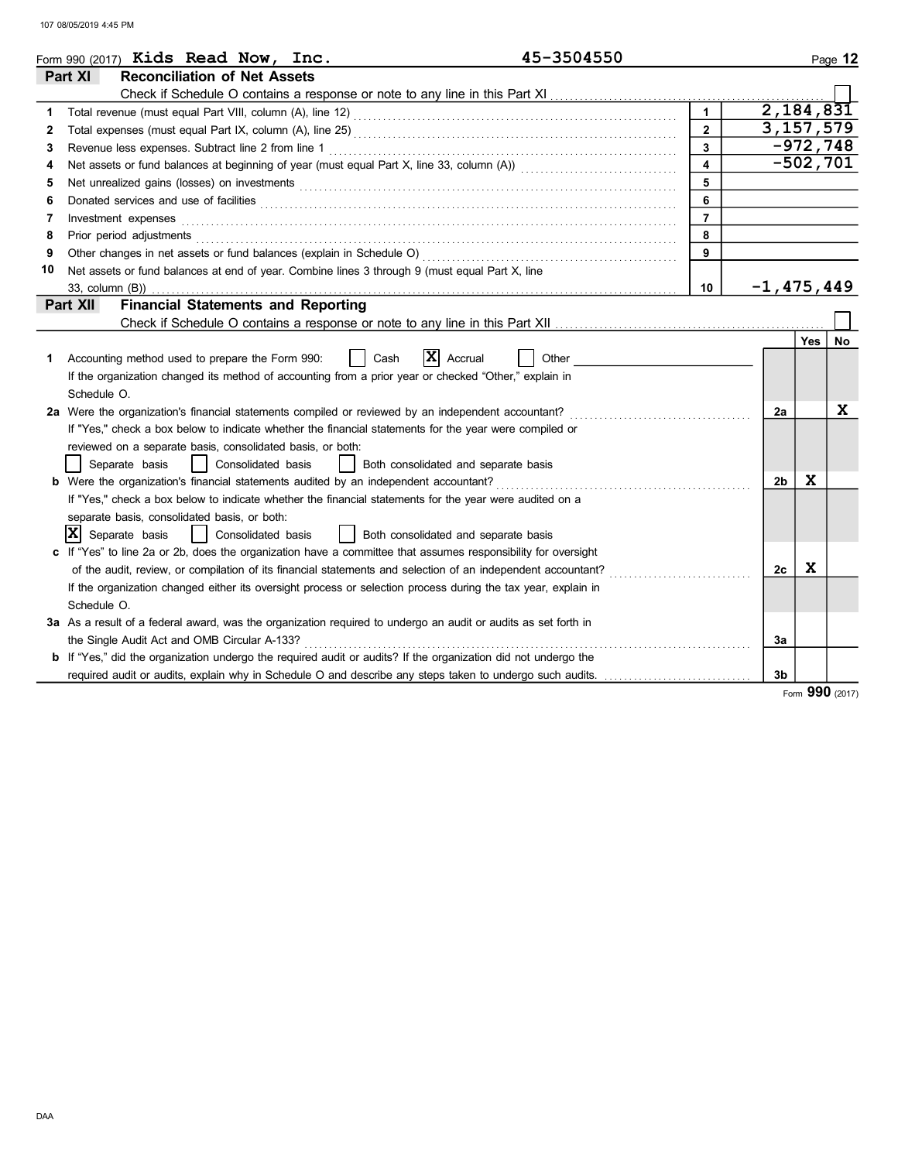|    | 45-3504550<br>Form 990 (2017) Kids Read Now, Inc.                                                                                                                                                                                    |                |                    |            | Page 12    |
|----|--------------------------------------------------------------------------------------------------------------------------------------------------------------------------------------------------------------------------------------|----------------|--------------------|------------|------------|
|    | <b>Reconciliation of Net Assets</b><br>Part XI                                                                                                                                                                                       |                |                    |            |            |
|    |                                                                                                                                                                                                                                      |                |                    |            |            |
| 1. |                                                                                                                                                                                                                                      | $\mathbf{1}$   | $\sqrt{2,184,831}$ |            |            |
| 2  |                                                                                                                                                                                                                                      | $\overline{2}$ | 3, 157, 579        |            |            |
| 3  | Revenue less expenses. Subtract line 2 from line 1                                                                                                                                                                                   | $\overline{3}$ |                    |            | $-972,748$ |
| 4  |                                                                                                                                                                                                                                      | $\overline{4}$ |                    | $-502,701$ |            |
| 5  |                                                                                                                                                                                                                                      | 5              |                    |            |            |
| 6  | Donated services and use of facilities <b>constant of the constant of the constant of the constant of the constant of the constant of the constant of the constant of the constant of the constant of the constant of the consta</b> | 6              |                    |            |            |
| 7  | Investment expenses                                                                                                                                                                                                                  | $\overline{7}$ |                    |            |            |
| 8  | Prior period adjustments <b>construction and construction</b> and construction of the construction of the construction of the construction of the construction of the construction of the construction of the construction of the c  | 8              |                    |            |            |
| 9  |                                                                                                                                                                                                                                      | $\overline{9}$ |                    |            |            |
| 10 | Net assets or fund balances at end of year. Combine lines 3 through 9 (must equal Part X, line                                                                                                                                       |                |                    |            |            |
|    | 33. column (B))                                                                                                                                                                                                                      | 10             | $-1,475,449$       |            |            |
|    | <b>Financial Statements and Reporting</b><br>Part XII                                                                                                                                                                                |                |                    |            |            |
|    |                                                                                                                                                                                                                                      |                |                    |            |            |
|    |                                                                                                                                                                                                                                      |                |                    | Yes        | No         |
| 1  | IXI<br>Accounting method used to prepare the Form 990:<br>Cash<br>Accrual<br>Other                                                                                                                                                   |                |                    |            |            |
|    | If the organization changed its method of accounting from a prior year or checked "Other," explain in                                                                                                                                |                |                    |            |            |
|    | Schedule O.                                                                                                                                                                                                                          |                |                    |            |            |
|    | 2a Were the organization's financial statements compiled or reviewed by an independent accountant?                                                                                                                                   |                | 2a                 |            | X          |
|    | If "Yes," check a box below to indicate whether the financial statements for the year were compiled or                                                                                                                               |                |                    |            |            |
|    | reviewed on a separate basis, consolidated basis, or both:                                                                                                                                                                           |                |                    |            |            |
|    | Separate basis<br>Consolidated basis<br>Both consolidated and separate basis<br>$\perp$                                                                                                                                              |                |                    |            |            |
|    | <b>b</b> Were the organization's financial statements audited by an independent accountant?                                                                                                                                          |                | 2 <sub>b</sub>     | X          |            |
|    | If "Yes," check a box below to indicate whether the financial statements for the year were audited on a                                                                                                                              |                |                    |            |            |
|    | separate basis, consolidated basis, or both:                                                                                                                                                                                         |                |                    |            |            |
|    | x <br>Separate basis<br>Consolidated basis<br>Both consolidated and separate basis                                                                                                                                                   |                |                    |            |            |
|    | c If "Yes" to line 2a or 2b, does the organization have a committee that assumes responsibility for oversight                                                                                                                        |                |                    |            |            |
|    | of the audit, review, or compilation of its financial statements and selection of an independent accountant?                                                                                                                         |                | 2c                 | X          |            |
|    | If the organization changed either its oversight process or selection process during the tax year, explain in                                                                                                                        |                |                    |            |            |
|    | Schedule O.                                                                                                                                                                                                                          |                |                    |            |            |
|    | 3a As a result of a federal award, was the organization required to undergo an audit or audits as set forth in                                                                                                                       |                |                    |            |            |
|    | the Single Audit Act and OMB Circular A-133?                                                                                                                                                                                         |                | 3a                 |            |            |
|    | <b>b</b> If "Yes," did the organization undergo the required audit or audits? If the organization did not undergo the                                                                                                                |                |                    |            |            |
|    | required audit or audits, explain why in Schedule O and describe any steps taken to undergo such audits.                                                                                                                             |                | 3b                 |            |            |

Form 990 (2017)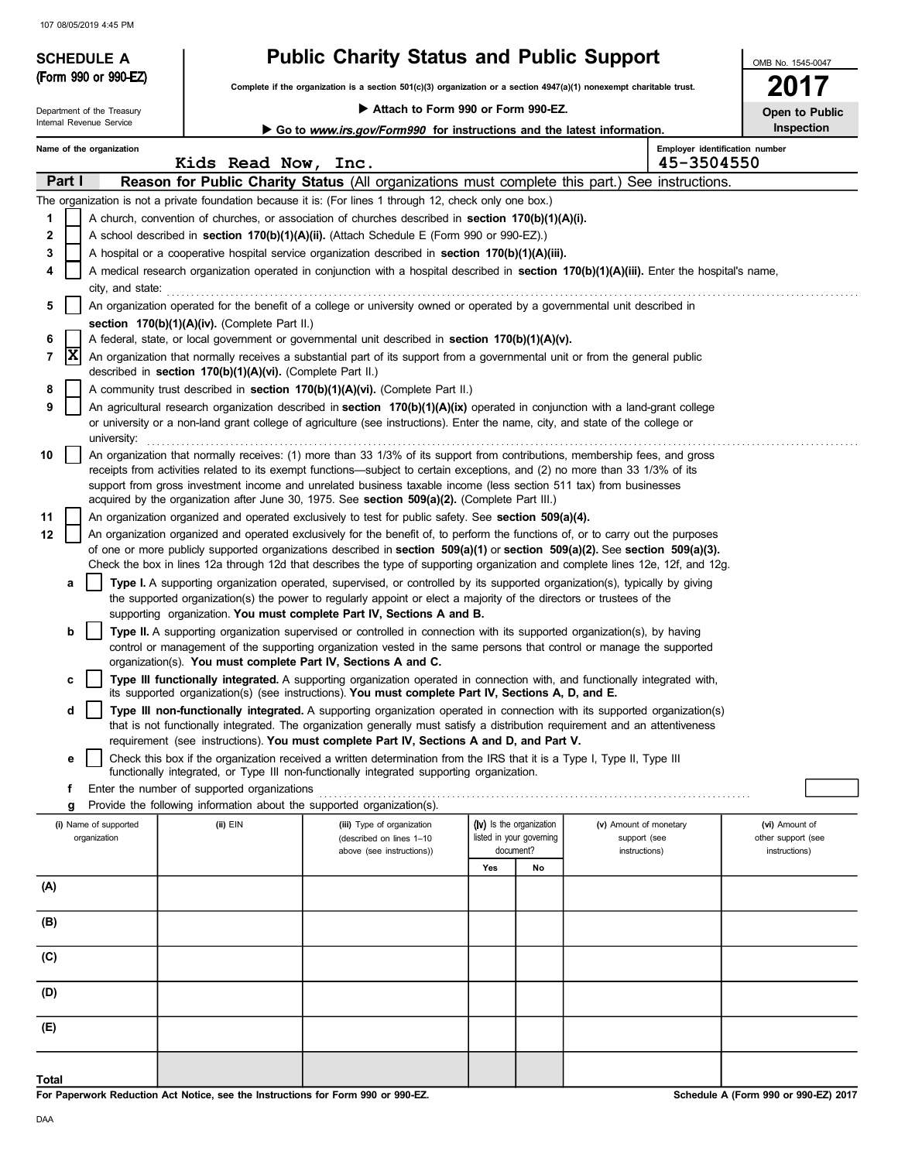# SCHEDULE A **Public Charity Status and Public Support**<br>(Form 990 or 990-EZ)

Complete if the organization is a section 501(c)(3) organization or a section 4947(a)(1) nonexempt charitable trust.

Attach to Form 990 or Form 990-EZ.

2017 Open to Public

OMB No. 1545-0047

|       |                                                                                                                                                                                               | Department of the Treasury                                                                                                          |                                                            |  | $\blacktriangleright$ Attacn to Form 990 or Form 990-EZ.                                                                                                                                                                                                  |     |                          |                        |                                              | Open to Public     |  |  |  |
|-------|-----------------------------------------------------------------------------------------------------------------------------------------------------------------------------------------------|-------------------------------------------------------------------------------------------------------------------------------------|------------------------------------------------------------|--|-----------------------------------------------------------------------------------------------------------------------------------------------------------------------------------------------------------------------------------------------------------|-----|--------------------------|------------------------|----------------------------------------------|--------------------|--|--|--|
|       |                                                                                                                                                                                               | Internal Revenue Service                                                                                                            |                                                            |  | Go to <i>www.irs.gov/Form990</i> for instructions and the latest information.                                                                                                                                                                             |     |                          |                        |                                              | Inspection         |  |  |  |
|       |                                                                                                                                                                                               | Name of the organization                                                                                                            | Kids Read Now, Inc.                                        |  |                                                                                                                                                                                                                                                           |     |                          |                        | Employer identification number<br>45-3504550 |                    |  |  |  |
|       | Part I                                                                                                                                                                                        |                                                                                                                                     |                                                            |  | Reason for Public Charity Status (All organizations must complete this part.) See instructions.                                                                                                                                                           |     |                          |                        |                                              |                    |  |  |  |
|       |                                                                                                                                                                                               |                                                                                                                                     |                                                            |  | The organization is not a private foundation because it is: (For lines 1 through 12, check only one box.)                                                                                                                                                 |     |                          |                        |                                              |                    |  |  |  |
| 1     |                                                                                                                                                                                               |                                                                                                                                     |                                                            |  | A church, convention of churches, or association of churches described in <b>section 170(b)(1)(A)(i).</b>                                                                                                                                                 |     |                          |                        |                                              |                    |  |  |  |
| 2     |                                                                                                                                                                                               |                                                                                                                                     |                                                            |  | A school described in <b>section 170(b)(1)(A)(ii).</b> (Attach Schedule E (Form 990 or 990-EZ).)                                                                                                                                                          |     |                          |                        |                                              |                    |  |  |  |
|       |                                                                                                                                                                                               |                                                                                                                                     |                                                            |  |                                                                                                                                                                                                                                                           |     |                          |                        |                                              |                    |  |  |  |
| 3     |                                                                                                                                                                                               |                                                                                                                                     |                                                            |  | A hospital or a cooperative hospital service organization described in section $170(b)(1)(A)(iii)$ .                                                                                                                                                      |     |                          |                        |                                              |                    |  |  |  |
| 4     |                                                                                                                                                                                               |                                                                                                                                     |                                                            |  | A medical research organization operated in conjunction with a hospital described in section 170(b)(1)(A)(iii). Enter the hospital's name,                                                                                                                |     |                          |                        |                                              |                    |  |  |  |
|       |                                                                                                                                                                                               | city, and state:                                                                                                                    |                                                            |  |                                                                                                                                                                                                                                                           |     |                          |                        |                                              |                    |  |  |  |
|       |                                                                                                                                                                                               | An organization operated for the benefit of a college or university owned or operated by a governmental unit described in           |                                                            |  |                                                                                                                                                                                                                                                           |     |                          |                        |                                              |                    |  |  |  |
|       |                                                                                                                                                                                               | section 170(b)(1)(A)(iv). (Complete Part II.)                                                                                       |                                                            |  |                                                                                                                                                                                                                                                           |     |                          |                        |                                              |                    |  |  |  |
|       |                                                                                                                                                                                               |                                                                                                                                     |                                                            |  | A federal, state, or local government or governmental unit described in section 170(b)(1)(A)(v).                                                                                                                                                          |     |                          |                        |                                              |                    |  |  |  |
| 7     | X                                                                                                                                                                                             |                                                                                                                                     | described in section 170(b)(1)(A)(vi). (Complete Part II.) |  | An organization that normally receives a substantial part of its support from a governmental unit or from the general public                                                                                                                              |     |                          |                        |                                              |                    |  |  |  |
| 8     |                                                                                                                                                                                               |                                                                                                                                     |                                                            |  | A community trust described in section 170(b)(1)(A)(vi). (Complete Part II.)                                                                                                                                                                              |     |                          |                        |                                              |                    |  |  |  |
| 9     |                                                                                                                                                                                               |                                                                                                                                     |                                                            |  | An agricultural research organization described in section 170(b)(1)(A)(ix) operated in conjunction with a land-grant college                                                                                                                             |     |                          |                        |                                              |                    |  |  |  |
|       |                                                                                                                                                                                               | university:                                                                                                                         |                                                            |  | or university or a non-land grant college of agriculture (see instructions). Enter the name, city, and state of the college or                                                                                                                            |     |                          |                        |                                              |                    |  |  |  |
| 10    |                                                                                                                                                                                               |                                                                                                                                     |                                                            |  | An organization that normally receives: (1) more than 33 1/3% of its support from contributions, membership fees, and gross                                                                                                                               |     |                          |                        |                                              |                    |  |  |  |
|       |                                                                                                                                                                                               |                                                                                                                                     |                                                            |  | receipts from activities related to its exempt functions—subject to certain exceptions, and (2) no more than 33 1/3% of its                                                                                                                               |     |                          |                        |                                              |                    |  |  |  |
|       |                                                                                                                                                                                               |                                                                                                                                     |                                                            |  | support from gross investment income and unrelated business taxable income (less section 511 tax) from businesses                                                                                                                                         |     |                          |                        |                                              |                    |  |  |  |
|       |                                                                                                                                                                                               |                                                                                                                                     |                                                            |  | acquired by the organization after June 30, 1975. See section 509(a)(2). (Complete Part III.)                                                                                                                                                             |     |                          |                        |                                              |                    |  |  |  |
| 11    |                                                                                                                                                                                               |                                                                                                                                     |                                                            |  | An organization organized and operated exclusively to test for public safety. See section 509(a)(4).                                                                                                                                                      |     |                          |                        |                                              |                    |  |  |  |
| 12    |                                                                                                                                                                                               |                                                                                                                                     |                                                            |  | An organization organized and operated exclusively for the benefit of, to perform the functions of, or to carry out the purposes                                                                                                                          |     |                          |                        |                                              |                    |  |  |  |
|       |                                                                                                                                                                                               | of one or more publicly supported organizations described in section $509(a)(1)$ or section $509(a)(2)$ . See section $509(a)(3)$ . |                                                            |  |                                                                                                                                                                                                                                                           |     |                          |                        |                                              |                    |  |  |  |
|       |                                                                                                                                                                                               | Check the box in lines 12a through 12d that describes the type of supporting organization and complete lines 12e, 12f, and 12g.     |                                                            |  |                                                                                                                                                                                                                                                           |     |                          |                        |                                              |                    |  |  |  |
|       | a                                                                                                                                                                                             |                                                                                                                                     |                                                            |  | Type I. A supporting organization operated, supervised, or controlled by its supported organization(s), typically by giving                                                                                                                               |     |                          |                        |                                              |                    |  |  |  |
|       | the supported organization(s) the power to regularly appoint or elect a majority of the directors or trustees of the<br>supporting organization. You must complete Part IV, Sections A and B. |                                                                                                                                     |                                                            |  |                                                                                                                                                                                                                                                           |     |                          |                        |                                              |                    |  |  |  |
|       | b                                                                                                                                                                                             |                                                                                                                                     |                                                            |  | Type II. A supporting organization supervised or controlled in connection with its supported organization(s), by having                                                                                                                                   |     |                          |                        |                                              |                    |  |  |  |
|       |                                                                                                                                                                                               |                                                                                                                                     |                                                            |  | control or management of the supporting organization vested in the same persons that control or manage the supported                                                                                                                                      |     |                          |                        |                                              |                    |  |  |  |
|       |                                                                                                                                                                                               |                                                                                                                                     |                                                            |  | organization(s). You must complete Part IV, Sections A and C.                                                                                                                                                                                             |     |                          |                        |                                              |                    |  |  |  |
|       | с                                                                                                                                                                                             |                                                                                                                                     |                                                            |  | Type III functionally integrated. A supporting organization operated in connection with, and functionally integrated with,                                                                                                                                |     |                          |                        |                                              |                    |  |  |  |
|       |                                                                                                                                                                                               |                                                                                                                                     |                                                            |  | its supported organization(s) (see instructions). You must complete Part IV, Sections A, D, and E.                                                                                                                                                        |     |                          |                        |                                              |                    |  |  |  |
|       | d                                                                                                                                                                                             |                                                                                                                                     |                                                            |  | Type III non-functionally integrated. A supporting organization operated in connection with its supported organization(s)<br>that is not functionally integrated. The organization generally must satisfy a distribution requirement and an attentiveness |     |                          |                        |                                              |                    |  |  |  |
|       |                                                                                                                                                                                               |                                                                                                                                     |                                                            |  | requirement (see instructions). You must complete Part IV, Sections A and D, and Part V.                                                                                                                                                                  |     |                          |                        |                                              |                    |  |  |  |
|       | е                                                                                                                                                                                             |                                                                                                                                     |                                                            |  | Check this box if the organization received a written determination from the IRS that it is a Type I, Type II, Type III                                                                                                                                   |     |                          |                        |                                              |                    |  |  |  |
|       |                                                                                                                                                                                               |                                                                                                                                     |                                                            |  | functionally integrated, or Type III non-functionally integrated supporting organization.                                                                                                                                                                 |     |                          |                        |                                              |                    |  |  |  |
|       |                                                                                                                                                                                               |                                                                                                                                     | Enter the number of supported organizations                |  |                                                                                                                                                                                                                                                           |     |                          |                        |                                              |                    |  |  |  |
|       | g                                                                                                                                                                                             |                                                                                                                                     |                                                            |  | Provide the following information about the supported organization(s).                                                                                                                                                                                    |     |                          |                        |                                              |                    |  |  |  |
|       |                                                                                                                                                                                               | (i) Name of supported                                                                                                               | (ii) EIN                                                   |  | (iii) Type of organization                                                                                                                                                                                                                                |     | (iv) Is the organization | (v) Amount of monetary |                                              | (vi) Amount of     |  |  |  |
|       |                                                                                                                                                                                               | organization                                                                                                                        |                                                            |  | (described on lines 1-10                                                                                                                                                                                                                                  |     | listed in your governing | support (see           |                                              | other support (see |  |  |  |
|       |                                                                                                                                                                                               |                                                                                                                                     |                                                            |  | above (see instructions))                                                                                                                                                                                                                                 |     | document?                | instructions)          |                                              | instructions)      |  |  |  |
|       |                                                                                                                                                                                               |                                                                                                                                     |                                                            |  |                                                                                                                                                                                                                                                           | Yes | No                       |                        |                                              |                    |  |  |  |
| (A)   |                                                                                                                                                                                               |                                                                                                                                     |                                                            |  |                                                                                                                                                                                                                                                           |     |                          |                        |                                              |                    |  |  |  |
|       |                                                                                                                                                                                               |                                                                                                                                     |                                                            |  |                                                                                                                                                                                                                                                           |     |                          |                        |                                              |                    |  |  |  |
| (B)   |                                                                                                                                                                                               |                                                                                                                                     |                                                            |  |                                                                                                                                                                                                                                                           |     |                          |                        |                                              |                    |  |  |  |
| (C)   |                                                                                                                                                                                               |                                                                                                                                     |                                                            |  |                                                                                                                                                                                                                                                           |     |                          |                        |                                              |                    |  |  |  |
| (D)   |                                                                                                                                                                                               |                                                                                                                                     |                                                            |  |                                                                                                                                                                                                                                                           |     |                          |                        |                                              |                    |  |  |  |
|       |                                                                                                                                                                                               |                                                                                                                                     |                                                            |  |                                                                                                                                                                                                                                                           |     |                          |                        |                                              |                    |  |  |  |
| (E)   |                                                                                                                                                                                               |                                                                                                                                     |                                                            |  |                                                                                                                                                                                                                                                           |     |                          |                        |                                              |                    |  |  |  |
|       |                                                                                                                                                                                               |                                                                                                                                     |                                                            |  |                                                                                                                                                                                                                                                           |     |                          |                        |                                              |                    |  |  |  |
| Total |                                                                                                                                                                                               |                                                                                                                                     |                                                            |  |                                                                                                                                                                                                                                                           |     |                          |                        |                                              |                    |  |  |  |

For Paperwork Reduction Act Notice, see the Instructions for Form 990 or 990-EZ.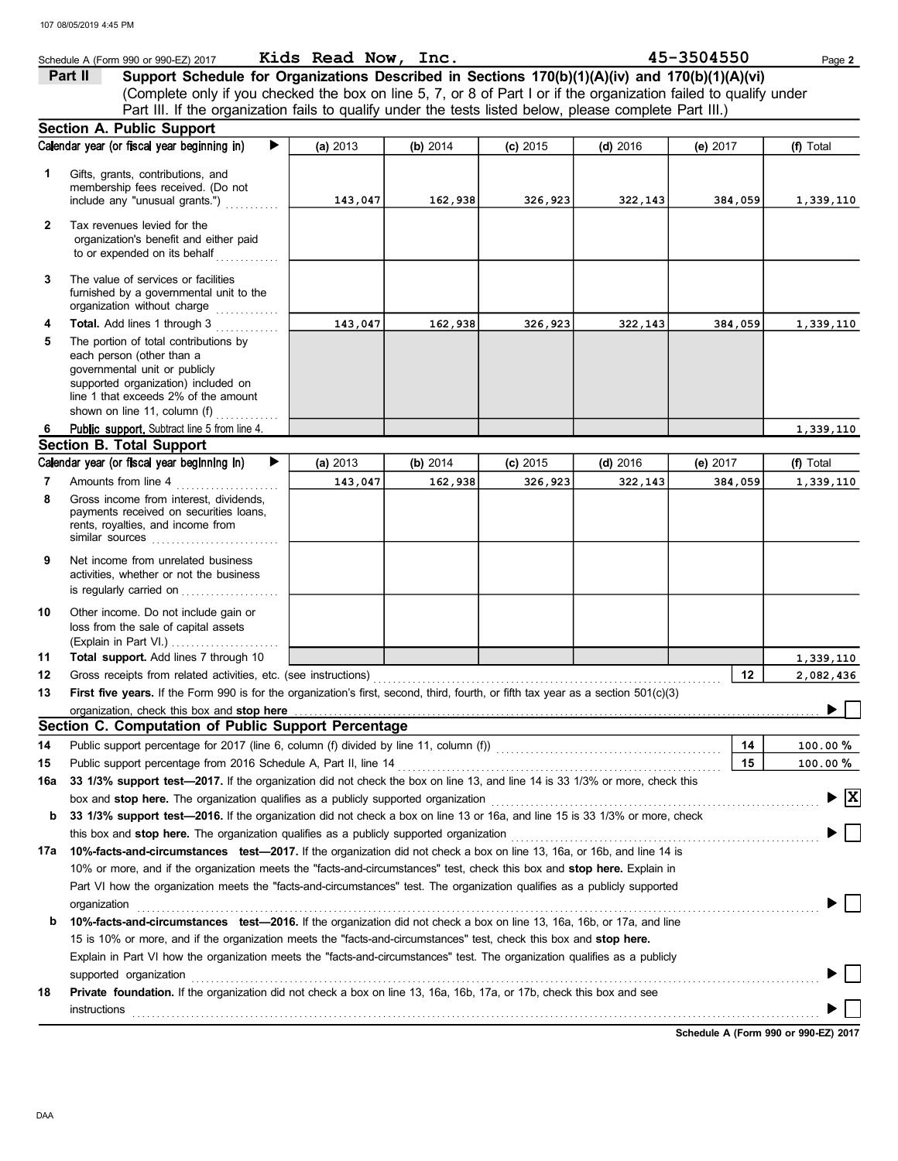|              | Schedule A (Form 990 or 990-EZ) 2017                                                                                               |   | Kids Read Now, Inc. |          |            |            | 45-3504550 |         | Page 2                          |
|--------------|------------------------------------------------------------------------------------------------------------------------------------|---|---------------------|----------|------------|------------|------------|---------|---------------------------------|
|              | Support Schedule for Organizations Described in Sections 170(b)(1)(A)(iv) and 170(b)(1)(A)(vi)<br>Part II                          |   |                     |          |            |            |            |         |                                 |
|              | (Complete only if you checked the box on line 5, 7, or 8 of Part I or if the organization failed to qualify under                  |   |                     |          |            |            |            |         |                                 |
|              | Part III. If the organization fails to qualify under the tests listed below, please complete Part III.)                            |   |                     |          |            |            |            |         |                                 |
|              | <b>Section A. Public Support</b>                                                                                                   |   |                     |          |            |            |            |         |                                 |
|              | Calendar year (or fiscal year beginning in)                                                                                        | ▶ | (a) 2013            | (b) 2014 | $(c)$ 2015 | (d) $2016$ | (e) $2017$ |         | (f) Total                       |
| 1            | Gifts, grants, contributions, and                                                                                                  |   |                     |          |            |            |            |         |                                 |
|              | membership fees received. (Do not                                                                                                  |   |                     |          |            |            |            |         |                                 |
|              | include any "unusual grants.")                                                                                                     |   | 143,047             | 162,938  | 326,923    | 322,143    |            | 384,059 | 1,339,110                       |
| $\mathbf{2}$ | Tax revenues levied for the                                                                                                        |   |                     |          |            |            |            |         |                                 |
|              | organization's benefit and either paid                                                                                             |   |                     |          |            |            |            |         |                                 |
|              | to or expended on its behalf                                                                                                       |   |                     |          |            |            |            |         |                                 |
| 3            | The value of services or facilities                                                                                                |   |                     |          |            |            |            |         |                                 |
|              | furnished by a governmental unit to the                                                                                            |   |                     |          |            |            |            |         |                                 |
|              | organization without charge                                                                                                        |   |                     |          |            |            |            |         |                                 |
| 4            | <b>Total.</b> Add lines 1 through 3                                                                                                |   | 143,047             | 162,938  | 326,923    | 322,143    |            | 384,059 | 1,339,110                       |
| 5            | The portion of total contributions by<br>each person (other than a                                                                 |   |                     |          |            |            |            |         |                                 |
|              | governmental unit or publicly                                                                                                      |   |                     |          |            |            |            |         |                                 |
|              | supported organization) included on                                                                                                |   |                     |          |            |            |            |         |                                 |
|              | line 1 that exceeds 2% of the amount<br>shown on line 11, column (f)                                                               |   |                     |          |            |            |            |         |                                 |
| 6            | Public support. Subtract line 5 from line 4.                                                                                       |   |                     |          |            |            |            |         | 1,339,110                       |
|              | <b>Section B. Total Support</b>                                                                                                    |   |                     |          |            |            |            |         |                                 |
|              | Calendar year (or fiscal year beginning in)                                                                                        | ▶ | (a) 2013            | (b) 2014 | $(c)$ 2015 | $(d)$ 2016 | (e) $2017$ |         | (f) Total                       |
| 7            | Amounts from line 4                                                                                                                |   | 143,047             | 162,938  | 326,923    | 322,143    |            | 384,059 | 1,339,110                       |
| 8            | Gross income from interest, dividends,                                                                                             |   |                     |          |            |            |            |         |                                 |
|              | payments received on securities loans,                                                                                             |   |                     |          |            |            |            |         |                                 |
|              | rents, royalties, and income from                                                                                                  |   |                     |          |            |            |            |         |                                 |
| 9            | Net income from unrelated business                                                                                                 |   |                     |          |            |            |            |         |                                 |
|              | activities, whether or not the business                                                                                            |   |                     |          |            |            |            |         |                                 |
|              | is regularly carried on                                                                                                            |   |                     |          |            |            |            |         |                                 |
| 10           | Other income. Do not include gain or                                                                                               |   |                     |          |            |            |            |         |                                 |
|              | loss from the sale of capital assets                                                                                               |   |                     |          |            |            |            |         |                                 |
|              |                                                                                                                                    |   |                     |          |            |            |            |         |                                 |
| 11           | Total support. Add lines 7 through 10                                                                                              |   |                     |          |            |            |            |         | 1,339,110                       |
| 12           | Gross receipts from related activities, etc. (see instructions)                                                                    |   |                     |          |            |            |            | 12      | 2,082,436                       |
| 13           | First five years. If the Form 990 is for the organization's first, second, third, fourth, or fifth tax year as a section 501(c)(3) |   |                     |          |            |            |            |         |                                 |
|              | organization, check this box and stop here<br>Section C. Computation of Public Support Percentage                                  |   |                     |          |            |            |            |         |                                 |
| 14           | Public support percentage for 2017 (line 6, column (f) divided by line 11, column (f)) [[[[[[[[[[[[[[[[[[[[[[                      |   |                     |          |            |            |            | 14      | 100.00%                         |
| 15           | Public support percentage from 2016 Schedule A, Part II, line 14                                                                   |   |                     |          |            |            |            | 15      | 100.00%                         |
| 16a          | 33 1/3% support test-2017. If the organization did not check the box on line 13, and line 14 is 33 1/3% or more, check this        |   |                     |          |            |            |            |         |                                 |
|              | box and stop here. The organization qualifies as a publicly supported organization                                                 |   |                     |          |            |            |            |         | $\blacktriangleright$ $\vert$ X |
| b            | 33 1/3% support test-2016. If the organization did not check a box on line 13 or 16a, and line 15 is 33 1/3% or more, check        |   |                     |          |            |            |            |         |                                 |
|              | this box and stop here. The organization qualifies as a publicly supported organization                                            |   |                     |          |            |            |            |         |                                 |
| 17а          | 10%-facts-and-circumstances test-2017. If the organization did not check a box on line 13, 16a, or 16b, and line 14 is             |   |                     |          |            |            |            |         |                                 |
|              | 10% or more, and if the organization meets the "facts-and-circumstances" test, check this box and stop here. Explain in            |   |                     |          |            |            |            |         |                                 |
|              | Part VI how the organization meets the "facts-and-circumstances" test. The organization qualifies as a publicly supported          |   |                     |          |            |            |            |         |                                 |
|              | organization                                                                                                                       |   |                     |          |            |            |            |         |                                 |
| b            | 10%-facts-and-circumstances test-2016. If the organization did not check a box on line 13, 16a, 16b, or 17a, and line              |   |                     |          |            |            |            |         |                                 |
|              | 15 is 10% or more, and if the organization meets the "facts-and-circumstances" test, check this box and stop here.                 |   |                     |          |            |            |            |         |                                 |
|              | Explain in Part VI how the organization meets the "facts-and-circumstances" test. The organization qualifies as a publicly         |   |                     |          |            |            |            |         |                                 |
|              | supported organization                                                                                                             |   |                     |          |            |            |            |         |                                 |
| 18           | Private foundation. If the organization did not check a box on line 13, 16a, 16b, 17a, or 17b, check this box and see              |   |                     |          |            |            |            |         |                                 |
|              | instructions                                                                                                                       |   |                     |          |            |            |            |         |                                 |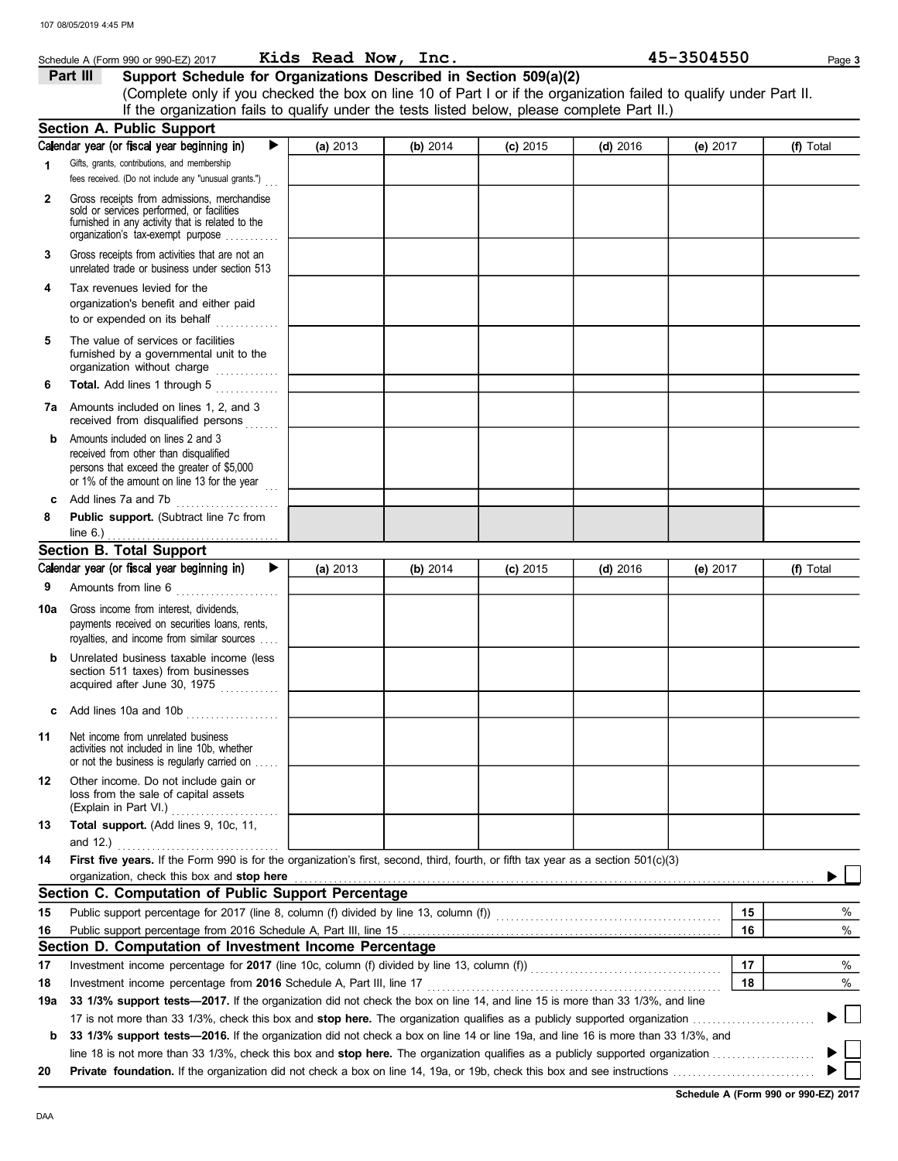|              | Schedule A (Form 990 or 990-EZ) 2017                                                                                                                                              | Kids Read Now, Inc. |          |            |            | 45-3504550 | Page 3    |
|--------------|-----------------------------------------------------------------------------------------------------------------------------------------------------------------------------------|---------------------|----------|------------|------------|------------|-----------|
|              | Support Schedule for Organizations Described in Section 509(a)(2)<br>Part III                                                                                                     |                     |          |            |            |            |           |
|              | (Complete only if you checked the box on line 10 of Part I or if the organization failed to qualify under Part II.                                                                |                     |          |            |            |            |           |
|              | If the organization fails to qualify under the tests listed below, please complete Part II.)                                                                                      |                     |          |            |            |            |           |
|              | <b>Section A. Public Support</b>                                                                                                                                                  |                     |          |            |            |            |           |
|              | Calendar year (or fiscal year beginning in)<br>▶                                                                                                                                  | (a) 2013            | (b) 2014 | $(c)$ 2015 | (d) $2016$ | (e) 2017   | (f) Total |
| 1            | Gifts, grants, contributions, and membership<br>fees received. (Do not include any "unusual grants.")                                                                             |                     |          |            |            |            |           |
| $\mathbf{2}$ | Gross receipts from admissions, merchandise<br>sold or services performed, or facilities<br>furnished in any activity that is related to the<br>organization's tax-exempt purpose |                     |          |            |            |            |           |
| 3            | Gross receipts from activities that are not an<br>unrelated trade or business under section 513                                                                                   |                     |          |            |            |            |           |
| 4            | Tax revenues levied for the<br>organization's benefit and either paid<br>to or expended on its behalf                                                                             |                     |          |            |            |            |           |
| 5            | The value of services or facilities<br>furnished by a governmental unit to the<br>organization without charge                                                                     |                     |          |            |            |            |           |
| 6            | Total. Add lines 1 through 5                                                                                                                                                      |                     |          |            |            |            |           |
|              | 7a Amounts included on lines 1, 2, and 3<br>received from disqualified persons                                                                                                    |                     |          |            |            |            |           |
| b            | Amounts included on lines 2 and 3<br>received from other than disqualified<br>persons that exceed the greater of \$5,000<br>or 1% of the amount on line 13 for the year           |                     |          |            |            |            |           |
| c            | Add lines 7a and 7b                                                                                                                                                               |                     |          |            |            |            |           |
| 8            | Public support. (Subtract line 7c from                                                                                                                                            |                     |          |            |            |            |           |
|              | line $6.$ )                                                                                                                                                                       |                     |          |            |            |            |           |
|              | <b>Section B. Total Support</b>                                                                                                                                                   |                     |          |            |            |            |           |
|              | Calendar year (or fiscal year beginning in)<br>▶                                                                                                                                  | (a) 2013            | (b) 2014 | $(c)$ 2015 | (d) $2016$ | (e) 2017   | (f) Total |
| 9            | Amounts from line 6                                                                                                                                                               |                     |          |            |            |            |           |
| 10a          | Gross income from interest, dividends,<br>payments received on securities loans, rents,                                                                                           |                     |          |            |            |            |           |
|              | royalties, and income from similar sources                                                                                                                                        |                     |          |            |            |            |           |
| b            | Unrelated business taxable income (less<br>section 511 taxes) from businesses<br>acquired after June 30, 1975                                                                     |                     |          |            |            |            |           |
| с            | Add lines 10a and 10b                                                                                                                                                             |                     |          |            |            |            |           |
| 11           | Net income from unrelated business<br>activities not included in line 10b, whether<br>or not the business is regularly carried on                                                 |                     |          |            |            |            |           |
| 12           | Other income. Do not include gain or<br>loss from the sale of capital assets                                                                                                      |                     |          |            |            |            |           |
| 13           | Total support. (Add lines 9, 10c, 11,                                                                                                                                             |                     |          |            |            |            |           |
|              | and 12.) $\ldots$                                                                                                                                                                 |                     |          |            |            |            |           |
| 14           | First five years. If the Form 990 is for the organization's first, second, third, fourth, or fifth tax year as a section 501(c)(3)<br>organization, check this box and stop here  |                     |          |            |            |            |           |
|              | Section C. Computation of Public Support Percentage                                                                                                                               |                     |          |            |            |            |           |
| 15           | Public support percentage for 2017 (line 8, column (f) divided by line 13, column (f)) [[[[[[[[[[[[[[[[[[[[[[                                                                     |                     |          |            |            | 15         | %         |
| 16           |                                                                                                                                                                                   |                     |          |            |            | 16         | %         |
|              | Section D. Computation of Investment Income Percentage                                                                                                                            |                     |          |            |            |            |           |
| 17           |                                                                                                                                                                                   |                     |          |            |            | 17         | %         |
| 18           |                                                                                                                                                                                   |                     |          |            |            | 18         | %         |
| 19a          | 33 1/3% support tests-2017. If the organization did not check the box on line 14, and line 15 is more than 33 1/3%, and line                                                      |                     |          |            |            |            |           |
|              |                                                                                                                                                                                   |                     |          |            |            |            |           |
| b            | 33 1/3% support tests-2016. If the organization did not check a box on line 14 or line 19a, and line 16 is more than 33 1/3%, and                                                 |                     |          |            |            |            |           |
|              | line 18 is not more than 33 1/3%, check this box and <b>stop here.</b> The organization qualifies as a publicly supported organization $\ldots$                                   |                     |          |            |            |            |           |
| 20           |                                                                                                                                                                                   |                     |          |            |            |            |           |
|              |                                                                                                                                                                                   |                     |          |            |            |            |           |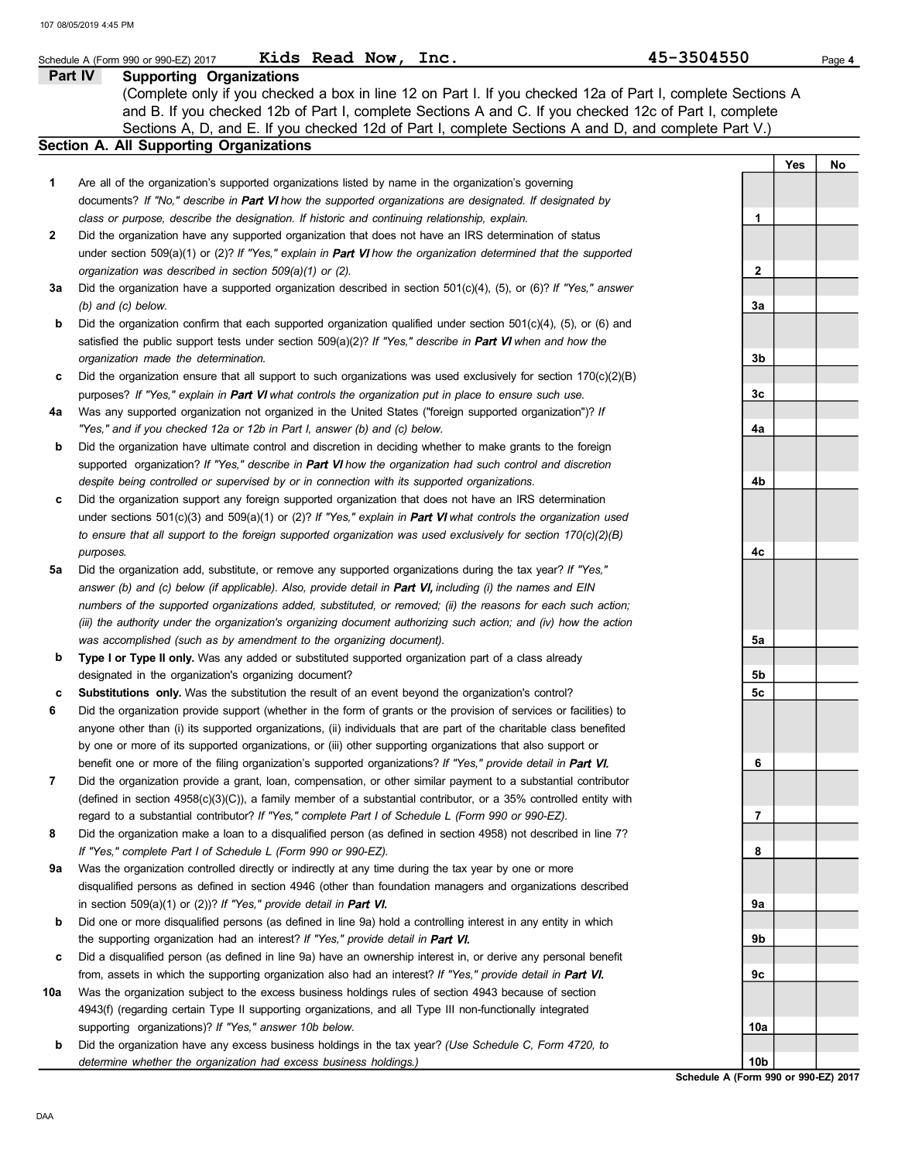|              | Kids Read Now,<br>Inc.<br>Schedule A (Form 990 or 990-EZ) 2017                                                                                                                                                 | 45-3504550 | Page 4    |
|--------------|----------------------------------------------------------------------------------------------------------------------------------------------------------------------------------------------------------------|------------|-----------|
|              | <b>Supporting Organizations</b><br>Part IV<br>(Complete only if you checked a box in line 12 on Part I. If you checked 12a of Part I, complete Sections A                                                      |            |           |
|              | and B. If you checked 12b of Part I, complete Sections A and C. If you checked 12c of Part I, complete<br>Sections A, D, and E. If you checked 12d of Part I, complete Sections A and D, and complete Part V.) |            |           |
|              | Section A. All Supporting Organizations                                                                                                                                                                        |            |           |
|              |                                                                                                                                                                                                                |            | Yes<br>No |
| 1            | Are all of the organization's supported organizations listed by name in the organization's governing                                                                                                           |            |           |
|              | documents? If "No," describe in Part VI how the supported organizations are designated. If designated by                                                                                                       |            |           |
|              | class or purpose, describe the designation. If historic and continuing relationship, explain.                                                                                                                  | 1.         |           |
| $\mathbf{2}$ | Did the organization have any supported organization that does not have an IRS determination of status                                                                                                         |            |           |
|              | under section 509(a)(1) or (2)? If "Yes," explain in Part VI how the organization determined that the supported                                                                                                |            |           |
|              | organization was described in section 509(a)(1) or (2).                                                                                                                                                        | 2          |           |
| За           | Did the organization have a supported organization described in section $501(c)(4)$ , (5), or (6)? If "Yes," answer                                                                                            |            |           |
|              | (b) and (c) below.                                                                                                                                                                                             | 3a         |           |
| b            | Did the organization confirm that each supported organization qualified under section $501(c)(4)$ , (5), or (6) and                                                                                            |            |           |
|              | satisfied the public support tests under section $509(a)(2)?$ If "Yes," describe in Part VI when and how the                                                                                                   |            |           |
|              | organization made the determination.                                                                                                                                                                           | 3b         |           |
| c            | Did the organization ensure that all support to such organizations was used exclusively for section $170(c)(2)(B)$                                                                                             |            |           |
|              | purposes? If "Yes," explain in Part VI what controls the organization put in place to ensure such use.                                                                                                         | 3c         |           |
| 4a           | Was any supported organization not organized in the United States ("foreign supported organization")? If                                                                                                       |            |           |
|              | "Yes," and if you checked 12a or 12b in Part I, answer (b) and (c) below.                                                                                                                                      | 4a         |           |
| b            | Did the organization have ultimate control and discretion in deciding whether to make grants to the foreign                                                                                                    |            |           |
|              | supported organization? If "Yes," describe in Part VI how the organization had such control and discretion                                                                                                     |            |           |
|              | despite being controlled or supervised by or in connection with its supported organizations.                                                                                                                   | 4b         |           |
| c            | Did the organization support any foreign supported organization that does not have an IRS determination                                                                                                        |            |           |
|              | under sections $501(c)(3)$ and $509(a)(1)$ or (2)? If "Yes," explain in Part VI what controls the organization used                                                                                            |            |           |
|              | to ensure that all support to the foreign supported organization was used exclusively for section 170(c)(2)(B)                                                                                                 | 4c         |           |
| 5a           | purposes.<br>Did the organization add, substitute, or remove any supported organizations during the tax year? If "Yes,"                                                                                        |            |           |
|              | answer (b) and (c) below (if applicable). Also, provide detail in Part VI, including (i) the names and EIN                                                                                                     |            |           |
|              | numbers of the supported organizations added, substituted, or removed; (ii) the reasons for each such action;                                                                                                  |            |           |
|              | (iii) the authority under the organization's organizing document authorizing such action; and (iv) how the action                                                                                              |            |           |
|              | was accomplished (such as by amendment to the organizing document).                                                                                                                                            | 5а         |           |
| b            | Type I or Type II only. Was any added or substituted supported organization part of a class already                                                                                                            |            |           |
|              | designated in the organization's organizing document?                                                                                                                                                          | 5b         |           |
|              | <b>Substitutions only.</b> Was the substitution the result of an event beyond the organization's control?                                                                                                      | 5c         |           |
| 6            | Did the organization provide support (whether in the form of grants or the provision of services or facilities) to                                                                                             |            |           |
|              | anyone other than (i) its supported organizations, (ii) individuals that are part of the charitable class benefited                                                                                            |            |           |
|              | by one or more of its supported organizations, or (iii) other supporting organizations that also support or                                                                                                    |            |           |
|              | benefit one or more of the filing organization's supported organizations? If "Yes," provide detail in Part VI.                                                                                                 | 6          |           |
| 7            | Did the organization provide a grant, loan, compensation, or other similar payment to a substantial contributor                                                                                                |            |           |
|              | (defined in section $4958(c)(3)(C)$ ), a family member of a substantial contributor, or a 35% controlled entity with                                                                                           |            |           |
|              | regard to a substantial contributor? If "Yes," complete Part I of Schedule L (Form 990 or 990-EZ).                                                                                                             | 7          |           |
| 8            | Did the organization make a loan to a disqualified person (as defined in section 4958) not described in line 7?                                                                                                |            |           |
|              | If "Yes," complete Part I of Schedule L (Form 990 or 990-EZ).                                                                                                                                                  | 8          |           |
| 9а           | Was the organization controlled directly or indirectly at any time during the tax year by one or more                                                                                                          |            |           |
|              | disqualified persons as defined in section 4946 (other than foundation managers and organizations described                                                                                                    |            |           |
|              | in section 509(a)(1) or (2))? If "Yes," provide detail in Part VI.                                                                                                                                             | 9a         |           |
| b            | Did one or more disqualified persons (as defined in line 9a) hold a controlling interest in any entity in which                                                                                                |            |           |
|              | the supporting organization had an interest? If "Yes," provide detail in Part VI.                                                                                                                              | 9b         |           |
| c            | Did a disqualified person (as defined in line 9a) have an ownership interest in, or derive any personal benefit                                                                                                |            |           |
|              | from, assets in which the supporting organization also had an interest? If "Yes," provide detail in Part VI.                                                                                                   | 9с         |           |
| 10a          | Was the organization subject to the excess business holdings rules of section 4943 because of section                                                                                                          |            |           |
|              | 4943(f) (regarding certain Type II supporting organizations, and all Type III non-functionally integrated<br>supporting organizations)? If "Yes," answer 10b below.                                            | 10a        |           |
| b            | Did the organization have any excess business holdings in the tax year? (Use Schedule C, Form 4720, to                                                                                                         |            |           |
|              | determine whether the organization had excess business holdings.)                                                                                                                                              | 10b        |           |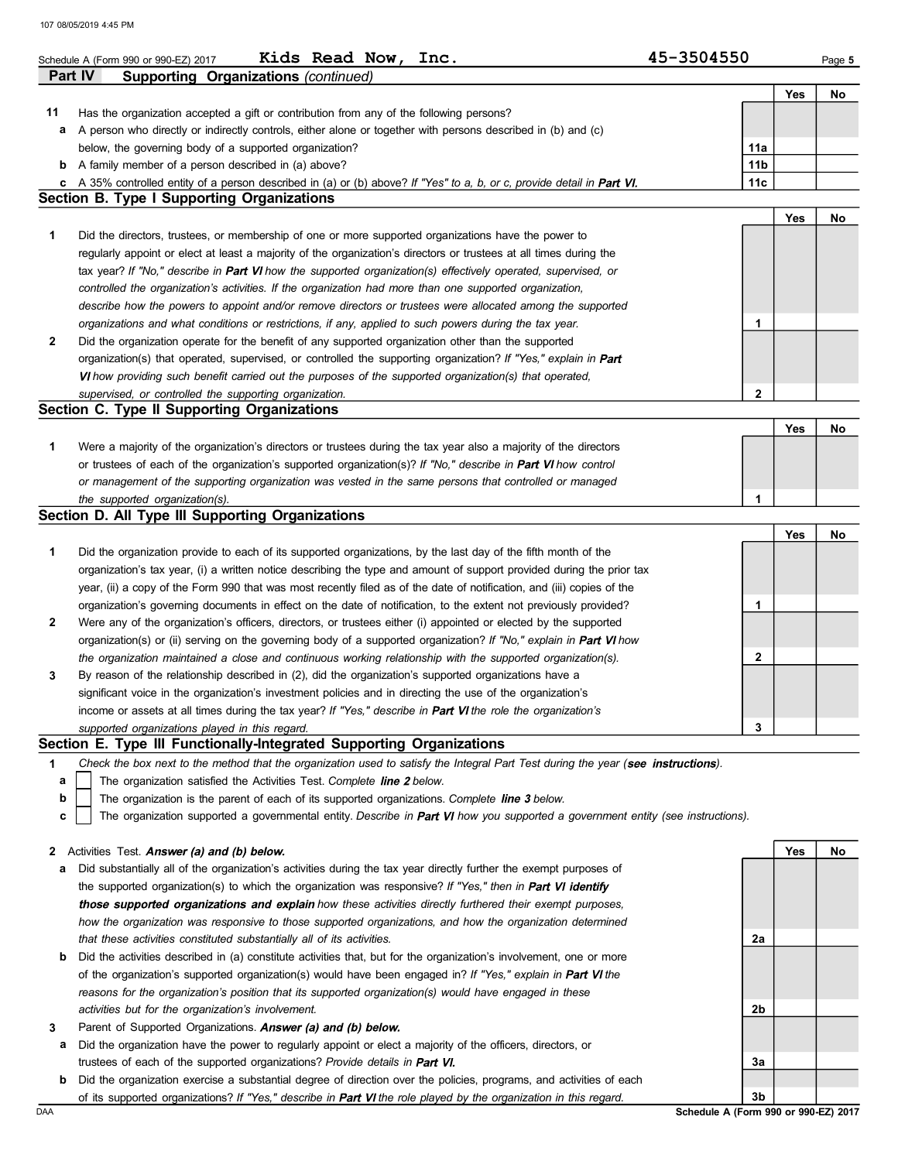|    | 107 08/05/2019 4:45 PM                                                                                                                                                                                              |                 |     |        |
|----|---------------------------------------------------------------------------------------------------------------------------------------------------------------------------------------------------------------------|-----------------|-----|--------|
|    |                                                                                                                                                                                                                     |                 |     |        |
|    | Kids Read Now,<br>Inc.<br>Schedule A (Form 990 or 990-EZ) 2017                                                                                                                                                      | 45-3504550      |     | Page 5 |
|    | Part IV<br>Supporting Organizations (continued)                                                                                                                                                                     |                 |     |        |
|    |                                                                                                                                                                                                                     |                 | Yes | No     |
| 11 | Has the organization accepted a gift or contribution from any of the following persons?<br>A person who directly or indirectly controls, either alone or together with persons described in (b) and (c)             |                 |     |        |
| а  | below, the governing body of a supported organization?                                                                                                                                                              | 11a             |     |        |
| b  | A family member of a person described in (a) above?                                                                                                                                                                 | 11 <sub>b</sub> |     |        |
| c  | A 35% controlled entity of a person described in (a) or (b) above? If "Yes" to a, b, or c, provide detail in Part VI.                                                                                               | 11c             |     |        |
|    | <b>Section B. Type I Supporting Organizations</b>                                                                                                                                                                   |                 |     |        |
|    |                                                                                                                                                                                                                     |                 | Yes | No     |
| 1  | Did the directors, trustees, or membership of one or more supported organizations have the power to                                                                                                                 |                 |     |        |
|    | regularly appoint or elect at least a majority of the organization's directors or trustees at all times during the                                                                                                  |                 |     |        |
|    | tax year? If "No," describe in Part VI how the supported organization(s) effectively operated, supervised, or                                                                                                       |                 |     |        |
|    | controlled the organization's activities. If the organization had more than one supported organization,                                                                                                             |                 |     |        |
|    | describe how the powers to appoint and/or remove directors or trustees were allocated among the supported                                                                                                           |                 |     |        |
|    | organizations and what conditions or restrictions, if any, applied to such powers during the tax year.                                                                                                              | 1               |     |        |
| 2  | Did the organization operate for the benefit of any supported organization other than the supported                                                                                                                 |                 |     |        |
|    | organization(s) that operated, supervised, or controlled the supporting organization? If "Yes," explain in Part                                                                                                     |                 |     |        |
|    | VI how providing such benefit carried out the purposes of the supported organization(s) that operated,                                                                                                              |                 |     |        |
|    | supervised, or controlled the supporting organization.                                                                                                                                                              | $\mathbf{2}$    |     |        |
|    | Section C. Type II Supporting Organizations                                                                                                                                                                         |                 |     |        |
|    |                                                                                                                                                                                                                     |                 | Yes | No     |
| 1  | Were a majority of the organization's directors or trustees during the tax year also a majority of the directors                                                                                                    |                 |     |        |
|    | or trustees of each of the organization's supported organization(s)? If "No," describe in Part VI how control                                                                                                       |                 |     |        |
|    | or management of the supporting organization was vested in the same persons that controlled or managed                                                                                                              |                 |     |        |
|    | the supported organization(s).                                                                                                                                                                                      | 1               |     |        |
|    | Section D. All Type III Supporting Organizations                                                                                                                                                                    |                 |     |        |
|    |                                                                                                                                                                                                                     |                 | Yes | No     |
| 1  | Did the organization provide to each of its supported organizations, by the last day of the fifth month of the                                                                                                      |                 |     |        |
|    | organization's tax year, (i) a written notice describing the type and amount of support provided during the prior tax                                                                                               |                 |     |        |
|    | year, (ii) a copy of the Form 990 that was most recently filed as of the date of notification, and (iii) copies of the                                                                                              |                 |     |        |
|    | organization's governing documents in effect on the date of notification, to the extent not previously provided?                                                                                                    | 1               |     |        |
| 2  | Were any of the organization's officers, directors, or trustees either (i) appointed or elected by the supported                                                                                                    |                 |     |        |
|    | organization(s) or (ii) serving on the governing body of a supported organization? If "No," explain in Part VI how                                                                                                  |                 |     |        |
|    | the organization maintained a close and continuous working relationship with the supported organization(s).                                                                                                         | 2               |     |        |
|    | By reason of the relationship described in (2), did the organization's supported organizations have a<br>significant voice in the organization's investment policies and in directing the use of the organization's |                 |     |        |
|    | income or assets at all times during the tax year? If "Yes," describe in Part VI the role the organization's                                                                                                        |                 |     |        |
|    | supported organizations played in this regard.                                                                                                                                                                      | 3               |     |        |
|    | Section E. Type III Functionally-Integrated Supporting Organizations                                                                                                                                                |                 |     |        |
| 1  | Check the box next to the method that the organization used to satisfy the Integral Part Test during the year (see instructions).                                                                                   |                 |     |        |
| а  | The organization satisfied the Activities Test. Complete line 2 below.                                                                                                                                              |                 |     |        |
| b  | The organization is the parent of each of its supported organizations. Complete line 3 below.                                                                                                                       |                 |     |        |
| c  | The organization supported a governmental entity. Describe in Part VI how you supported a government entity (see instructions).                                                                                     |                 |     |        |
|    |                                                                                                                                                                                                                     |                 |     |        |
| 2  | Activities Test. Answer (a) and (b) below.                                                                                                                                                                          |                 | Yes | No     |
| а  | Did substantially all of the organization's activities during the tax year directly further the exempt purposes of                                                                                                  |                 |     |        |
|    | the supported organization(s) to which the organization was responsive? If "Yes," then in Part VI identify                                                                                                          |                 |     |        |
|    | those supported organizations and explain how these activities directly furthered their exempt purposes,                                                                                                            |                 |     |        |
|    | how the organization was responsive to those supported organizations, and how the organization determined                                                                                                           |                 |     |        |
|    | that these activities constituted substantially all of its activities.                                                                                                                                              | 2a              |     |        |
| b  | Did the activities described in (a) constitute activities that, but for the organization's involvement, one or more                                                                                                 |                 |     |        |
|    | of the organization's supported organization(s) would have been engaged in? If "Yes," explain in Part VI the                                                                                                        |                 |     |        |
|    | reasons for the organization's position that its supported organization(s) would have engaged in these                                                                                                              |                 |     |        |
|    | activities but for the organization's involvement.                                                                                                                                                                  | 2b              |     |        |
| 3  | Parent of Supported Organizations. Answer (a) and (b) below.                                                                                                                                                        |                 |     |        |
| а  | Did the organization have the power to regularly appoint or elect a majority of the officers, directors, or                                                                                                         |                 |     |        |
|    | trustees of each of the supported organizations? Provide details in Part VI.                                                                                                                                        | За              |     |        |
| b  | Did the organization exercise a substantial degree of direction over the policies, programs, and activities of each                                                                                                 |                 |     |        |
|    | of its supported organizations? If "Yes," describe in Part VI the role played by the organization in this regard.                                                                                                   | 3b              |     |        |

DAA Schedule A (Form 990 or 990-EZ) 2017 3b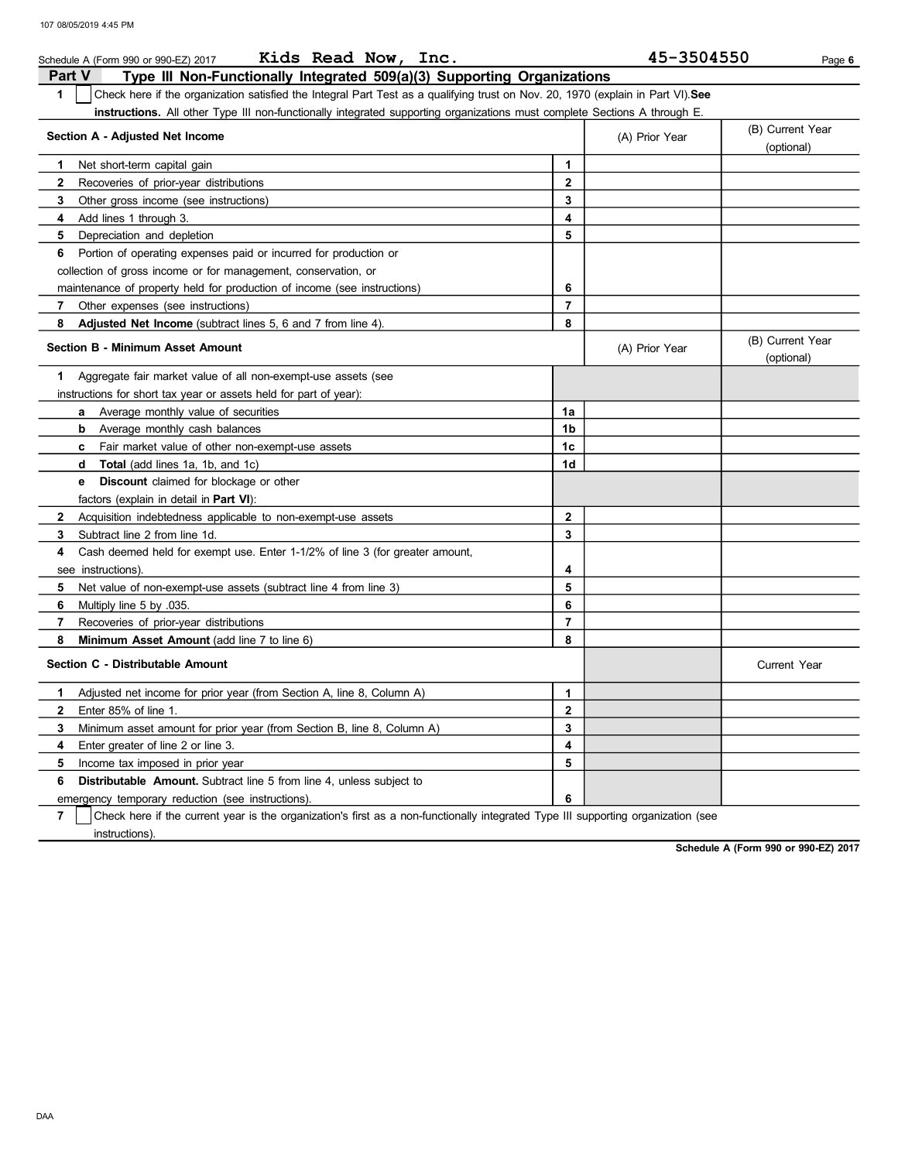|                | Kids Read Now, Inc.<br>Schedule A (Form 990 or 990-EZ) 2017                                                                      |                         | 45-3504550     | Page 6                         |
|----------------|----------------------------------------------------------------------------------------------------------------------------------|-------------------------|----------------|--------------------------------|
| <b>Part V</b>  | Type III Non-Functionally Integrated 509(a)(3) Supporting Organizations                                                          |                         |                |                                |
| $\mathbf{1}$   | Check here if the organization satisfied the Integral Part Test as a qualifying trust on Nov. 20, 1970 (explain in Part VI). See |                         |                |                                |
|                | <b>instructions.</b> All other Type III non-functionally integrated supporting organizations must complete Sections A through E. |                         |                |                                |
|                | Section A - Adjusted Net Income                                                                                                  |                         |                | (B) Current Year               |
|                |                                                                                                                                  |                         | (A) Prior Year | (optional)                     |
| 1.             | Net short-term capital gain                                                                                                      | 1                       |                |                                |
| $\mathbf{2}$   | Recoveries of prior-year distributions                                                                                           | $\mathbf{2}$            |                |                                |
| 3              | Other gross income (see instructions)                                                                                            | 3                       |                |                                |
| 4              | Add lines 1 through 3.                                                                                                           | 4                       |                |                                |
| 5              | Depreciation and depletion                                                                                                       | 5                       |                |                                |
| 6              | Portion of operating expenses paid or incurred for production or                                                                 |                         |                |                                |
|                | collection of gross income or for management, conservation, or                                                                   |                         |                |                                |
|                | maintenance of property held for production of income (see instructions)                                                         | 6                       |                |                                |
| 7              | Other expenses (see instructions)                                                                                                | $\overline{7}$          |                |                                |
| 8              | Adjusted Net Income (subtract lines 5, 6 and 7 from line 4).                                                                     | 8                       |                |                                |
|                | <b>Section B - Minimum Asset Amount</b>                                                                                          |                         | (A) Prior Year | (B) Current Year<br>(optional) |
| 1              | Aggregate fair market value of all non-exempt-use assets (see                                                                    |                         |                |                                |
|                | instructions for short tax year or assets held for part of year):                                                                |                         |                |                                |
|                | <b>a</b> Average monthly value of securities                                                                                     | 1a                      |                |                                |
|                | Average monthly cash balances<br>b                                                                                               | 1b                      |                |                                |
|                | <b>c</b> Fair market value of other non-exempt-use assets                                                                        | 1c                      |                |                                |
|                | <b>Total</b> (add lines 1a, 1b, and 1c)<br>d                                                                                     | 1d                      |                |                                |
|                | <b>Discount</b> claimed for blockage or other<br>е                                                                               |                         |                |                                |
|                | factors (explain in detail in <b>Part VI)</b> :                                                                                  |                         |                |                                |
| $\mathbf{2}$   | Acquisition indebtedness applicable to non-exempt-use assets                                                                     | $\mathbf{2}$            |                |                                |
| 3              | Subtract line 2 from line 1d.                                                                                                    | 3                       |                |                                |
| 4              | Cash deemed held for exempt use. Enter 1-1/2% of line 3 (for greater amount,                                                     |                         |                |                                |
|                | see instructions).                                                                                                               | 4                       |                |                                |
| 5              | Net value of non-exempt-use assets (subtract line 4 from line 3)                                                                 | 5                       |                |                                |
| 6              | Multiply line 5 by 035.                                                                                                          | 6                       |                |                                |
| $\overline{7}$ | Recoveries of prior-year distributions                                                                                           | $\overline{7}$          |                |                                |
| 8              | Minimum Asset Amount (add line 7 to line 6)                                                                                      | 8                       |                |                                |
|                | Section C - Distributable Amount                                                                                                 |                         |                | <b>Current Year</b>            |
| 1              | Adjusted net income for prior year (from Section A, line 8, Column A)                                                            | 1                       |                |                                |
| 2              | Enter 85% of line 1.                                                                                                             | $\mathbf{2}$            |                |                                |
| 3              | Minimum asset amount for prior year (from Section B, line 8, Column A)                                                           | 3                       |                |                                |
| 4              | Enter greater of line 2 or line 3.                                                                                               | $\overline{\mathbf{4}}$ |                |                                |
| 5              | Income tax imposed in prior year                                                                                                 | 5                       |                |                                |
| 6              | <b>Distributable Amount.</b> Subtract line 5 from line 4, unless subject to                                                      |                         |                |                                |
|                | emergency temporary reduction (see instructions).                                                                                | 6                       |                |                                |

7 instructions). Check here if the current year is the organization's first as a non-functionally integrated Type III supporting organization (see

Schedule A (Form 990 or 990-EZ) 2017

DAA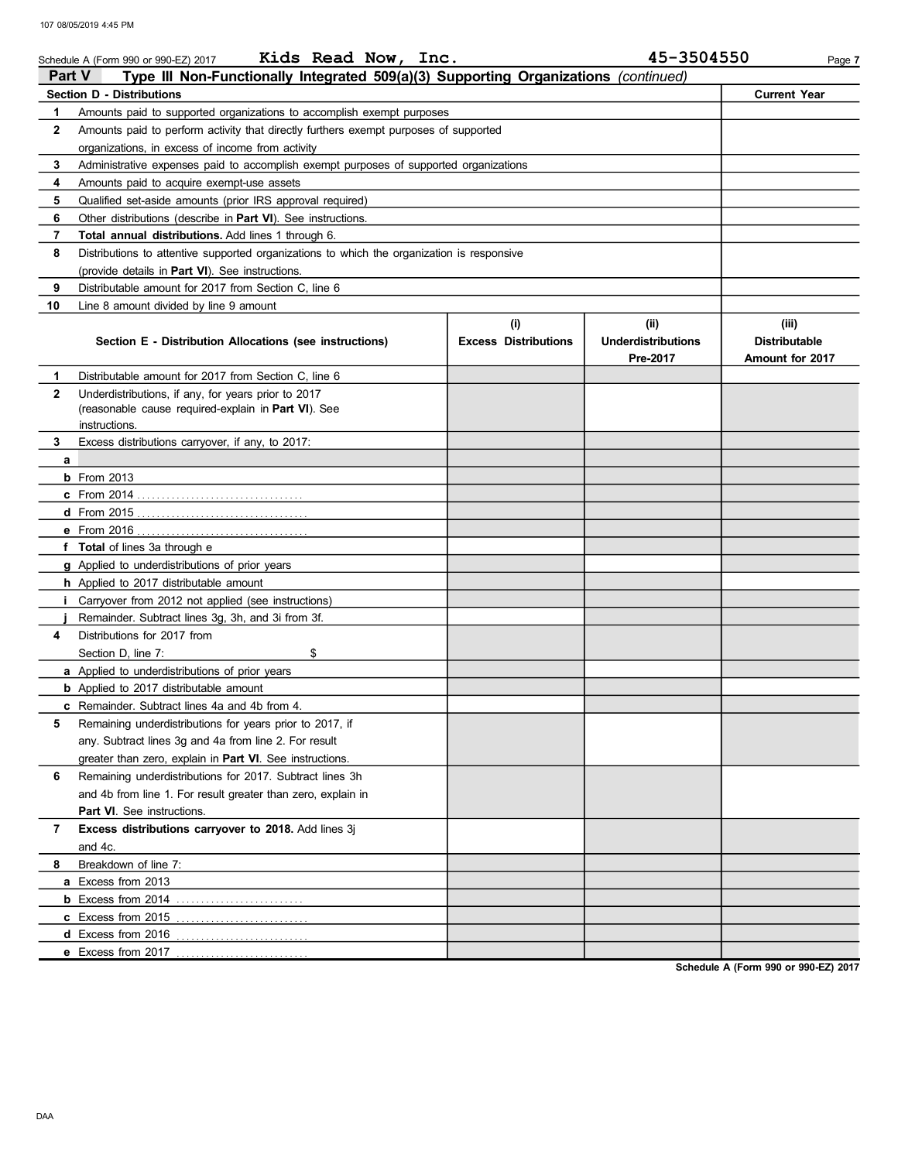|                | Kids Read Now, Inc.<br>Schedule A (Form 990 or 990-EZ) 2017                                |                             | 45-3504550                | Page 7               |  |  |  |  |  |  |  |
|----------------|--------------------------------------------------------------------------------------------|-----------------------------|---------------------------|----------------------|--|--|--|--|--|--|--|
| <b>Part V</b>  | Type III Non-Functionally Integrated 509(a)(3) Supporting Organizations (continued)        |                             |                           |                      |  |  |  |  |  |  |  |
|                | <b>Section D - Distributions</b>                                                           |                             |                           | <b>Current Year</b>  |  |  |  |  |  |  |  |
| 1              | Amounts paid to supported organizations to accomplish exempt purposes                      |                             |                           |                      |  |  |  |  |  |  |  |
| $\mathbf{2}$   | Amounts paid to perform activity that directly furthers exempt purposes of supported       |                             |                           |                      |  |  |  |  |  |  |  |
|                | organizations, in excess of income from activity                                           |                             |                           |                      |  |  |  |  |  |  |  |
| 3              | Administrative expenses paid to accomplish exempt purposes of supported organizations      |                             |                           |                      |  |  |  |  |  |  |  |
| 4              | Amounts paid to acquire exempt-use assets                                                  |                             |                           |                      |  |  |  |  |  |  |  |
| 5              | Qualified set-aside amounts (prior IRS approval required)                                  |                             |                           |                      |  |  |  |  |  |  |  |
| 6              | Other distributions (describe in Part VI). See instructions.                               |                             |                           |                      |  |  |  |  |  |  |  |
| $\overline{7}$ | Total annual distributions. Add lines 1 through 6.                                         |                             |                           |                      |  |  |  |  |  |  |  |
| 8              | Distributions to attentive supported organizations to which the organization is responsive |                             |                           |                      |  |  |  |  |  |  |  |
|                | (provide details in Part VI). See instructions.                                            |                             |                           |                      |  |  |  |  |  |  |  |
| 9              | Distributable amount for 2017 from Section C, line 6                                       |                             |                           |                      |  |  |  |  |  |  |  |
| 10             | Line 8 amount divided by line 9 amount                                                     |                             |                           |                      |  |  |  |  |  |  |  |
|                |                                                                                            | (i)                         | (ii)                      | (iii)                |  |  |  |  |  |  |  |
|                | Section E - Distribution Allocations (see instructions)                                    | <b>Excess Distributions</b> | <b>Underdistributions</b> | <b>Distributable</b> |  |  |  |  |  |  |  |
|                |                                                                                            |                             | Pre-2017                  | Amount for 2017      |  |  |  |  |  |  |  |
| 1.             | Distributable amount for 2017 from Section C, line 6                                       |                             |                           |                      |  |  |  |  |  |  |  |
| $\mathbf{2}$   | Underdistributions, if any, for years prior to 2017                                        |                             |                           |                      |  |  |  |  |  |  |  |
|                | (reasonable cause required-explain in Part VI). See<br>instructions.                       |                             |                           |                      |  |  |  |  |  |  |  |
| 3              |                                                                                            |                             |                           |                      |  |  |  |  |  |  |  |
|                | Excess distributions carryover, if any, to 2017:                                           |                             |                           |                      |  |  |  |  |  |  |  |
| a              | $b$ From 2013                                                                              |                             |                           |                      |  |  |  |  |  |  |  |
|                |                                                                                            |                             |                           |                      |  |  |  |  |  |  |  |
|                |                                                                                            |                             |                           |                      |  |  |  |  |  |  |  |
|                |                                                                                            |                             |                           |                      |  |  |  |  |  |  |  |
|                | f Total of lines 3a through e                                                              |                             |                           |                      |  |  |  |  |  |  |  |
|                | <b>g</b> Applied to underdistributions of prior years                                      |                             |                           |                      |  |  |  |  |  |  |  |
|                | <b>h</b> Applied to 2017 distributable amount                                              |                             |                           |                      |  |  |  |  |  |  |  |
|                | Carryover from 2012 not applied (see instructions)                                         |                             |                           |                      |  |  |  |  |  |  |  |
|                | Remainder. Subtract lines 3g, 3h, and 3i from 3f.                                          |                             |                           |                      |  |  |  |  |  |  |  |
| 4              | Distributions for 2017 from                                                                |                             |                           |                      |  |  |  |  |  |  |  |
|                | \$<br>Section D, line 7:                                                                   |                             |                           |                      |  |  |  |  |  |  |  |
|                | a Applied to underdistributions of prior years                                             |                             |                           |                      |  |  |  |  |  |  |  |
|                | <b>b</b> Applied to 2017 distributable amount                                              |                             |                           |                      |  |  |  |  |  |  |  |
|                | c Remainder. Subtract lines 4a and 4b from 4.                                              |                             |                           |                      |  |  |  |  |  |  |  |
| 5              | Remaining underdistributions for years prior to 2017, if                                   |                             |                           |                      |  |  |  |  |  |  |  |
|                | any. Subtract lines 3g and 4a from line 2. For result                                      |                             |                           |                      |  |  |  |  |  |  |  |
|                | greater than zero, explain in Part VI. See instructions.                                   |                             |                           |                      |  |  |  |  |  |  |  |
| 6              | Remaining underdistributions for 2017. Subtract lines 3h                                   |                             |                           |                      |  |  |  |  |  |  |  |
|                | and 4b from line 1. For result greater than zero, explain in                               |                             |                           |                      |  |  |  |  |  |  |  |
|                | <b>Part VI.</b> See instructions.                                                          |                             |                           |                      |  |  |  |  |  |  |  |
| 7              | Excess distributions carryover to 2018. Add lines 3j                                       |                             |                           |                      |  |  |  |  |  |  |  |
|                | and 4c.                                                                                    |                             |                           |                      |  |  |  |  |  |  |  |
| 8              | Breakdown of line 7:                                                                       |                             |                           |                      |  |  |  |  |  |  |  |
|                | a Excess from 2013                                                                         |                             |                           |                      |  |  |  |  |  |  |  |
|                |                                                                                            |                             |                           |                      |  |  |  |  |  |  |  |
|                | c Excess from 2015                                                                         |                             |                           |                      |  |  |  |  |  |  |  |
|                | <b>d</b> Excess from 2016                                                                  |                             |                           |                      |  |  |  |  |  |  |  |
|                | e Excess from 2017                                                                         |                             |                           |                      |  |  |  |  |  |  |  |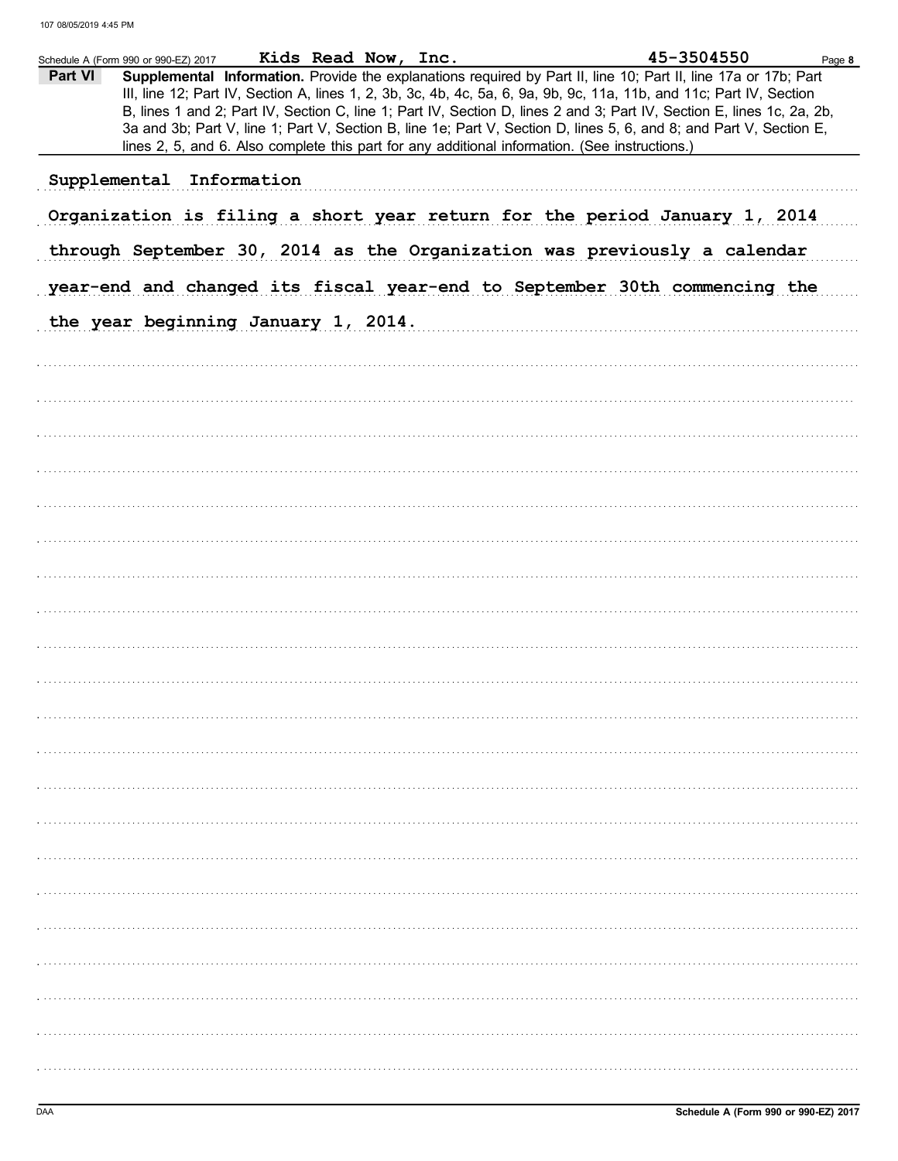|         | Schedule A (Form 990 or 990-EZ) 2017                                                           | Kids Read Now, Inc. |  | 45-3504550                                                                                                                                                                                                                                                                                                                                                                                                                                                                               | Page 8 |
|---------|------------------------------------------------------------------------------------------------|---------------------|--|------------------------------------------------------------------------------------------------------------------------------------------------------------------------------------------------------------------------------------------------------------------------------------------------------------------------------------------------------------------------------------------------------------------------------------------------------------------------------------------|--------|
| Part VI |                                                                                                |                     |  | Supplemental Information. Provide the explanations required by Part II, line 10; Part II, line 17a or 17b; Part<br>III, line 12; Part IV, Section A, lines 1, 2, 3b, 3c, 4b, 4c, 5a, 6, 9a, 9b, 9c, 11a, 11b, and 11c; Part IV, Section<br>B, lines 1 and 2; Part IV, Section C, line 1; Part IV, Section D, lines 2 and 3; Part IV, Section E, lines 1c, 2a, 2b,<br>3a and 3b; Part V, line 1; Part V, Section B, line 1e; Part V, Section D, lines 5, 6, and 8; and Part V, Section E, |        |
|         | lines 2, 5, and 6. Also complete this part for any additional information. (See instructions.) |                     |  |                                                                                                                                                                                                                                                                                                                                                                                                                                                                                          |        |
|         | Supplemental Information                                                                       |                     |  |                                                                                                                                                                                                                                                                                                                                                                                                                                                                                          |        |
|         |                                                                                                |                     |  | Organization is filing a short year return for the period January 1, 2014                                                                                                                                                                                                                                                                                                                                                                                                                |        |
|         |                                                                                                |                     |  | through September 30, 2014 as the Organization was previously a calendar                                                                                                                                                                                                                                                                                                                                                                                                                 |        |
|         |                                                                                                |                     |  | year-end and changed its fiscal year-end to September 30th commencing the                                                                                                                                                                                                                                                                                                                                                                                                                |        |
|         | the year beginning January 1, 2014.                                                            |                     |  |                                                                                                                                                                                                                                                                                                                                                                                                                                                                                          |        |
|         |                                                                                                |                     |  |                                                                                                                                                                                                                                                                                                                                                                                                                                                                                          |        |
|         |                                                                                                |                     |  |                                                                                                                                                                                                                                                                                                                                                                                                                                                                                          |        |
|         |                                                                                                |                     |  |                                                                                                                                                                                                                                                                                                                                                                                                                                                                                          |        |
|         |                                                                                                |                     |  |                                                                                                                                                                                                                                                                                                                                                                                                                                                                                          |        |
|         |                                                                                                |                     |  |                                                                                                                                                                                                                                                                                                                                                                                                                                                                                          |        |
|         |                                                                                                |                     |  |                                                                                                                                                                                                                                                                                                                                                                                                                                                                                          |        |
|         |                                                                                                |                     |  |                                                                                                                                                                                                                                                                                                                                                                                                                                                                                          |        |
|         |                                                                                                |                     |  |                                                                                                                                                                                                                                                                                                                                                                                                                                                                                          |        |
|         |                                                                                                |                     |  |                                                                                                                                                                                                                                                                                                                                                                                                                                                                                          |        |
|         |                                                                                                |                     |  |                                                                                                                                                                                                                                                                                                                                                                                                                                                                                          |        |
|         |                                                                                                |                     |  |                                                                                                                                                                                                                                                                                                                                                                                                                                                                                          |        |
|         |                                                                                                |                     |  |                                                                                                                                                                                                                                                                                                                                                                                                                                                                                          |        |
|         |                                                                                                |                     |  |                                                                                                                                                                                                                                                                                                                                                                                                                                                                                          |        |
|         |                                                                                                |                     |  |                                                                                                                                                                                                                                                                                                                                                                                                                                                                                          |        |
|         |                                                                                                |                     |  |                                                                                                                                                                                                                                                                                                                                                                                                                                                                                          |        |
|         |                                                                                                |                     |  |                                                                                                                                                                                                                                                                                                                                                                                                                                                                                          |        |
|         |                                                                                                |                     |  |                                                                                                                                                                                                                                                                                                                                                                                                                                                                                          |        |
|         |                                                                                                |                     |  |                                                                                                                                                                                                                                                                                                                                                                                                                                                                                          |        |
|         |                                                                                                |                     |  |                                                                                                                                                                                                                                                                                                                                                                                                                                                                                          |        |
|         |                                                                                                |                     |  |                                                                                                                                                                                                                                                                                                                                                                                                                                                                                          |        |
|         |                                                                                                |                     |  |                                                                                                                                                                                                                                                                                                                                                                                                                                                                                          |        |
|         |                                                                                                |                     |  |                                                                                                                                                                                                                                                                                                                                                                                                                                                                                          |        |
|         |                                                                                                |                     |  |                                                                                                                                                                                                                                                                                                                                                                                                                                                                                          |        |
|         |                                                                                                |                     |  |                                                                                                                                                                                                                                                                                                                                                                                                                                                                                          |        |
|         |                                                                                                |                     |  |                                                                                                                                                                                                                                                                                                                                                                                                                                                                                          |        |
|         |                                                                                                |                     |  |                                                                                                                                                                                                                                                                                                                                                                                                                                                                                          |        |
|         |                                                                                                |                     |  |                                                                                                                                                                                                                                                                                                                                                                                                                                                                                          |        |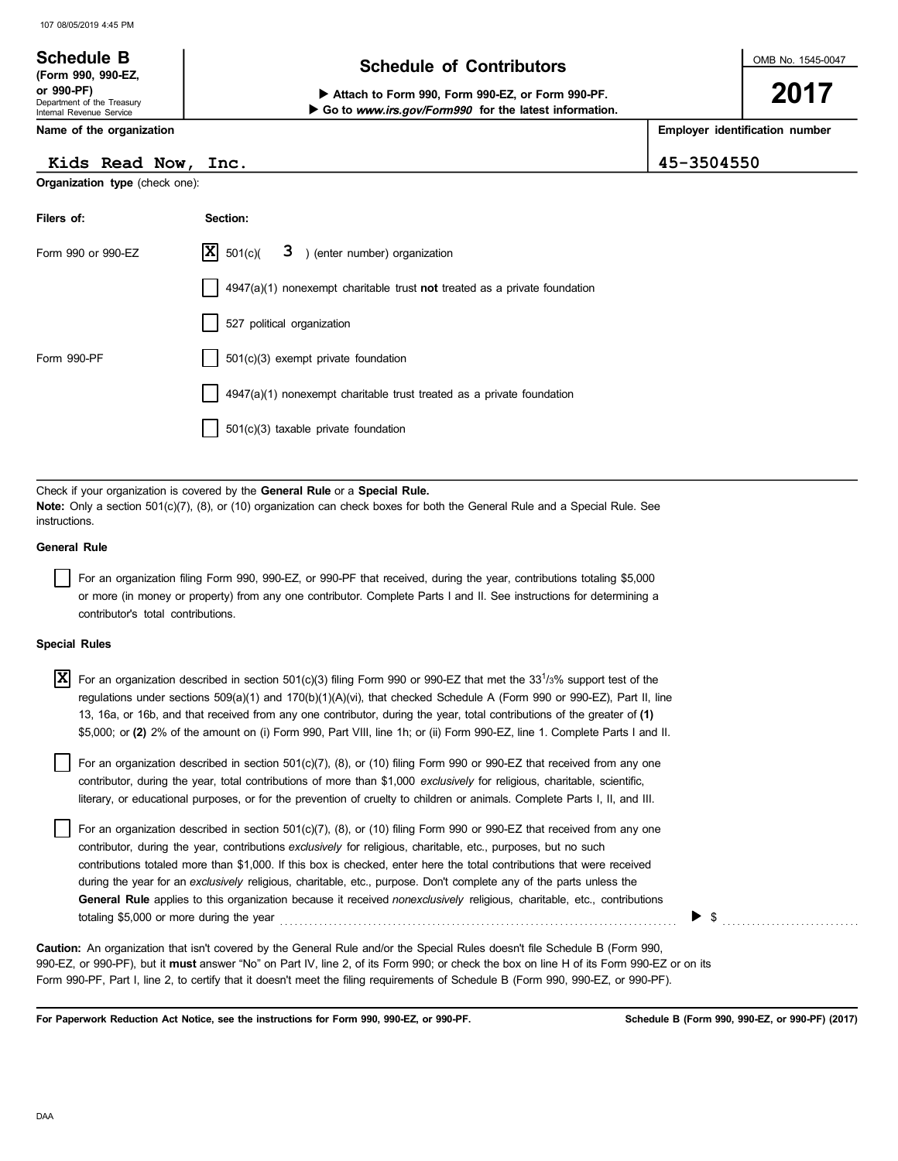#### OMB No. 1545-0047 Department of the Treasury Internal Revenue Service Name of the organization 2017 Schedule B<br>
Schedule of Contributors (Form 990, 990-EZ, Attach to Form 990, Form 990-EZ, or Form 990-PF. Employer identification number Go to www.irs.gov/Form990 for the latest information.

## Kids Read Now, Inc. 45-3504550

Organization type (check one):

| Filers of:         | Section:                                                                                 |
|--------------------|------------------------------------------------------------------------------------------|
| Form 990 or 990-EZ | $ \mathbf{X} $ 501(c)( $3$ ) (enter number) organization                                 |
|                    | $\vert$ 4947(a)(1) nonexempt charitable trust <b>not</b> treated as a private foundation |
|                    | 527 political organization                                                               |
| Form 990-PF        | 501(c)(3) exempt private foundation                                                      |
|                    | 4947(a)(1) nonexempt charitable trust treated as a private foundation                    |
|                    | 501(c)(3) taxable private foundation                                                     |

Check if your organization is covered by the General Rule or a Special Rule. Note: Only a section 501(c)(7), (8), or (10) organization can check boxes for both the General Rule and a Special Rule. See instructions.

## General Rule

For an organization filing Form 990, 990-EZ, or 990-PF that received, during the year, contributions totaling \$5,000 or more (in money or property) from any one contributor. Complete Parts I and II. See instructions for determining a contributor's total contributions.

### Special Rules

| $ X $ For an organization described in section 501(c)(3) filing Form 990 or 990-EZ that met the 33 <sup>1</sup> /3% support test of the<br>regulations under sections 509(a)(1) and 170(b)(1)(A)(vi), that checked Schedule A (Form 990 or 990-EZ), Part II, line |
|-------------------------------------------------------------------------------------------------------------------------------------------------------------------------------------------------------------------------------------------------------------------|
| 13, 16a, or 16b, and that received from any one contributor, during the year, total contributions of the greater of (1)<br>\$5,000; or (2) 2% of the amount on (i) Form 990, Part VIII, line 1h; or (ii) Form 990-EZ, line 1. Complete Parts I and II.            |
| For an organization described in section 501(c)(7), (8), or (10) filing Form 990 or 990-EZ that received from any one<br>contributor, during the year, total contributions of more than \$1,000 exclusively for religious, charitable, scientific,                |

| literary, or educational purposes, or for the prevention of cruelty to children or animals. Complete Parts I, II, and III. |  |  |
|----------------------------------------------------------------------------------------------------------------------------|--|--|

For an organization described in section 501(c)(7), (8), or (10) filing Form 990 or 990-EZ that received from any one contributor, during the year, contributions exclusively for religious, charitable, etc., purposes, but no such contributions totaled more than \$1,000. If this box is checked, enter here the total contributions that were received during the year for an exclusively religious, charitable, etc., purpose. Don't complete any of the parts unless the General Rule applies to this organization because it received nonexclusively religious, charitable, etc., contributions totaling \$5,000 or more during the year . . . . . . . . . . . . . . . . . . . . . . . . . . . . . . . . . . . . . . . . . . . . . . . . . . . . . . . . . . . . . . . . . . . . . . . . . . . . . . . . .

990-EZ, or 990-PF), but it must answer "No" on Part IV, line 2, of its Form 990; or check the box on line H of its Form 990-EZ or on its Form 990-PF, Part I, line 2, to certify that it doesn't meet the filing requirements of Schedule B (Form 990, 990-EZ, or 990-PF). Caution: An organization that isn't covered by the General Rule and/or the Special Rules doesn't file Schedule B (Form 990,

For Paperwork Reduction Act Notice, see the instructions for Form 990, 990-EZ, or 990-PF.

\$ . . . . . . . . . . . . . . . . . . . . . . . . . . . .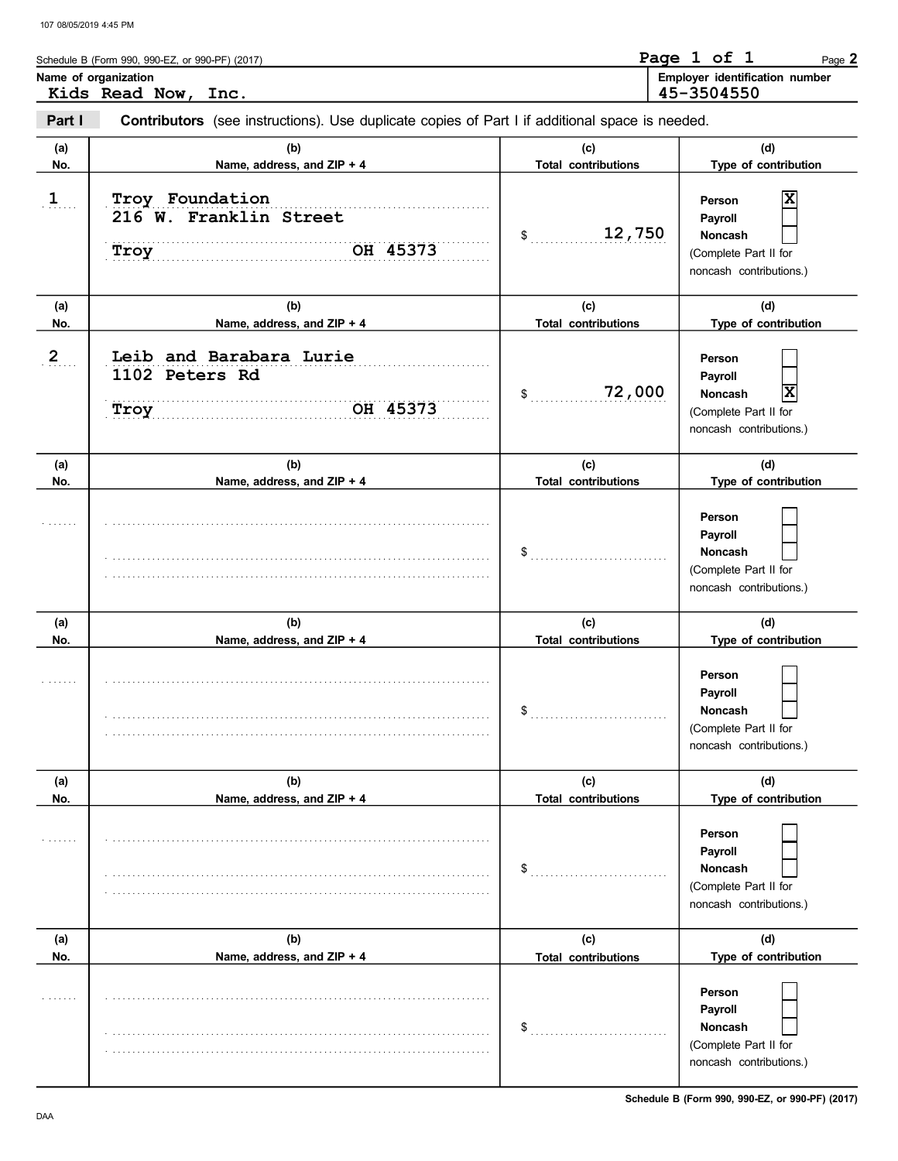| Schedule B (Form 990, 990-EZ, or 990-PF) (2017)                                                                 | Page 1 of 1 |            | Page 2                                |
|-----------------------------------------------------------------------------------------------------------------|-------------|------------|---------------------------------------|
| Name of organization<br>Kids Read Now, Inc.                                                                     |             | 45-3504550 | <b>Employer identification number</b> |
| Part I<br><b>Contributors</b> (see instructions). Use duplicate copies of Part I if additional space is needed. |             |            |                                       |

| .  .           | <b>OUTED MANUTE:</b> The control of the control of the control of the control of the control of the control of the control of the control of the control of the control of the control of the control of the control of the contro |                                   |                                                                                                  |
|----------------|------------------------------------------------------------------------------------------------------------------------------------------------------------------------------------------------------------------------------------|-----------------------------------|--------------------------------------------------------------------------------------------------|
| (a)<br>No.     | (b)<br>Name, address, and ZIP + 4                                                                                                                                                                                                  | (c)<br><b>Total contributions</b> | (d)<br>Type of contribution                                                                      |
| $\mathbf{1}$   | Troy Foundation<br>216 W. Franklin Street<br>OH 45373<br>Troy                                                                                                                                                                      | 12,750<br>$\frac{1}{2}$           | X<br>Person<br>Payroll<br>Noncash<br>(Complete Part II for<br>noncash contributions.)            |
| (a)<br>No.     | (b)<br>Name, address, and ZIP + 4                                                                                                                                                                                                  | (c)<br><b>Total contributions</b> | (d)<br>Type of contribution                                                                      |
| $\overline{2}$ | Leib and Barabara Lurie<br>1102 Peters Rd<br>OH 45373<br>Troy                                                                                                                                                                      | 72,000<br>$\frac{1}{2}$           | Person<br>Payroll<br>$\mathbf{x}$<br>Noncash<br>(Complete Part II for<br>noncash contributions.) |
| (a)<br>No.     | (b)<br>Name, address, and ZIP + 4                                                                                                                                                                                                  | (c)<br><b>Total contributions</b> | (d)<br>Type of contribution                                                                      |
|                |                                                                                                                                                                                                                                    | $\frac{1}{2}$                     | Person<br>Payroll<br>Noncash<br>(Complete Part II for<br>noncash contributions.)                 |
| (a)<br>No.     | (b)<br>Name, address, and ZIP + 4                                                                                                                                                                                                  | (c)<br><b>Total contributions</b> | (d)<br>Type of contribution                                                                      |
|                |                                                                                                                                                                                                                                    | $\frac{1}{2}$                     | Person<br>Payroll<br>Noncash<br>(Complete Part II for<br>noncash contributions.)                 |
| (a)<br>No.     | (b)<br>Name, address, and ZIP + 4                                                                                                                                                                                                  | (c)<br><b>Total contributions</b> | (d)<br>Type of contribution                                                                      |
|                |                                                                                                                                                                                                                                    | \$                                | Person<br>Payroll<br><b>Noncash</b><br>(Complete Part II for<br>noncash contributions.)          |
| (a)<br>No.     | (b)<br>Name, address, and ZIP + 4                                                                                                                                                                                                  | (c)<br><b>Total contributions</b> | (d)<br>Type of contribution                                                                      |
|                |                                                                                                                                                                                                                                    | \$                                | Person<br>Payroll<br>Noncash<br>(Complete Part II for<br>noncash contributions.)                 |

Schedule B (Form 990, 990-EZ, or 990-PF) (2017)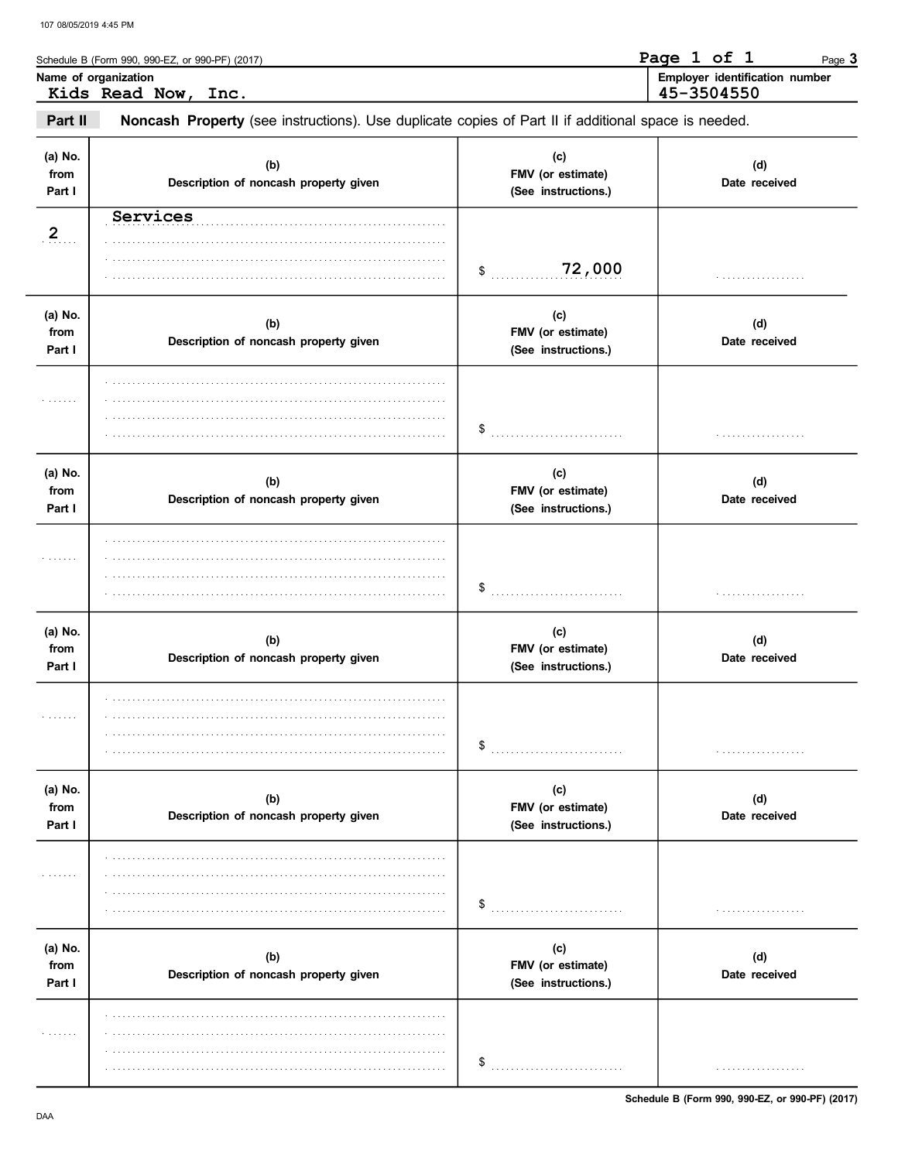|                           | Schedule B (Form 990, 990-EZ, or 990-PF) (2017)<br>Name of organization                             |                                                 | Page 1 of 1<br>Page 3<br>Employer identification number |
|---------------------------|-----------------------------------------------------------------------------------------------------|-------------------------------------------------|---------------------------------------------------------|
|                           | Kids Read Now, Inc.                                                                                 |                                                 | 45-3504550                                              |
| Part II                   | Noncash Property (see instructions). Use duplicate copies of Part II if additional space is needed. |                                                 |                                                         |
| (a) No.<br>from<br>Part I | (b)<br>Description of noncash property given                                                        | (c)<br>FMV (or estimate)<br>(See instructions.) | (d)<br>Date received                                    |
| 2                         | Services                                                                                            | 72,000<br>\$                                    | .                                                       |
| (a) No.<br>from<br>Part I | (b)<br>Description of noncash property given                                                        | (c)<br>FMV (or estimate)<br>(See instructions.) | (d)<br>Date received                                    |
|                           |                                                                                                     | \$                                              |                                                         |
| (a) No.<br>from<br>Part I | (b)<br>Description of noncash property given                                                        | (c)<br>FMV (or estimate)<br>(See instructions.) | (d)<br>Date received                                    |
|                           |                                                                                                     | \$                                              |                                                         |
| (a) No.<br>from<br>Part I | (b)<br>Description of noncash property given                                                        | (c)<br>FMV (or estimate)<br>(See instructions.) | (d)<br>Date received                                    |
|                           |                                                                                                     | \$                                              | .                                                       |
| (a) No.<br>from<br>Part I | (b)<br>Description of noncash property given                                                        | (c)<br>FMV (or estimate)<br>(See instructions.) | (d)<br>Date received                                    |
| .                         |                                                                                                     | \$                                              | .                                                       |
| (a) No.<br>from<br>Part I | (b)<br>Description of noncash property given                                                        | (c)<br>FMV (or estimate)<br>(See instructions.) | (d)<br>Date received                                    |
| .                         |                                                                                                     | \$                                              | .                                                       |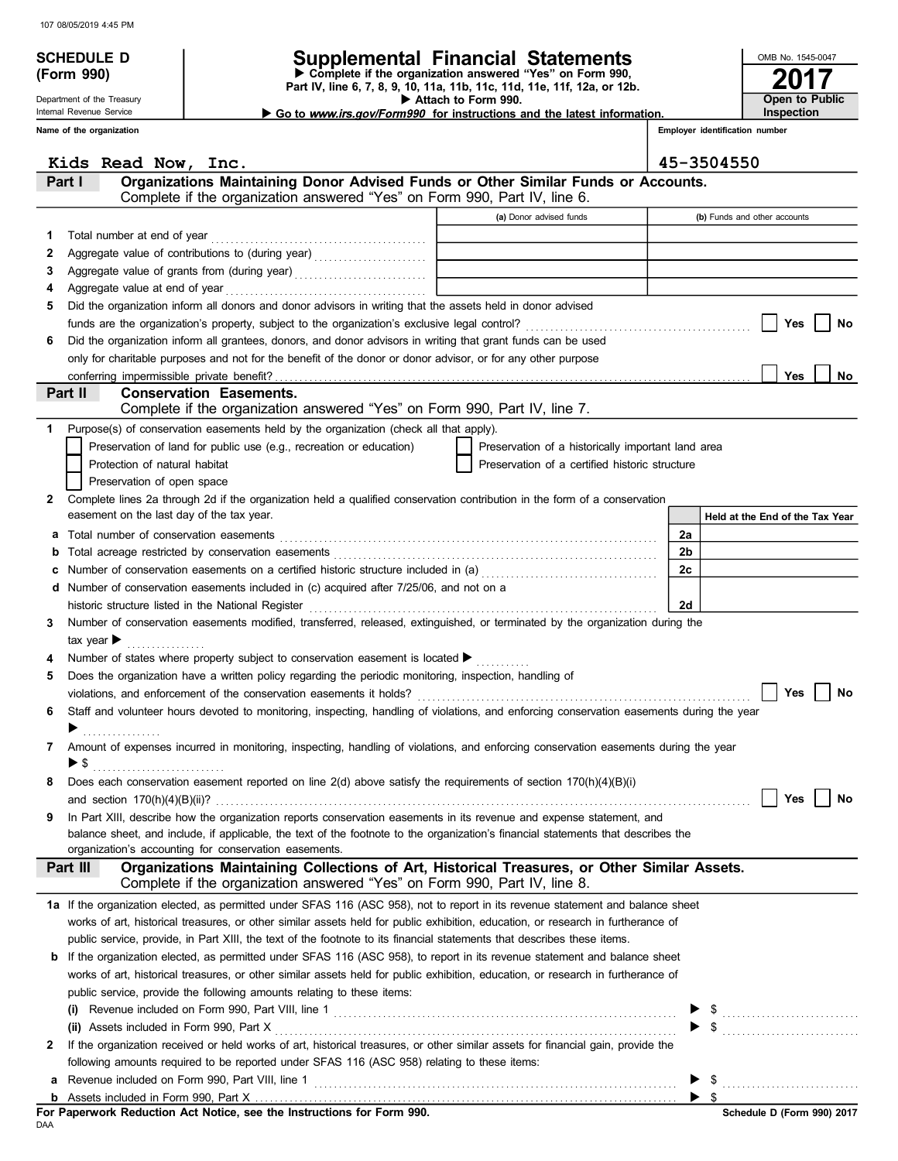|        | <b>SCHEDULE D</b>                                                                                                                                  |                                                                                                                                                                                                             | Supplemental Financial Statements                   |                          | OMB No. 1545-0047               |                              |
|--------|----------------------------------------------------------------------------------------------------------------------------------------------------|-------------------------------------------------------------------------------------------------------------------------------------------------------------------------------------------------------------|-----------------------------------------------------|--------------------------|---------------------------------|------------------------------|
|        | Complete if the organization answered "Yes" on Form 990,<br>(Form 990)<br>Part IV, line 6, 7, 8, 9, 10, 11a, 11b, 11c, 11d, 11e, 11f, 12a, or 12b. |                                                                                                                                                                                                             |                                                     |                          |                                 |                              |
|        | Department of the Treasury                                                                                                                         |                                                                                                                                                                                                             | Attach to Form 990.                                 |                          | Open to Public                  |                              |
|        | Internal Revenue Service                                                                                                                           | Inspection<br>Go to <i>www.irs.gov/Form990</i> for instructions and the latest information.                                                                                                                 |                                                     |                          |                                 |                              |
|        | Name of the organization                                                                                                                           |                                                                                                                                                                                                             |                                                     |                          | Employer identification number  |                              |
|        | Kids Read Now, Inc.                                                                                                                                |                                                                                                                                                                                                             |                                                     | 45-3504550               |                                 |                              |
|        | Part I                                                                                                                                             | Organizations Maintaining Donor Advised Funds or Other Similar Funds or Accounts.                                                                                                                           |                                                     |                          |                                 |                              |
|        |                                                                                                                                                    | Complete if the organization answered "Yes" on Form 990, Part IV, line 6.                                                                                                                                   | (a) Donor advised funds                             |                          | (b) Funds and other accounts    |                              |
| 1      | Total number at end of year                                                                                                                        |                                                                                                                                                                                                             |                                                     |                          |                                 |                              |
| 2      |                                                                                                                                                    | Aggregate value of contributions to (during year)                                                                                                                                                           | <u> 1980 - Andrea Branden, amerikansk politik (</u> |                          |                                 |                              |
| 3      |                                                                                                                                                    |                                                                                                                                                                                                             |                                                     |                          |                                 |                              |
| 4      |                                                                                                                                                    |                                                                                                                                                                                                             |                                                     |                          |                                 |                              |
| 5      |                                                                                                                                                    | Did the organization inform all donors and donor advisors in writing that the assets held in donor advised                                                                                                  |                                                     |                          |                                 |                              |
|        |                                                                                                                                                    |                                                                                                                                                                                                             |                                                     |                          | Yes                             | No                           |
| 6      |                                                                                                                                                    | Did the organization inform all grantees, donors, and donor advisors in writing that grant funds can be used                                                                                                |                                                     |                          |                                 |                              |
|        |                                                                                                                                                    | only for charitable purposes and not for the benefit of the donor or donor advisor, or for any other purpose                                                                                                |                                                     |                          |                                 |                              |
|        |                                                                                                                                                    |                                                                                                                                                                                                             |                                                     |                          | Yes                             | No                           |
|        | Part II                                                                                                                                            | <b>Conservation Easements.</b><br>Complete if the organization answered "Yes" on Form 990, Part IV, line 7.                                                                                                 |                                                     |                          |                                 |                              |
| 1.     |                                                                                                                                                    | Purpose(s) of conservation easements held by the organization (check all that apply).                                                                                                                       |                                                     |                          |                                 |                              |
|        |                                                                                                                                                    | Preservation of land for public use (e.g., recreation or education)                                                                                                                                         | Preservation of a historically important land area  |                          |                                 |                              |
|        | Protection of natural habitat                                                                                                                      |                                                                                                                                                                                                             | Preservation of a certified historic structure      |                          |                                 |                              |
|        | Preservation of open space                                                                                                                         |                                                                                                                                                                                                             |                                                     |                          |                                 |                              |
| 2      |                                                                                                                                                    | Complete lines 2a through 2d if the organization held a qualified conservation contribution in the form of a conservation                                                                                   |                                                     |                          |                                 |                              |
|        | easement on the last day of the tax year.                                                                                                          |                                                                                                                                                                                                             |                                                     |                          | Held at the End of the Tax Year |                              |
|        |                                                                                                                                                    |                                                                                                                                                                                                             |                                                     | 2a                       |                                 |                              |
| b      |                                                                                                                                                    |                                                                                                                                                                                                             |                                                     | 2 <sub>b</sub>           |                                 |                              |
| c      |                                                                                                                                                    | Number of conservation easements on a certified historic structure included in (a) [[[[[ [ a]]                                                                                                              |                                                     | 2c                       |                                 |                              |
| d      |                                                                                                                                                    | Number of conservation easements included in (c) acquired after 7/25/06, and not on a                                                                                                                       |                                                     |                          |                                 |                              |
|        |                                                                                                                                                    | historic structure listed in the National Register                                                                                                                                                          |                                                     | 2d                       |                                 |                              |
| 3      |                                                                                                                                                    | Number of conservation easements modified, transferred, released, extinguished, or terminated by the organization during the                                                                                |                                                     |                          |                                 |                              |
|        | tax year $\blacktriangleright$                                                                                                                     |                                                                                                                                                                                                             |                                                     |                          |                                 |                              |
| 4<br>5 |                                                                                                                                                    | Number of states where property subject to conservation easement is located $\blacktriangleright$<br>Does the organization have a written policy regarding the periodic monitoring, inspection, handling of |                                                     |                          |                                 |                              |
|        |                                                                                                                                                    | violations, and enforcement of the conservation easements it holds?                                                                                                                                         |                                                     |                          |                                 | Yes $\boxed{\phantom{0}}$ No |
| 6      |                                                                                                                                                    | Staff and volunteer hours devoted to monitoring, inspecting, handling of violations, and enforcing conservation easements during the year                                                                   |                                                     |                          |                                 |                              |
|        | .                                                                                                                                                  |                                                                                                                                                                                                             |                                                     |                          |                                 |                              |
| 7      |                                                                                                                                                    | Amount of expenses incurred in monitoring, inspecting, handling of violations, and enforcing conservation easements during the year                                                                         |                                                     |                          |                                 |                              |
|        | $\triangleright$ \$                                                                                                                                |                                                                                                                                                                                                             |                                                     |                          |                                 |                              |
| 8      |                                                                                                                                                    | Does each conservation easement reported on line 2(d) above satisfy the requirements of section 170(h)(4)(B)(i)                                                                                             |                                                     |                          |                                 |                              |
|        |                                                                                                                                                    |                                                                                                                                                                                                             |                                                     |                          | Yes                             | No                           |
| 9      |                                                                                                                                                    | In Part XIII, describe how the organization reports conservation easements in its revenue and expense statement, and                                                                                        |                                                     |                          |                                 |                              |
|        |                                                                                                                                                    | balance sheet, and include, if applicable, the text of the footnote to the organization's financial statements that describes the                                                                           |                                                     |                          |                                 |                              |
|        |                                                                                                                                                    | organization's accounting for conservation easements.                                                                                                                                                       |                                                     |                          |                                 |                              |
|        | Part III                                                                                                                                           | Organizations Maintaining Collections of Art, Historical Treasures, or Other Similar Assets.<br>Complete if the organization answered "Yes" on Form 990, Part IV, line 8.                                   |                                                     |                          |                                 |                              |
|        |                                                                                                                                                    | 1a If the organization elected, as permitted under SFAS 116 (ASC 958), not to report in its revenue statement and balance sheet                                                                             |                                                     |                          |                                 |                              |
|        |                                                                                                                                                    | works of art, historical treasures, or other similar assets held for public exhibition, education, or research in furtherance of                                                                            |                                                     |                          |                                 |                              |
|        |                                                                                                                                                    | public service, provide, in Part XIII, the text of the footnote to its financial statements that describes these items.                                                                                     |                                                     |                          |                                 |                              |
|        |                                                                                                                                                    | <b>b</b> If the organization elected, as permitted under SFAS 116 (ASC 958), to report in its revenue statement and balance sheet                                                                           |                                                     |                          |                                 |                              |
|        |                                                                                                                                                    | works of art, historical treasures, or other similar assets held for public exhibition, education, or research in furtherance of                                                                            |                                                     |                          |                                 |                              |
|        |                                                                                                                                                    | public service, provide the following amounts relating to these items:                                                                                                                                      |                                                     |                          |                                 |                              |
|        | (i)                                                                                                                                                |                                                                                                                                                                                                             |                                                     |                          |                                 |                              |
|        |                                                                                                                                                    |                                                                                                                                                                                                             |                                                     |                          | $\frac{1}{2}$                   |                              |
| 2      |                                                                                                                                                    | If the organization received or held works of art, historical treasures, or other similar assets for financial gain, provide the                                                                            |                                                     |                          |                                 |                              |
|        |                                                                                                                                                    | following amounts required to be reported under SFAS 116 (ASC 958) relating to these items:                                                                                                                 |                                                     |                          |                                 |                              |
| a      |                                                                                                                                                    |                                                                                                                                                                                                             |                                                     |                          |                                 |                              |
| b      |                                                                                                                                                    |                                                                                                                                                                                                             |                                                     | $\blacktriangleright$ \$ |                                 |                              |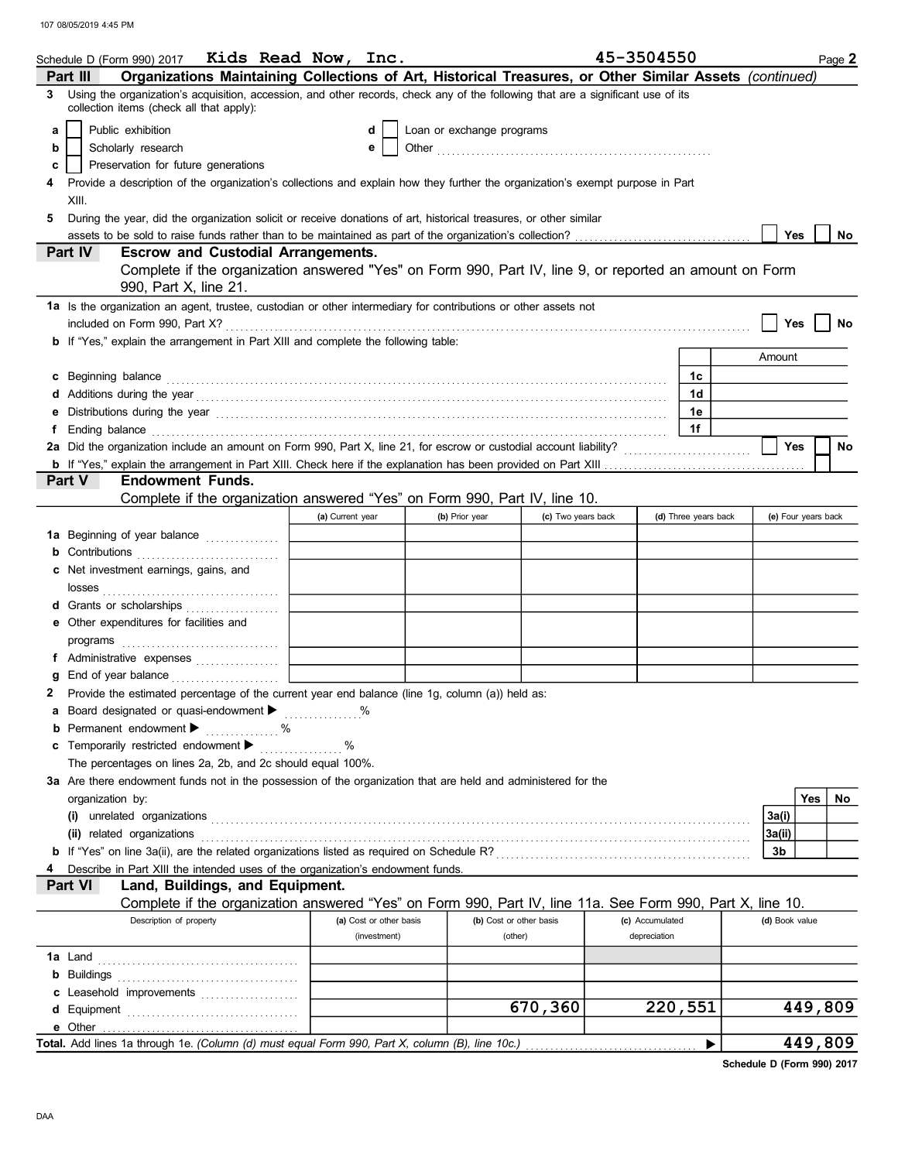|              | Schedule D (Form 990) 2017 Kids Read Now, Inc.                                                                                                                                                                                      |                  |                         |                           |                         |                    | 45-3504550      |                      |                | Page 2              |
|--------------|-------------------------------------------------------------------------------------------------------------------------------------------------------------------------------------------------------------------------------------|------------------|-------------------------|---------------------------|-------------------------|--------------------|-----------------|----------------------|----------------|---------------------|
|              | Organizations Maintaining Collections of Art, Historical Treasures, or Other Similar Assets (continued)<br>Part III                                                                                                                 |                  |                         |                           |                         |                    |                 |                      |                |                     |
|              | 3 Using the organization's acquisition, accession, and other records, check any of the following that are a significant use of its<br>collection items (check all that apply):                                                      |                  |                         |                           |                         |                    |                 |                      |                |                     |
| a            | Public exhibition                                                                                                                                                                                                                   |                  | d                       | Loan or exchange programs |                         |                    |                 |                      |                |                     |
| b            | Scholarly research                                                                                                                                                                                                                  |                  | е                       |                           |                         |                    |                 |                      |                |                     |
| c            | Preservation for future generations                                                                                                                                                                                                 |                  |                         |                           |                         |                    |                 |                      |                |                     |
|              | Provide a description of the organization's collections and explain how they further the organization's exempt purpose in Part                                                                                                      |                  |                         |                           |                         |                    |                 |                      |                |                     |
|              | XIII.                                                                                                                                                                                                                               |                  |                         |                           |                         |                    |                 |                      |                |                     |
| 5            | During the year, did the organization solicit or receive donations of art, historical treasures, or other similar                                                                                                                   |                  |                         |                           |                         |                    |                 |                      |                |                     |
|              |                                                                                                                                                                                                                                     |                  |                         |                           |                         |                    |                 |                      | Yes            | No                  |
|              | Part IV<br><b>Escrow and Custodial Arrangements.</b>                                                                                                                                                                                |                  |                         |                           |                         |                    |                 |                      |                |                     |
|              | Complete if the organization answered "Yes" on Form 990, Part IV, line 9, or reported an amount on Form                                                                                                                             |                  |                         |                           |                         |                    |                 |                      |                |                     |
|              | 990, Part X, line 21.                                                                                                                                                                                                               |                  |                         |                           |                         |                    |                 |                      |                |                     |
|              | 1a Is the organization an agent, trustee, custodian or other intermediary for contributions or other assets not                                                                                                                     |                  |                         |                           |                         |                    |                 |                      |                |                     |
|              |                                                                                                                                                                                                                                     |                  |                         |                           |                         |                    |                 |                      | Yes            | No                  |
|              | <b>b</b> If "Yes," explain the arrangement in Part XIII and complete the following table:                                                                                                                                           |                  |                         |                           |                         |                    |                 |                      |                |                     |
|              |                                                                                                                                                                                                                                     |                  |                         |                           |                         |                    |                 |                      | Amount         |                     |
| c            | Beginning balance                                                                                                                                                                                                                   |                  |                         |                           |                         |                    |                 | 1c                   |                |                     |
| d            | Additions during the year<br>interaction continuous continuous continuous during the year of the year of the set of the set of the set of the set of the set of the set of the set of the set of the set of the set of the set o    |                  |                         |                           |                         |                    |                 | 1d                   |                |                     |
| е            | Distributions during the year manufactured contains and the year manufactured with the year manufactured with                                                                                                                       |                  |                         |                           |                         |                    |                 | 1e                   |                |                     |
| f            | Ending balance <b>construction and the construction of the construction of the construction</b> of the construction of the construction of the construction of the construction of the construction of the construction of the cons |                  |                         |                           |                         |                    |                 | 1f                   |                |                     |
|              | 2a Did the organization include an amount on Form 990, Part X, line 21, for escrow or custodial account liability?                                                                                                                  |                  |                         |                           |                         |                    |                 |                      | Yes            | <b>No</b>           |
|              | <b>Endowment Funds.</b><br>Part V                                                                                                                                                                                                   |                  |                         |                           |                         |                    |                 |                      |                |                     |
|              | Complete if the organization answered "Yes" on Form 990, Part IV, line 10.                                                                                                                                                          |                  |                         |                           |                         |                    |                 |                      |                |                     |
|              |                                                                                                                                                                                                                                     | (a) Current year |                         | (b) Prior year            |                         | (c) Two years back |                 | (d) Three years back |                | (e) Four years back |
|              | 1a Beginning of year balance                                                                                                                                                                                                        |                  |                         |                           |                         |                    |                 |                      |                |                     |
|              | <b>b</b> Contributions                                                                                                                                                                                                              |                  |                         |                           |                         |                    |                 |                      |                |                     |
|              | c Net investment earnings, gains, and                                                                                                                                                                                               |                  |                         |                           |                         |                    |                 |                      |                |                     |
|              |                                                                                                                                                                                                                                     |                  |                         |                           |                         |                    |                 |                      |                |                     |
|              | d Grants or scholarships                                                                                                                                                                                                            |                  |                         |                           |                         |                    |                 |                      |                |                     |
|              | e Other expenditures for facilities and                                                                                                                                                                                             |                  |                         |                           |                         |                    |                 |                      |                |                     |
|              |                                                                                                                                                                                                                                     |                  |                         |                           |                         |                    |                 |                      |                |                     |
|              | f Administrative expenses                                                                                                                                                                                                           |                  |                         |                           |                         |                    |                 |                      |                |                     |
| a            |                                                                                                                                                                                                                                     |                  |                         |                           |                         |                    |                 |                      |                |                     |
| $\mathbf{2}$ | Provide the estimated percentage of the current year end balance (line 1g, column (a)) held as:                                                                                                                                     |                  |                         |                           |                         |                    |                 |                      |                |                     |
|              | <b>a</b> Board designated or quasi-endowment $\blacktriangleright$                                                                                                                                                                  |                  | %                       |                           |                         |                    |                 |                      |                |                     |
| b            | Permanent endowment ><br>$\%$                                                                                                                                                                                                       |                  |                         |                           |                         |                    |                 |                      |                |                     |
| c            | Temporarily restricted endowment ▶                                                                                                                                                                                                  | %                |                         |                           |                         |                    |                 |                      |                |                     |
|              | The percentages on lines 2a, 2b, and 2c should equal 100%.                                                                                                                                                                          |                  |                         |                           |                         |                    |                 |                      |                |                     |
|              | 3a Are there endowment funds not in the possession of the organization that are held and administered for the                                                                                                                       |                  |                         |                           |                         |                    |                 |                      |                |                     |
|              | organization by:                                                                                                                                                                                                                    |                  |                         |                           |                         |                    |                 |                      |                | Yes<br>No           |
|              | $(i)$ unrelated organizations $\ldots$ $\ldots$ $\ldots$ $\ldots$ $\ldots$ $\ldots$ $\ldots$ $\ldots$ $\ldots$ $\ldots$ $\ldots$ $\ldots$ $\ldots$ $\ldots$                                                                         |                  |                         |                           |                         |                    |                 |                      | 3a(i)          |                     |
|              | (ii) related organizations                                                                                                                                                                                                          |                  |                         |                           |                         |                    |                 |                      | 3a(ii)         |                     |
|              |                                                                                                                                                                                                                                     |                  |                         |                           |                         |                    |                 |                      | 3b             |                     |
|              | Describe in Part XIII the intended uses of the organization's endowment funds.                                                                                                                                                      |                  |                         |                           |                         |                    |                 |                      |                |                     |
|              | Land, Buildings, and Equipment.<br>Part VI                                                                                                                                                                                          |                  |                         |                           |                         |                    |                 |                      |                |                     |
|              | Complete if the organization answered "Yes" on Form 990, Part IV, line 11a. See Form 990, Part X, line 10.                                                                                                                          |                  |                         |                           |                         |                    |                 |                      |                |                     |
|              | Description of property                                                                                                                                                                                                             |                  | (a) Cost or other basis |                           | (b) Cost or other basis |                    | (c) Accumulated |                      | (d) Book value |                     |
|              |                                                                                                                                                                                                                                     |                  | (investment)            |                           | (other)                 |                    | depreciation    |                      |                |                     |
|              |                                                                                                                                                                                                                                     |                  |                         |                           |                         |                    |                 |                      |                |                     |
|              |                                                                                                                                                                                                                                     |                  |                         |                           |                         |                    |                 |                      |                |                     |
|              | c Leasehold improvements                                                                                                                                                                                                            |                  |                         |                           |                         |                    |                 |                      |                |                     |
|              |                                                                                                                                                                                                                                     |                  |                         |                           |                         | 670,360            |                 | 220,551              |                | 449,809             |
|              | e Other                                                                                                                                                                                                                             |                  |                         |                           |                         |                    |                 |                      |                |                     |
|              | Total. Add lines 1a through 1e. (Column (d) must equal Form 990, Part X, column (B), line 10c.)                                                                                                                                     |                  |                         |                           |                         |                    |                 | ▶                    |                | 449,809             |

Schedule D (Form 990) 2017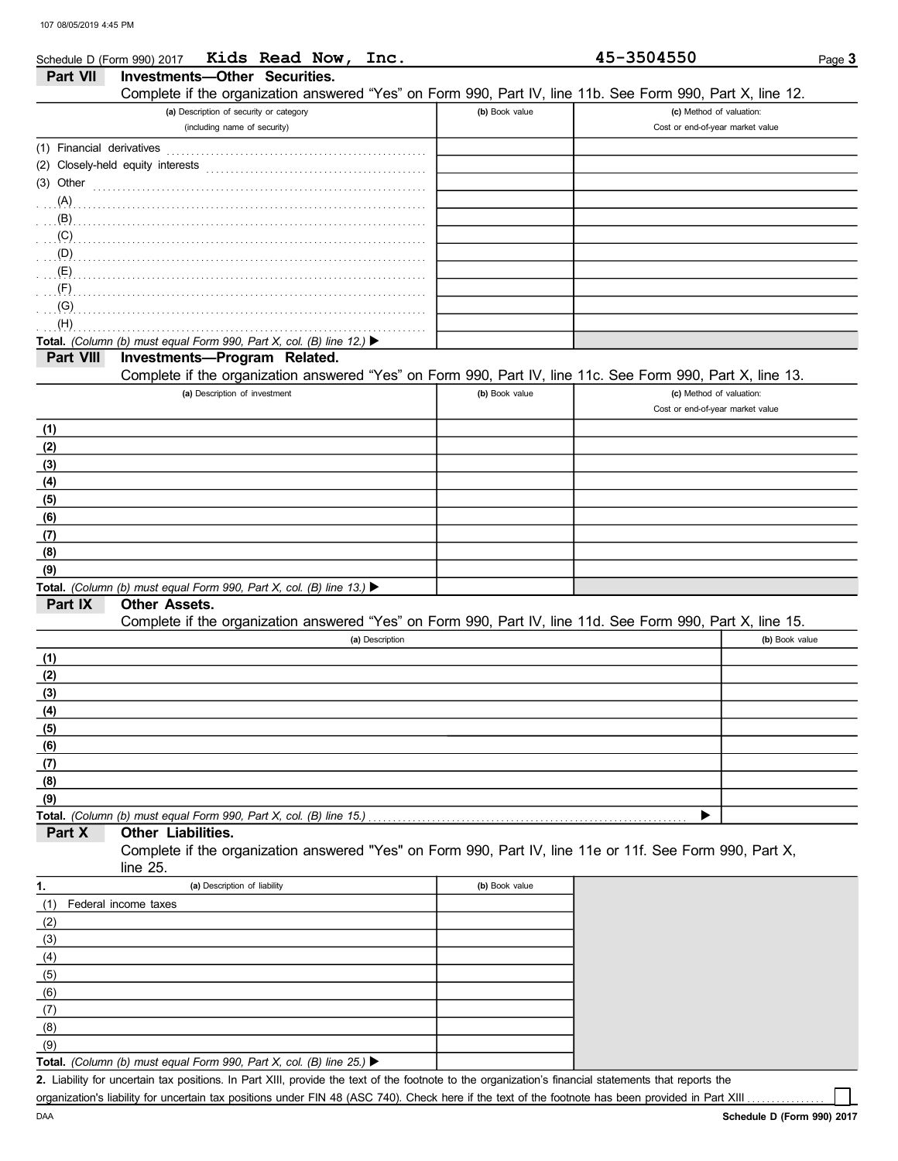|                           | Kids Read Now, Inc.<br>Schedule D (Form 990) 2017                                                          |                | 45-3504550                       | Page 3         |
|---------------------------|------------------------------------------------------------------------------------------------------------|----------------|----------------------------------|----------------|
| Part VII                  | <b>Investments-Other Securities.</b>                                                                       |                |                                  |                |
|                           | Complete if the organization answered "Yes" on Form 990, Part IV, line 11b. See Form 990, Part X, line 12. |                |                                  |                |
|                           | (a) Description of security or category                                                                    | (b) Book value | (c) Method of valuation:         |                |
|                           | (including name of security)                                                                               |                | Cost or end-of-year market value |                |
| (1) Financial derivatives |                                                                                                            |                |                                  |                |
|                           | (2) Closely-held equity interests                                                                          |                |                                  |                |
| (3) Other                 |                                                                                                            |                |                                  |                |
| $(A)$ .                   |                                                                                                            |                |                                  |                |
| (B)                       |                                                                                                            |                |                                  |                |
| (C)                       |                                                                                                            |                |                                  |                |
| (D)                       |                                                                                                            |                |                                  |                |
| (E)                       |                                                                                                            |                |                                  |                |
| (F)                       |                                                                                                            |                |                                  |                |
| (G)                       |                                                                                                            |                |                                  |                |
| (H)                       |                                                                                                            |                |                                  |                |
|                           | Total. (Column (b) must equal Form 990, Part X, col. (B) line 12.) $\blacktriangleright$                   |                |                                  |                |
| Part VIII                 | Investments-Program Related.                                                                               |                |                                  |                |
|                           | Complete if the organization answered "Yes" on Form 990, Part IV, line 11c. See Form 990, Part X, line 13. |                |                                  |                |
|                           | (a) Description of investment                                                                              | (b) Book value | (c) Method of valuation:         |                |
|                           |                                                                                                            |                | Cost or end-of-year market value |                |
|                           |                                                                                                            |                |                                  |                |
| (1)                       |                                                                                                            |                |                                  |                |
| (2)                       |                                                                                                            |                |                                  |                |
| (3)                       |                                                                                                            |                |                                  |                |
| (4)                       |                                                                                                            |                |                                  |                |
| (5)                       |                                                                                                            |                |                                  |                |
| (6)                       |                                                                                                            |                |                                  |                |
| (7)                       |                                                                                                            |                |                                  |                |
| (8)                       |                                                                                                            |                |                                  |                |
| (9)                       |                                                                                                            |                |                                  |                |
|                           | Total. (Column (b) must equal Form 990, Part X, col. (B) line 13.) $\blacktriangleright$                   |                |                                  |                |
| Part IX                   | Other Assets.                                                                                              |                |                                  |                |
|                           | Complete if the organization answered "Yes" on Form 990, Part IV, line 11d. See Form 990, Part X, line 15. |                |                                  |                |
|                           | (a) Description                                                                                            |                |                                  | (b) Book value |
| (1)                       |                                                                                                            |                |                                  |                |
| (2)                       |                                                                                                            |                |                                  |                |
| (3)                       |                                                                                                            |                |                                  |                |
| (4)                       |                                                                                                            |                |                                  |                |
| (5)                       |                                                                                                            |                |                                  |                |
| (6)                       |                                                                                                            |                |                                  |                |
| (7)                       |                                                                                                            |                |                                  |                |
| (8)                       |                                                                                                            |                |                                  |                |
| (9)                       |                                                                                                            |                |                                  |                |
|                           | Total. (Column (b) must equal Form 990, Part X, col. (B) line 15.)                                         |                |                                  |                |
| Part X                    | Other Liabilities.                                                                                         |                |                                  |                |
|                           | Complete if the organization answered "Yes" on Form 990, Part IV, line 11e or 11f. See Form 990, Part X,   |                |                                  |                |
|                           | line 25.                                                                                                   |                |                                  |                |
| 1.                        | (a) Description of liability                                                                               | (b) Book value |                                  |                |
| (1)                       | Federal income taxes                                                                                       |                |                                  |                |
| (2)                       |                                                                                                            |                |                                  |                |
| (3)                       |                                                                                                            |                |                                  |                |
| (4)                       |                                                                                                            |                |                                  |                |
|                           |                                                                                                            |                |                                  |                |
| (5)                       |                                                                                                            |                |                                  |                |
| (6)                       |                                                                                                            |                |                                  |                |
| (7)                       |                                                                                                            |                |                                  |                |
| (8)                       |                                                                                                            |                |                                  |                |

Total. (Column (b) must equal Form 990, Part X, col. (B) line 25.)  $\blacktriangleright$  $(9)$ 

**2.** Liability for uncertain tax positions. In Part XIII, provide the text of the footnote to the organization's financial statements that reports the organization's liability for uncertain tax positions under FIN 48 (ASC 740). Check here if the text of the footnote has been provided in Part XIII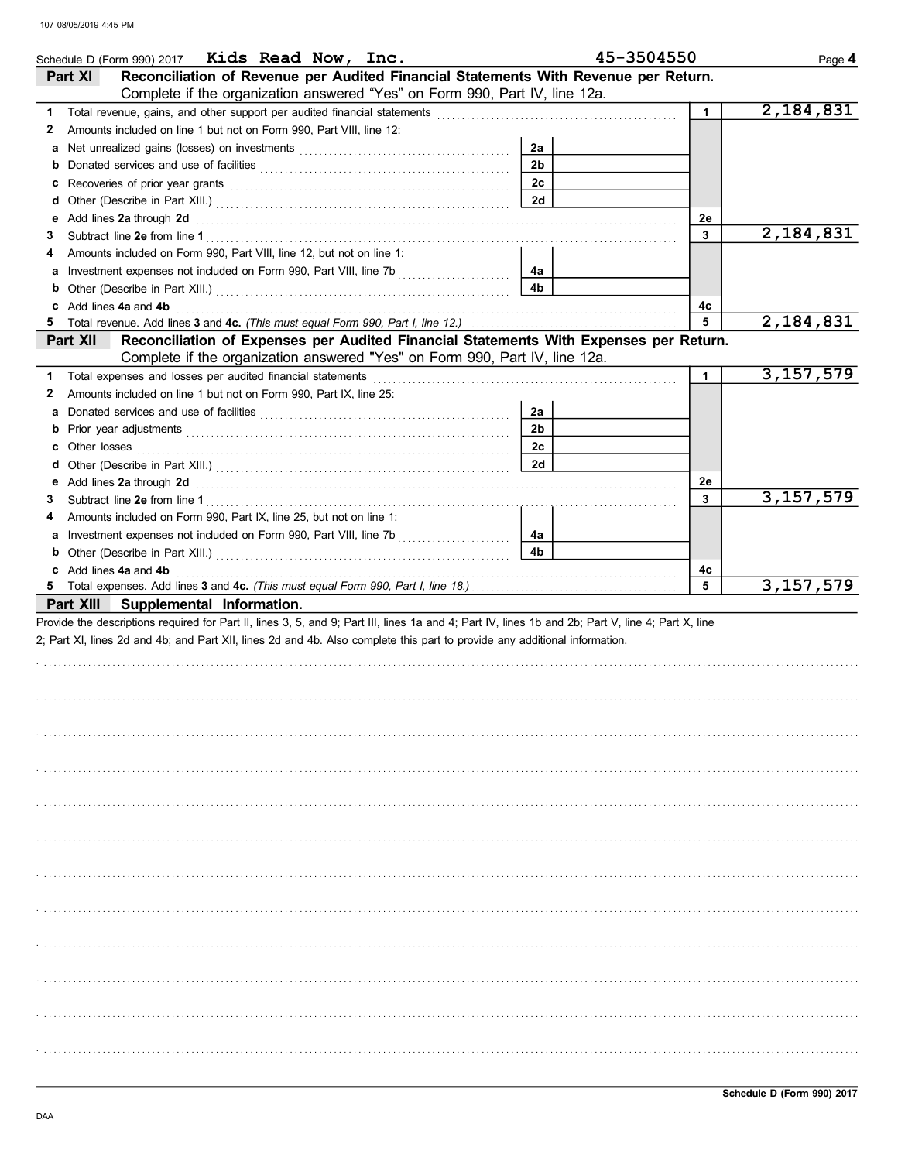|    | Schedule D (Form 990) 2017 Kids Read Now, Inc.                                                                                                                                                                                 |                | 45-3504550   | Page 4      |
|----|--------------------------------------------------------------------------------------------------------------------------------------------------------------------------------------------------------------------------------|----------------|--------------|-------------|
|    | Reconciliation of Revenue per Audited Financial Statements With Revenue per Return.<br>Part XI                                                                                                                                 |                |              |             |
|    | Complete if the organization answered "Yes" on Form 990, Part IV, line 12a.                                                                                                                                                    |                |              |             |
| 1  |                                                                                                                                                                                                                                |                | $\mathbf{1}$ | 2,184,831   |
| 2  | Amounts included on line 1 but not on Form 990, Part VIII, line 12:                                                                                                                                                            |                |              |             |
| a  |                                                                                                                                                                                                                                | 2a             |              |             |
| b  |                                                                                                                                                                                                                                | 2 <sub>b</sub> |              |             |
| с  |                                                                                                                                                                                                                                | 2c             |              |             |
| d  |                                                                                                                                                                                                                                | 2d             |              |             |
| е  | Add lines 2a through 2d [11] Add [12] Add [12] Add lines 2a through 2d [12] Add lines 2a through 2d                                                                                                                            |                | 2e           |             |
| 3  |                                                                                                                                                                                                                                |                | 3            | 2,184,831   |
| 4  | Amounts included on Form 990, Part VIII, line 12, but not on line 1:                                                                                                                                                           |                |              |             |
| а  |                                                                                                                                                                                                                                | 4a             |              |             |
| b  |                                                                                                                                                                                                                                | 4b             |              |             |
| c  | Add lines 4a and 4b                                                                                                                                                                                                            |                | 4с           |             |
| 5  |                                                                                                                                                                                                                                |                | 5            | 2,184,831   |
|    | Reconciliation of Expenses per Audited Financial Statements With Expenses per Return.<br>Part XII l                                                                                                                            |                |              |             |
|    | Complete if the organization answered "Yes" on Form 990, Part IV, line 12a.                                                                                                                                                    |                |              |             |
| 1. | Total expenses and losses per audited financial statements                                                                                                                                                                     |                | 1            | 3,157,579   |
| 2  | Amounts included on line 1 but not on Form 990, Part IX, line 25:                                                                                                                                                              |                |              |             |
| a  |                                                                                                                                                                                                                                | 2a             |              |             |
| b  |                                                                                                                                                                                                                                | 2 <sub>b</sub> |              |             |
| С  | Other losses                                                                                                                                                                                                                   | 2c             |              |             |
| d  |                                                                                                                                                                                                                                | 2d             |              |             |
| е  | Add lines 2a through 2d [11] All and the contract of the contract of the contract of the contract of the contract of the contract of the contract of the contract of the contract of the contract of the contract of the contr |                | 2e           |             |
| 3  |                                                                                                                                                                                                                                |                | 3            | 3, 157, 579 |
| 4  | Amounts included on Form 990, Part IX, line 25, but not on line 1:                                                                                                                                                             |                |              |             |
| а  |                                                                                                                                                                                                                                | 4а             |              |             |
| b  |                                                                                                                                                                                                                                | 4b             |              |             |
| c  | Add lines 4a and 4b                                                                                                                                                                                                            |                | 4с           |             |
| 5  |                                                                                                                                                                                                                                |                | 5            | 3, 157, 579 |
|    | Part XIII Supplemental Information.                                                                                                                                                                                            |                |              |             |
|    | Provide the descriptions required for Part II, lines 3, 5, and 9; Part III, lines 1a and 4; Part IV, lines 1b and 2b; Part V, line 4; Part X, line                                                                             |                |              |             |
|    | 2; Part XI, lines 2d and 4b; and Part XII, lines 2d and 4b. Also complete this part to provide any additional information.                                                                                                     |                |              |             |
|    |                                                                                                                                                                                                                                |                |              |             |
|    |                                                                                                                                                                                                                                |                |              |             |
|    |                                                                                                                                                                                                                                |                |              |             |
|    |                                                                                                                                                                                                                                |                |              |             |
|    |                                                                                                                                                                                                                                |                |              |             |
|    |                                                                                                                                                                                                                                |                |              |             |
|    |                                                                                                                                                                                                                                |                |              |             |
|    |                                                                                                                                                                                                                                |                |              |             |
|    |                                                                                                                                                                                                                                |                |              |             |
|    |                                                                                                                                                                                                                                |                |              |             |
|    |                                                                                                                                                                                                                                |                |              |             |
|    |                                                                                                                                                                                                                                |                |              |             |
|    |                                                                                                                                                                                                                                |                |              |             |
|    |                                                                                                                                                                                                                                |                |              |             |
|    |                                                                                                                                                                                                                                |                |              |             |
|    |                                                                                                                                                                                                                                |                |              |             |
|    |                                                                                                                                                                                                                                |                |              |             |
|    |                                                                                                                                                                                                                                |                |              |             |
|    |                                                                                                                                                                                                                                |                |              |             |
|    |                                                                                                                                                                                                                                |                |              |             |
|    |                                                                                                                                                                                                                                |                |              |             |
|    |                                                                                                                                                                                                                                |                |              |             |
|    |                                                                                                                                                                                                                                |                |              |             |
|    |                                                                                                                                                                                                                                |                |              |             |
|    |                                                                                                                                                                                                                                |                |              |             |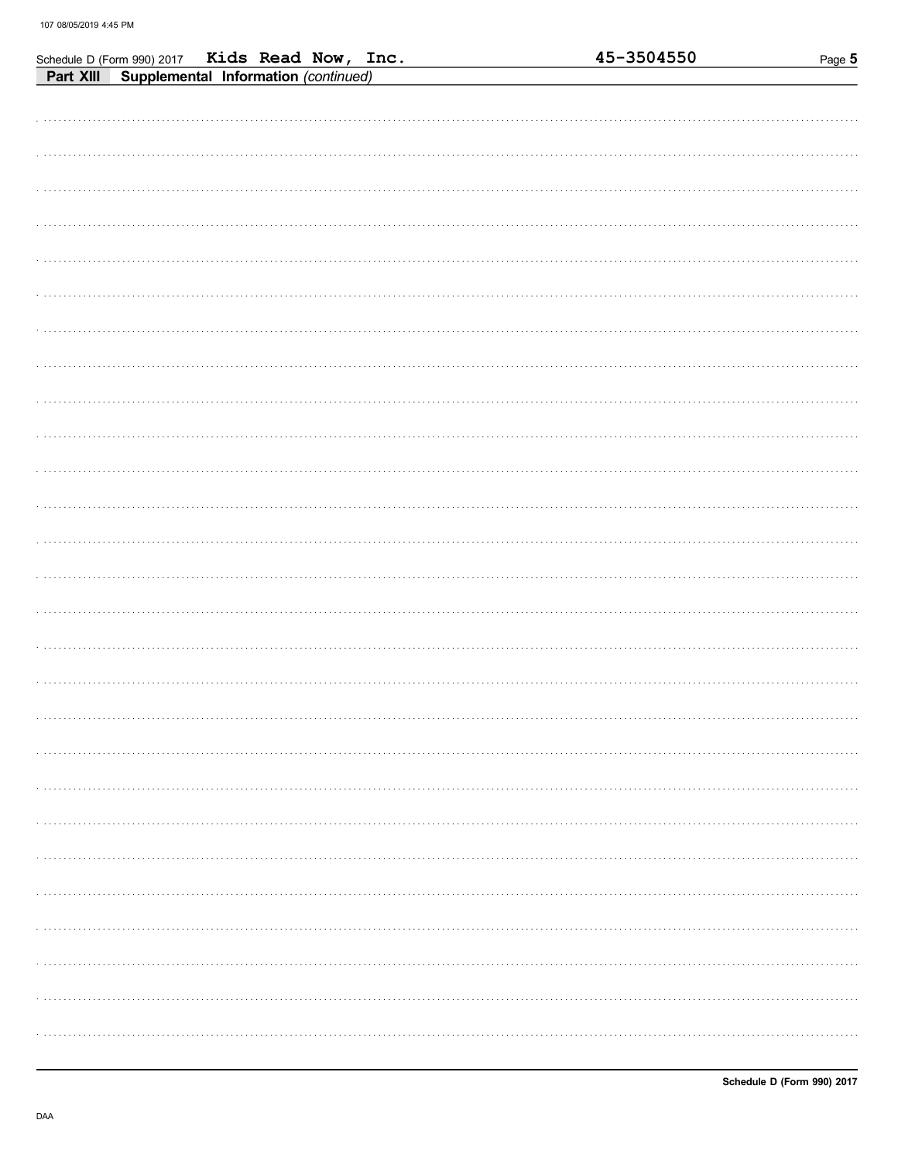| Schedule D (Form 990) 2017 Kids Read Now, Inc.    | 45-3504550 | Page 5 |
|---------------------------------------------------|------------|--------|
| Supplemental Information (continued)<br>Part XIII |            |        |
|                                                   |            |        |
|                                                   |            |        |
|                                                   |            |        |
|                                                   |            |        |
|                                                   |            |        |
|                                                   |            |        |
|                                                   |            |        |
|                                                   |            |        |
|                                                   |            |        |
|                                                   |            |        |
|                                                   |            |        |
|                                                   |            |        |
|                                                   |            |        |
|                                                   |            |        |
|                                                   |            |        |
|                                                   |            |        |
|                                                   |            |        |
|                                                   |            |        |
|                                                   |            |        |
|                                                   |            |        |
|                                                   |            |        |
|                                                   |            |        |
|                                                   |            |        |
|                                                   |            |        |
|                                                   |            |        |
|                                                   |            |        |
|                                                   |            |        |
|                                                   |            |        |
|                                                   |            |        |
|                                                   |            |        |
|                                                   |            |        |
|                                                   |            |        |
|                                                   |            |        |
|                                                   |            |        |
|                                                   |            |        |
|                                                   |            |        |
|                                                   |            |        |
|                                                   |            |        |
|                                                   |            |        |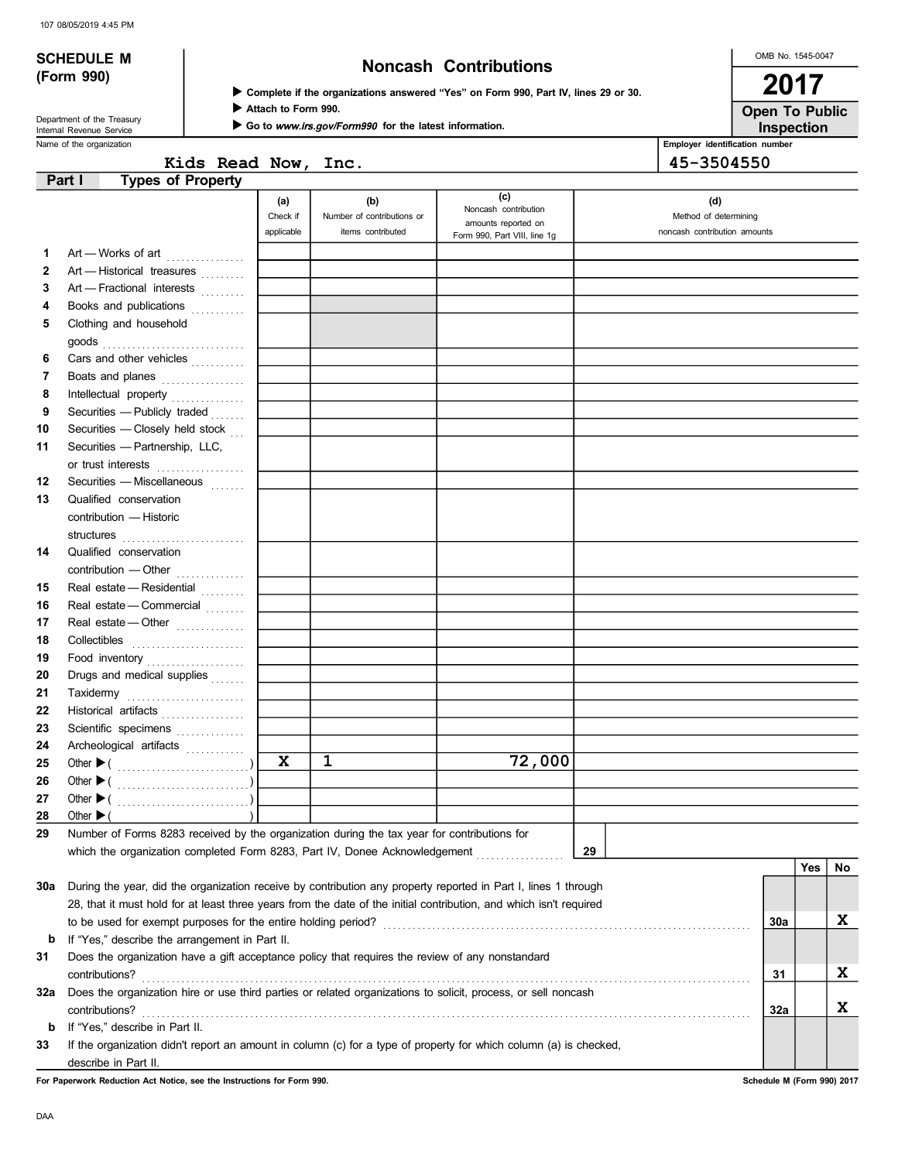# (Form 990)

# SCHEDULE M  $\overline{N}$  Noncash Contributions

Complete if the organizations answered "Yes" on Form 990, Part IV, lines 29 or 30.

Attach to Form 990.

Inspection Open To Public

OMB No. 1545-0047

2017

Name of the organization **Employer identification number Employer identification number Employer identification number** Department of the Treasury<br>Internal Revenue Service

Go to www.irs.gov/Form990 for the latest information.

|                     | LIIDIUVEI IUEIIUILAUUII IIUIII |
|---------------------|--------------------------------|
| Kids Read Now, Inc. | 45-3504550                     |

|     | <b>Types of Property</b><br>Part I                                                                                 |            |                            |                                             |                              |     |     |    |
|-----|--------------------------------------------------------------------------------------------------------------------|------------|----------------------------|---------------------------------------------|------------------------------|-----|-----|----|
|     |                                                                                                                    | (a)        | (b)                        | (c)                                         | (d)                          |     |     |    |
|     |                                                                                                                    | Check if   | Number of contributions or | Noncash contribution<br>amounts reported on | Method of determining        |     |     |    |
|     |                                                                                                                    | applicable | items contributed          | Form 990, Part VIII, line 1g                | noncash contribution amounts |     |     |    |
| 1.  | Art - Works of art                                                                                                 |            |                            |                                             |                              |     |     |    |
| 2   | Art - Historical treasures                                                                                         |            |                            |                                             |                              |     |     |    |
| 3   | Art - Fractional interests                                                                                         |            |                            |                                             |                              |     |     |    |
| 4   | Books and publications                                                                                             |            |                            |                                             |                              |     |     |    |
| 5   | Clothing and household                                                                                             |            |                            |                                             |                              |     |     |    |
|     |                                                                                                                    |            |                            |                                             |                              |     |     |    |
| 6   | Cars and other vehicles                                                                                            |            |                            |                                             |                              |     |     |    |
| 7   | Boats and planes                                                                                                   |            |                            |                                             |                              |     |     |    |
| 8   | Intellectual property                                                                                              |            |                            |                                             |                              |     |     |    |
| 9   | Securities - Publicly traded                                                                                       |            |                            |                                             |                              |     |     |    |
| 10  | Securities - Closely held stock                                                                                    |            |                            |                                             |                              |     |     |    |
| 11  | Securities - Partnership, LLC,                                                                                     |            |                            |                                             |                              |     |     |    |
|     | or trust interests                                                                                                 |            |                            |                                             |                              |     |     |    |
| 12  | Securities - Miscellaneous                                                                                         |            |                            |                                             |                              |     |     |    |
| 13  | Qualified conservation                                                                                             |            |                            |                                             |                              |     |     |    |
|     | contribution - Historic                                                                                            |            |                            |                                             |                              |     |     |    |
|     |                                                                                                                    |            |                            |                                             |                              |     |     |    |
| 14  | Qualified conservation                                                                                             |            |                            |                                             |                              |     |     |    |
|     | contribution - Other                                                                                               |            |                            |                                             |                              |     |     |    |
| 15  | Real estate - Residential                                                                                          |            |                            |                                             |                              |     |     |    |
| 16  | Real estate - Commercial                                                                                           |            |                            |                                             |                              |     |     |    |
| 17  | Real estate - Other                                                                                                |            |                            |                                             |                              |     |     |    |
| 18  | Collectibles <b>Collectibles</b>                                                                                   |            |                            |                                             |                              |     |     |    |
| 19  | Food inventory                                                                                                     |            |                            |                                             |                              |     |     |    |
| 20  | Drugs and medical supplies                                                                                         |            |                            |                                             |                              |     |     |    |
| 21  |                                                                                                                    |            |                            |                                             |                              |     |     |    |
| 22  | Historical artifacts                                                                                               |            |                            |                                             |                              |     |     |    |
| 23  | Scientific specimens                                                                                               |            |                            |                                             |                              |     |     |    |
| 24  | Archeological artifacts                                                                                            |            |                            |                                             |                              |     |     |    |
| 25  |                                                                                                                    | X          | 1                          | 72,000                                      |                              |     |     |    |
| 26  |                                                                                                                    |            |                            |                                             |                              |     |     |    |
| 27  |                                                                                                                    |            |                            |                                             |                              |     |     |    |
| 28  | Other $\blacktriangleright$ (                                                                                      |            |                            |                                             |                              |     |     |    |
| 29  | Number of Forms 8283 received by the organization during the tax year for contributions for                        |            |                            |                                             |                              |     |     |    |
|     | which the organization completed Form 8283, Part IV, Donee Acknowledgement                                         |            |                            |                                             | 29                           |     |     |    |
|     |                                                                                                                    |            |                            |                                             |                              |     | Yes | No |
| 30a | During the year, did the organization receive by contribution any property reported in Part I, lines 1 through     |            |                            |                                             |                              |     |     |    |
|     | 28, that it must hold for at least three years from the date of the initial contribution, and which isn't required |            |                            |                                             |                              |     |     |    |
|     | to be used for exempt purposes for the entire holding period?                                                      |            |                            |                                             |                              | 30a |     | X  |
| b   | If "Yes," describe the arrangement in Part II.                                                                     |            |                            |                                             |                              |     |     |    |
| 31  | Does the organization have a gift acceptance policy that requires the review of any nonstandard                    |            |                            |                                             |                              |     |     |    |
|     | contributions?                                                                                                     |            |                            |                                             |                              | 31  |     | X  |
| 32a | Does the organization hire or use third parties or related organizations to solicit, process, or sell noncash      |            |                            |                                             |                              |     |     |    |
|     | contributions?                                                                                                     |            |                            |                                             |                              | 32a |     | X  |
| b   | If "Yes," describe in Part II.                                                                                     |            |                            |                                             |                              |     |     |    |
| 33  | If the organization didn't report an amount in column (c) for a type of property for which column (a) is checked,  |            |                            |                                             |                              |     |     |    |
|     | describe in Part II.                                                                                               |            |                            |                                             |                              |     |     |    |

For Paperwork Reduction Act Notice, see the Instructions for Form 990. Schedule M (Form 990) 2017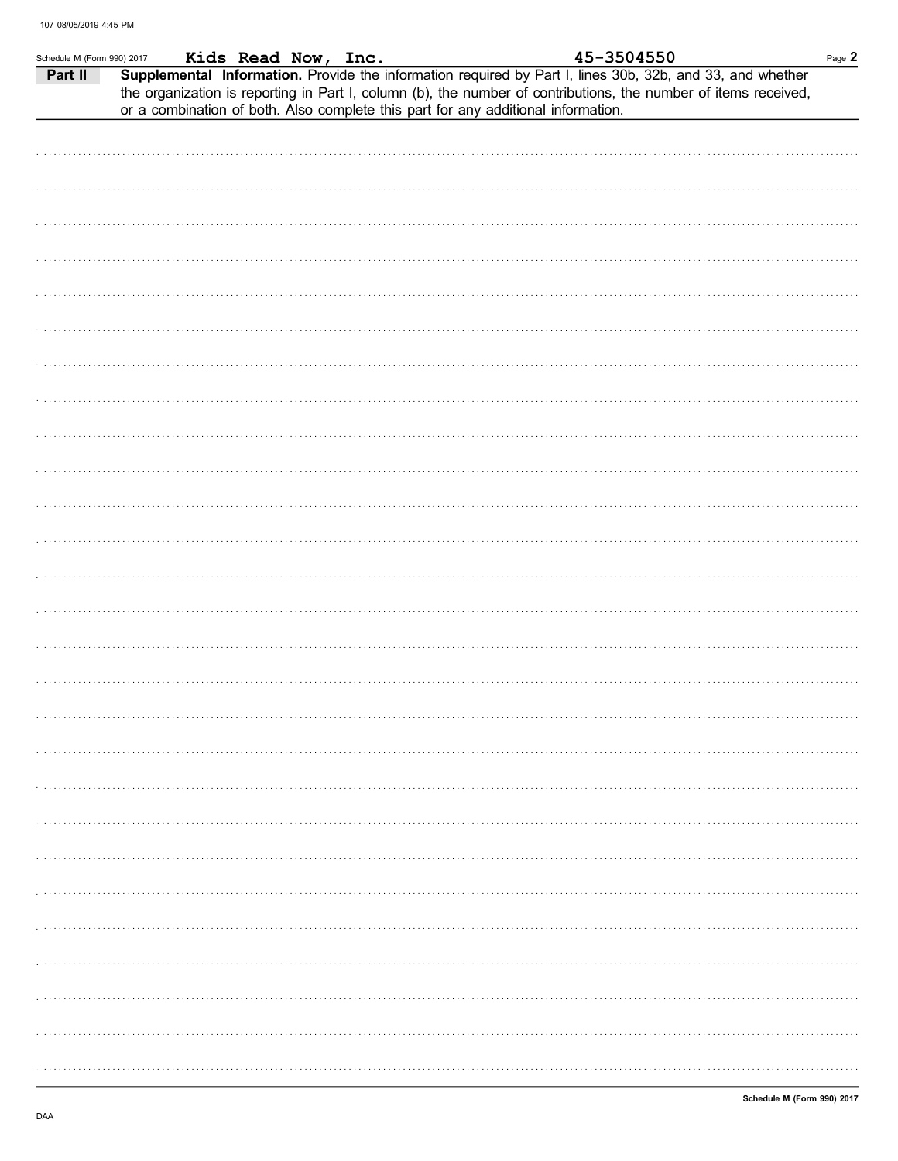| Schedule M (Form 990) 2017 |  |  |                                                                                   |                                                                                                                                                                                                                                                                        | Page 2 |
|----------------------------|--|--|-----------------------------------------------------------------------------------|------------------------------------------------------------------------------------------------------------------------------------------------------------------------------------------------------------------------------------------------------------------------|--------|
| Part II                    |  |  | or a combination of both. Also complete this part for any additional information. | $\frac{100}{2017}$ Kids Read Now, Inc.<br>Supplemental Information. Provide the information required by Part I, lines 30b, 32b, and 33, and whether<br>the organization is reporting in Part I, column (b), the number of contributions, the number of items received, |        |
|                            |  |  |                                                                                   |                                                                                                                                                                                                                                                                        |        |
|                            |  |  |                                                                                   |                                                                                                                                                                                                                                                                        |        |
|                            |  |  |                                                                                   |                                                                                                                                                                                                                                                                        |        |
|                            |  |  |                                                                                   |                                                                                                                                                                                                                                                                        |        |
|                            |  |  |                                                                                   |                                                                                                                                                                                                                                                                        |        |
|                            |  |  |                                                                                   |                                                                                                                                                                                                                                                                        |        |
|                            |  |  |                                                                                   |                                                                                                                                                                                                                                                                        |        |
|                            |  |  |                                                                                   |                                                                                                                                                                                                                                                                        |        |
|                            |  |  |                                                                                   |                                                                                                                                                                                                                                                                        |        |
|                            |  |  |                                                                                   |                                                                                                                                                                                                                                                                        |        |
|                            |  |  |                                                                                   |                                                                                                                                                                                                                                                                        |        |
|                            |  |  |                                                                                   |                                                                                                                                                                                                                                                                        |        |
|                            |  |  |                                                                                   |                                                                                                                                                                                                                                                                        |        |
|                            |  |  |                                                                                   |                                                                                                                                                                                                                                                                        |        |
|                            |  |  |                                                                                   |                                                                                                                                                                                                                                                                        |        |
|                            |  |  |                                                                                   |                                                                                                                                                                                                                                                                        |        |
|                            |  |  |                                                                                   |                                                                                                                                                                                                                                                                        |        |
|                            |  |  |                                                                                   |                                                                                                                                                                                                                                                                        |        |
|                            |  |  |                                                                                   |                                                                                                                                                                                                                                                                        |        |
|                            |  |  |                                                                                   |                                                                                                                                                                                                                                                                        |        |
|                            |  |  |                                                                                   |                                                                                                                                                                                                                                                                        |        |
|                            |  |  |                                                                                   |                                                                                                                                                                                                                                                                        |        |
|                            |  |  |                                                                                   |                                                                                                                                                                                                                                                                        |        |
|                            |  |  |                                                                                   |                                                                                                                                                                                                                                                                        |        |
|                            |  |  |                                                                                   |                                                                                                                                                                                                                                                                        |        |
|                            |  |  |                                                                                   |                                                                                                                                                                                                                                                                        |        |
|                            |  |  |                                                                                   |                                                                                                                                                                                                                                                                        |        |
|                            |  |  |                                                                                   |                                                                                                                                                                                                                                                                        |        |
|                            |  |  |                                                                                   |                                                                                                                                                                                                                                                                        |        |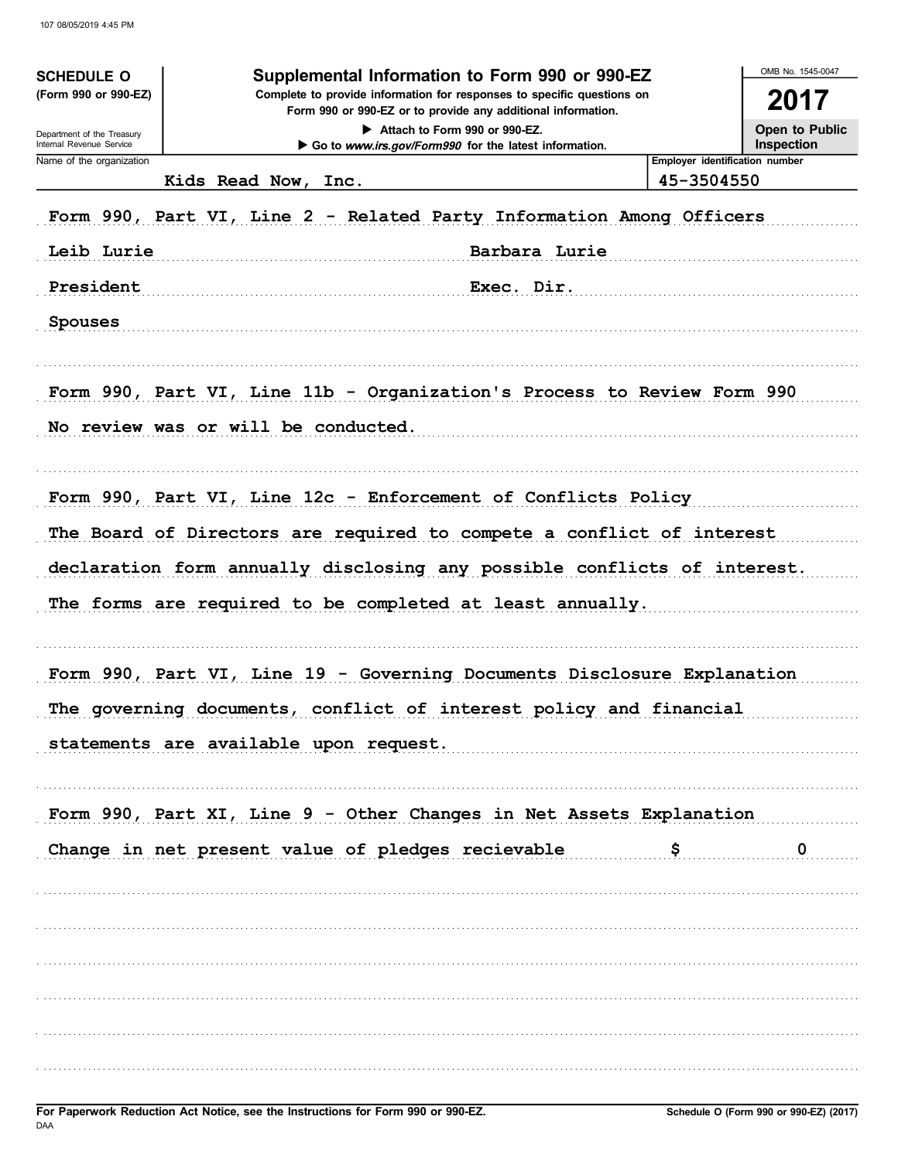| <b>SCHEDULE O</b><br>(Form 990 or 990-EZ)<br>Department of the Treasury<br>Internal Revenue Service | Supplemental Information to Form 990 or 990-EZ<br>Complete to provide information for responses to specific questions on<br>Form 990 or 990-EZ or to provide any additional information.<br>Attach to Form 990 or 990-EZ.<br>Go to www.irs.gov/Form990 for the latest information. |                                              |                         |  |  |  |  |  |
|-----------------------------------------------------------------------------------------------------|------------------------------------------------------------------------------------------------------------------------------------------------------------------------------------------------------------------------------------------------------------------------------------|----------------------------------------------|-------------------------|--|--|--|--|--|
| Name of the organization                                                                            | Kids Read Now,<br>Inc.                                                                                                                                                                                                                                                             | Employer identification number<br>45-3504550 |                         |  |  |  |  |  |
|                                                                                                     | Form 990, Part VI, Line 2 - Related Party Information Among Officers                                                                                                                                                                                                               |                                              |                         |  |  |  |  |  |
| Leib Lurie                                                                                          | Barbara Lurie                                                                                                                                                                                                                                                                      |                                              |                         |  |  |  |  |  |
| President<br>Exec. Dir.                                                                             |                                                                                                                                                                                                                                                                                    |                                              |                         |  |  |  |  |  |
| <b>Spouses</b>                                                                                      |                                                                                                                                                                                                                                                                                    |                                              |                         |  |  |  |  |  |
|                                                                                                     | Form 990, Part VI, Line 11b - Organization's Process to Review Form 990                                                                                                                                                                                                            |                                              |                         |  |  |  |  |  |
|                                                                                                     | No review was or will be conducted.                                                                                                                                                                                                                                                |                                              |                         |  |  |  |  |  |
|                                                                                                     | Form 990, Part VI, Line 12c - Enforcement of Conflicts Policy                                                                                                                                                                                                                      |                                              |                         |  |  |  |  |  |
|                                                                                                     | The Board of Directors are required to compete a conflict of interest                                                                                                                                                                                                              |                                              |                         |  |  |  |  |  |
|                                                                                                     | declaration form annually disclosing any possible conflicts of interest.                                                                                                                                                                                                           |                                              |                         |  |  |  |  |  |
|                                                                                                     | The forms are required to be completed at least annually.                                                                                                                                                                                                                          |                                              |                         |  |  |  |  |  |
|                                                                                                     | Form 990, Part VI, Line 19 - Governing Documents Disclosure Explanation                                                                                                                                                                                                            |                                              |                         |  |  |  |  |  |
|                                                                                                     | The governing documents, conflict of interest policy and financial                                                                                                                                                                                                                 |                                              |                         |  |  |  |  |  |
|                                                                                                     | statements are available upon request.                                                                                                                                                                                                                                             |                                              |                         |  |  |  |  |  |
|                                                                                                     | Form 990, Part XI, Line 9 - Other Changes in Net Assets Explanation                                                                                                                                                                                                                |                                              |                         |  |  |  |  |  |
|                                                                                                     | Change in net present value of pledges recievable                                                                                                                                                                                                                                  |                                              | $\overline{\mathbf{0}}$ |  |  |  |  |  |
|                                                                                                     |                                                                                                                                                                                                                                                                                    |                                              |                         |  |  |  |  |  |
|                                                                                                     |                                                                                                                                                                                                                                                                                    |                                              |                         |  |  |  |  |  |
|                                                                                                     |                                                                                                                                                                                                                                                                                    |                                              |                         |  |  |  |  |  |
|                                                                                                     |                                                                                                                                                                                                                                                                                    |                                              |                         |  |  |  |  |  |
|                                                                                                     |                                                                                                                                                                                                                                                                                    |                                              |                         |  |  |  |  |  |